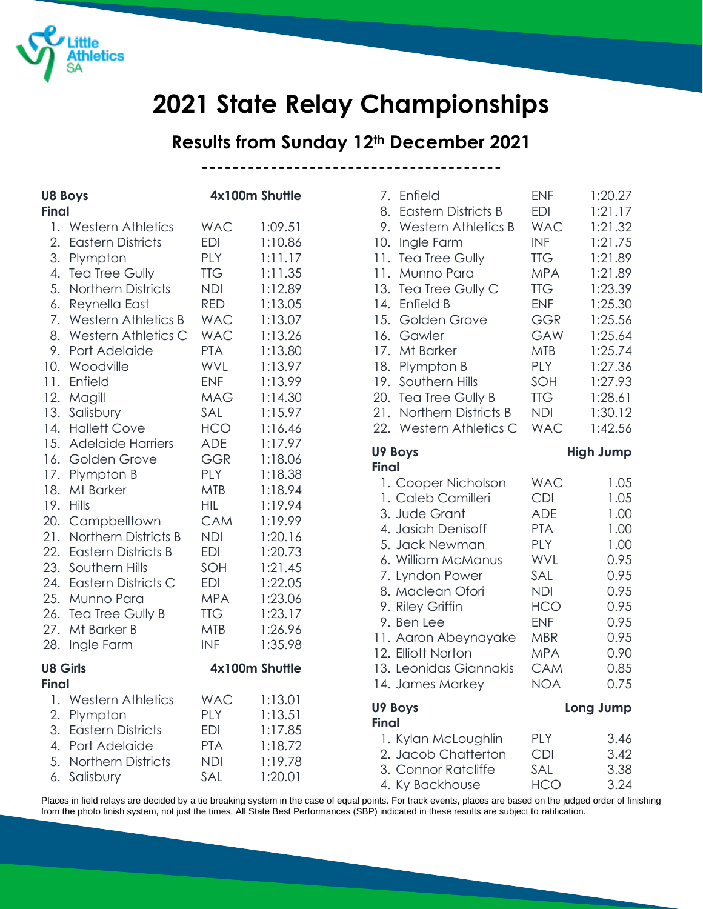

# **2021 State Relay Championships**

# **Results from Sunday 12th December 2021**

**---------------------------------------**

| <b>U8 Boys</b>                                          |                                                                                                                                                                                                                                                                                                                                                                                                                                                                                       | 4x100m Shuttle                                                                                                                                                                                                                                                                               |                                                                                                                                                                                                                                                           |
|---------------------------------------------------------|---------------------------------------------------------------------------------------------------------------------------------------------------------------------------------------------------------------------------------------------------------------------------------------------------------------------------------------------------------------------------------------------------------------------------------------------------------------------------------------|----------------------------------------------------------------------------------------------------------------------------------------------------------------------------------------------------------------------------------------------------------------------------------------------|-----------------------------------------------------------------------------------------------------------------------------------------------------------------------------------------------------------------------------------------------------------|
|                                                         |                                                                                                                                                                                                                                                                                                                                                                                                                                                                                       |                                                                                                                                                                                                                                                                                              |                                                                                                                                                                                                                                                           |
| <b>Final</b><br>1.<br>2.<br>3.<br>4.<br>5.<br>8.<br>13. | <b>Western Athletics</b><br><b>Eastern Districts</b><br>Plympton<br><b>Tea Tree Gully</b><br>Northern Districts<br>6. Reynella East<br>7. Western Athletics B<br>Western Athletics C<br>9. Port Adelaide<br>10. Woodville<br>11. Enfield<br>12. Magill<br>Salisbury<br>14. Hallett Cove<br>15. Adelaide Harriers<br>16. Golden Grove<br>17. Plympton B<br>18. Mt Barker<br>19. Hills<br>20. Campbelltown<br>21. Northern Districts B<br>22. Eastern Districts B<br>23. Southern Hills | <b>WAC</b><br><b>EDI</b><br><b>PLY</b><br><b>TTG</b><br><b>NDI</b><br><b>RED</b><br><b>WAC</b><br><b>WAC</b><br><b>PTA</b><br>WVL<br><b>ENF</b><br><b>MAG</b><br>SAL<br><b>HCO</b><br><b>ADE</b><br><b>GGR</b><br><b>PLY</b><br><b>MTB</b><br>HIL.<br>CAM<br><b>NDI</b><br><b>EDI</b><br>SOH | 1:09.51<br>1:10.86<br>1:11.17<br>1:11.35<br>1:12.89<br>1:13.05<br>1:13.07<br>1:13.26<br>1:13.80<br>1:13.97<br>1:13.99<br>1:14.30<br>1:15.97<br>1:16.46<br>1:17.97<br>1:18.06<br>1:18.38<br>1:18.94<br>1:19.94<br>1:19.99<br>1:20.16<br>1:20.73<br>1:21.45 |
| 27.<br>28.                                              | 24. Eastern Districts C<br>25. Munno Para<br>26. Tea Tree Gully B<br>Mt Barker B<br>Ingle Farm                                                                                                                                                                                                                                                                                                                                                                                        | <b>EDI</b><br><b>MPA</b><br><b>TTG</b><br><b>MTB</b><br><b>INF</b>                                                                                                                                                                                                                           | 1:22.05<br>1:23.06<br>1:23.17<br>1:26.96<br>1:35.98                                                                                                                                                                                                       |
| <b>U8 Girls</b><br><b>Final</b>                         |                                                                                                                                                                                                                                                                                                                                                                                                                                                                                       | 4x100m Shuttle                                                                                                                                                                                                                                                                               |                                                                                                                                                                                                                                                           |
| 1.                                                      | <b>Western Athletics</b>                                                                                                                                                                                                                                                                                                                                                                                                                                                              | <b>WAC</b>                                                                                                                                                                                                                                                                                   | 1:13.01                                                                                                                                                                                                                                                   |
| 2.<br>3.<br>4.<br>5.<br>6.                              | Plympton<br><b>Eastern Districts</b><br>Port Adelaide<br><b>Northern Districts</b><br>Salisbury                                                                                                                                                                                                                                                                                                                                                                                       | <b>PLY</b><br><b>EDI</b><br><b>PTA</b><br><b>NDI</b><br>SAL                                                                                                                                                                                                                                  | 1:13.51<br>1:17.85<br>1:18.72<br>1:19.78<br>1:20.01                                                                                                                                                                                                       |

| 7.           | Enfield                    | <b>ENF</b> | 1:20.27          |
|--------------|----------------------------|------------|------------------|
| 8.           | <b>Eastern Districts B</b> | EDI        | 1:21.17          |
| 9.           | <b>Western Athletics B</b> | <b>WAC</b> | 1:21.32          |
| 10.          | Ingle Farm                 | <b>INF</b> | 1:21.75          |
| 11.          | Tea Tree Gully             | <b>TTG</b> | 1:21.89          |
| 11.          | Munno Para                 | <b>MPA</b> | 1:21.89          |
| 13.          | Tea Tree Gully C           | <b>TTG</b> | 1:23.39          |
| 14.          | Enfield B                  | <b>ENF</b> | 1:25.30          |
| 15.          | Golden Grove               | <b>GGR</b> | 1:25.56          |
| 16.          | Gawler                     | GAW        | 1:25.64          |
| 17.          | Mt Barker                  | <b>MTB</b> | 1:25.74          |
| 18.          | Plympton B                 | <b>PLY</b> | 1:27.36          |
| 19.          | Southern Hills             | SOH        | 1:27.93          |
| 20.          | Tea Tree Gully B           | <b>TTG</b> | 1:28.61          |
| 21.          | Northern Districts B       | <b>NDI</b> | 1:30.12          |
| 22.          | Western Athletics C        | <b>WAC</b> | 1:42.56          |
| <b>Final</b> | U9 Boys                    |            | <b>High Jump</b> |
|              | 1. Cooper Nicholson        | <b>WAC</b> | 1.05             |
|              | 1. Caleb Camilleri         | CDI        | 1.05             |
|              | 3. Jude Grant              | <b>ADE</b> | 1.00             |
|              | 4. Jasiah Denisoff         | <b>PTA</b> | 1.00             |
|              | 5. Jack Newman             | PLY        | 1.00             |
|              | 6. William McManus         | WVL        | 0.95             |
|              | 7. Lyndon Power            | SAL        | 0.95             |
|              | 8. Maclean Ofori           | <b>NDI</b> | 0.95             |
|              | 9. Riley Griffin           | <b>HCO</b> | 0.95             |
|              | 9. Ben Lee                 | <b>ENF</b> | 0.95             |
|              | 11. Aaron Abeynayake       | <b>MBR</b> | 0.95             |
|              | 12. Elliott Norton         | <b>MPA</b> | 0.90             |
|              | 13. Leonidas Giannakis     | CAM        | 0.85             |
|              | 14. James Markey           | <b>NOA</b> | 0.75             |
|              | U9 Boys                    |            | Long Jump        |
| <b>Final</b> | 1. Kylan McLoughlin        | PLY        | 3.46             |
|              | 2. Jacob Chatterton        | <b>CDI</b> | 3.42             |
|              | 3. Connor Ratcliffe        | SAL        | 3.38             |

4. Ky Backhouse HCO 3.24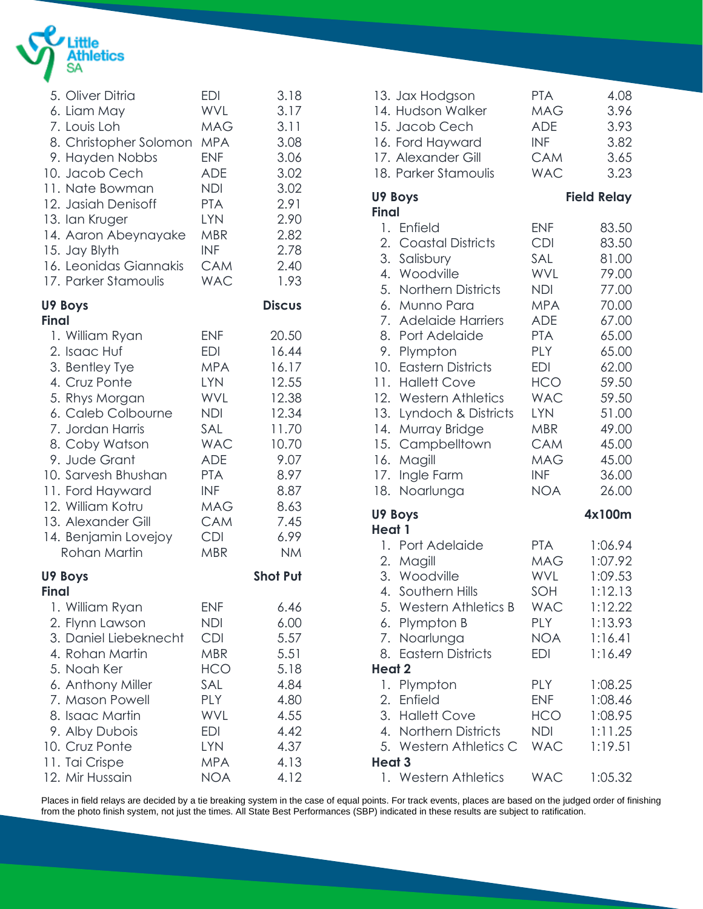

| 5. Oliver Ditria        | <b>EDI</b> | 3.18            |  |
|-------------------------|------------|-----------------|--|
| 6. Liam May             | WVL        | 3.17            |  |
| 7. Louis Loh            | <b>MAG</b> | 3.11            |  |
| 8. Christopher Solomon  | <b>MPA</b> | 3.08            |  |
| 9. Hayden Nobbs         | <b>ENF</b> | 3.06            |  |
| 10. Jacob Cech          | <b>ADE</b> | 3.02            |  |
| 11. Nate Bowman         | NDI        | 3.02            |  |
| 12. Jasiah Denisoff     | <b>PTA</b> | 2.91            |  |
| 13. Ian Kruger          | <b>LYN</b> | 2.90            |  |
| 14. Aaron Abeynayake    | <b>MBR</b> | 2.82            |  |
| 15. Jay Blyth           | <b>INF</b> | 2.78            |  |
| 16. Leonidas Giannakis  | <b>CAM</b> | 2.40            |  |
| 17. Parker Stamoulis    | <b>WAC</b> | 1.93            |  |
| U9 Boys<br><b>Final</b> |            | <b>Discus</b>   |  |
| 1. William Ryan         | <b>ENF</b> | 20.50           |  |
| 2. Isaac Huf            | <b>EDI</b> | 16.44           |  |
| 3. Bentley Tye          | <b>MPA</b> | 16.17           |  |
| 4. Cruz Ponte           | <b>LYN</b> | 12.55           |  |
| 5. Rhys Morgan          | <b>WVL</b> | 12.38           |  |
| 6. Caleb Colbourne      | NDI        | 12.34           |  |
| 7. Jordan Harris        | SAL        | 11.70           |  |
| 8. Coby Watson          | <b>WAC</b> | 10.70           |  |
| 9. Jude Grant           | <b>ADE</b> | 9.07            |  |
| 10. Sarvesh Bhushan     | <b>PTA</b> | 8.97            |  |
| 11. Ford Hayward        | <b>INF</b> | 8.87            |  |
| 12. William Kotru       | MAG        | 8.63            |  |
| 13. Alexander Gill      | <b>CAM</b> | 7.45            |  |
| 14. Benjamin Lovejoy    | <b>CDI</b> | 6.99            |  |
| Rohan Martin            | <b>MBR</b> | <b>NM</b>       |  |
| U9 Boys<br><b>Final</b> |            | <b>Shot Put</b> |  |
| 1. William Ryan         | <b>ENF</b> | 6.46            |  |
| 2. Flynn Lawson         | NDI        | 6.00            |  |
| 3. Daniel Liebeknecht   | CDI        | 5.57            |  |
| 4. Rohan Martin         | <b>MBR</b> | 5.51            |  |
| 5. Noah Ker             | <b>HCO</b> | 5.18            |  |
| 6. Anthony Miller       | SAL        | 4.84            |  |
| 7. Mason Powell         | <b>PLY</b> | 4.80            |  |
| 8. Isaac Martin         | <b>WVL</b> | 4.55            |  |
| 9. Alby Dubois          | <b>EDI</b> | 4.42            |  |
| 10. Cruz Ponte          | <b>LYN</b> | 4.37            |  |
| 11. Tai Crispe          | <b>MPA</b> | 4.13            |  |
| 12. Mir Hussain         | <b>NOA</b> | 4.12            |  |

| 13. Jax Hodgson<br>14. Hudson Walker<br>15. Jacob Cech<br>16. Ford Hayward<br>17. Alexander Gill                                                                                                                                                                                                                                                    | <b>PTA</b><br><b>MAG</b><br><b>ADE</b><br><b>INF</b><br><b>CAM</b>                                                                                                                               | 4.08<br>3.96<br>3.93<br>3.82<br>3.65                                                                                                |
|-----------------------------------------------------------------------------------------------------------------------------------------------------------------------------------------------------------------------------------------------------------------------------------------------------------------------------------------------------|--------------------------------------------------------------------------------------------------------------------------------------------------------------------------------------------------|-------------------------------------------------------------------------------------------------------------------------------------|
| 18. Parker Stamoulis                                                                                                                                                                                                                                                                                                                                | <b>WAC</b>                                                                                                                                                                                       | 3.23                                                                                                                                |
| U9 Boys                                                                                                                                                                                                                                                                                                                                             |                                                                                                                                                                                                  | <b>Field Relay</b>                                                                                                                  |
| <b>Final</b><br>Enfield<br>1.<br>2. Coastal Districts<br>3.<br>Salisbury<br>4. Woodville<br>5. Northern Districts<br>6.<br>Munno Para<br>7. Adelaide Harriers<br>8. Port Adelaide<br>9.<br>Plympton<br>10. Eastern Districts<br>11. Hallett Cove<br>12. Western Athletics<br>13. Lyndoch & Districts<br>Murray Bridge<br>14.<br>15.<br>Campbelltown | <b>ENF</b><br><b>CDI</b><br>SAL<br>WVL<br><b>NDI</b><br><b>MPA</b><br><b>ADE</b><br><b>PTA</b><br><b>PLY</b><br><b>EDI</b><br><b>HCO</b><br><b>WAC</b><br><b>LYN</b><br><b>MBR</b><br><b>CAM</b> | 83.50<br>83.50<br>81.00<br>79.00<br>77.00<br>70.00<br>67.00<br>65.00<br>65.00<br>62.00<br>59.50<br>59.50<br>51.00<br>49.00<br>45.00 |
| Magill<br>16.<br>Ingle Farm<br>17.                                                                                                                                                                                                                                                                                                                  | <b>MAG</b><br><b>INF</b>                                                                                                                                                                         | 45.00<br>36.00                                                                                                                      |
| Noarlunga<br>18.                                                                                                                                                                                                                                                                                                                                    | <b>NOA</b>                                                                                                                                                                                       | 26.00                                                                                                                               |
| U9 Boys                                                                                                                                                                                                                                                                                                                                             |                                                                                                                                                                                                  | 4x100m                                                                                                                              |
| Heat 1<br>1. Port Adelaide<br>2. Magill<br>3. Woodville<br>4.<br>Southern Hills<br>5. Western Athletics B<br>6. Plympton B<br>7. Noarlunga<br>8. Eastern Districts<br><b>Heat 2</b>                                                                                                                                                                 | <b>PTA</b><br><b>MAG</b><br><b>WVL</b><br>SOH<br><b>WAC</b><br><b>PLY</b><br>NOA<br><b>EDI</b>                                                                                                   | 1:06.94<br>1:07.92<br>1:09.53<br>1:12.13<br>1:12.22<br>1:13.93<br>1:16.41<br>1:16.49                                                |
| 1. Plympton<br>2. Enfield<br>3. Hallett Cove<br>4. Northern Districts<br>5. Western Athletics C<br>Heat 3                                                                                                                                                                                                                                           | PLY<br><b>ENF</b><br><b>HCO</b><br><b>NDI</b><br><b>WAC</b>                                                                                                                                      | 1:08.25<br>1:08.46<br>1:08.95<br>1:11.25<br>1:19.51                                                                                 |
| 1. Western Athletics                                                                                                                                                                                                                                                                                                                                | <b>WAC</b>                                                                                                                                                                                       | 1:05.32                                                                                                                             |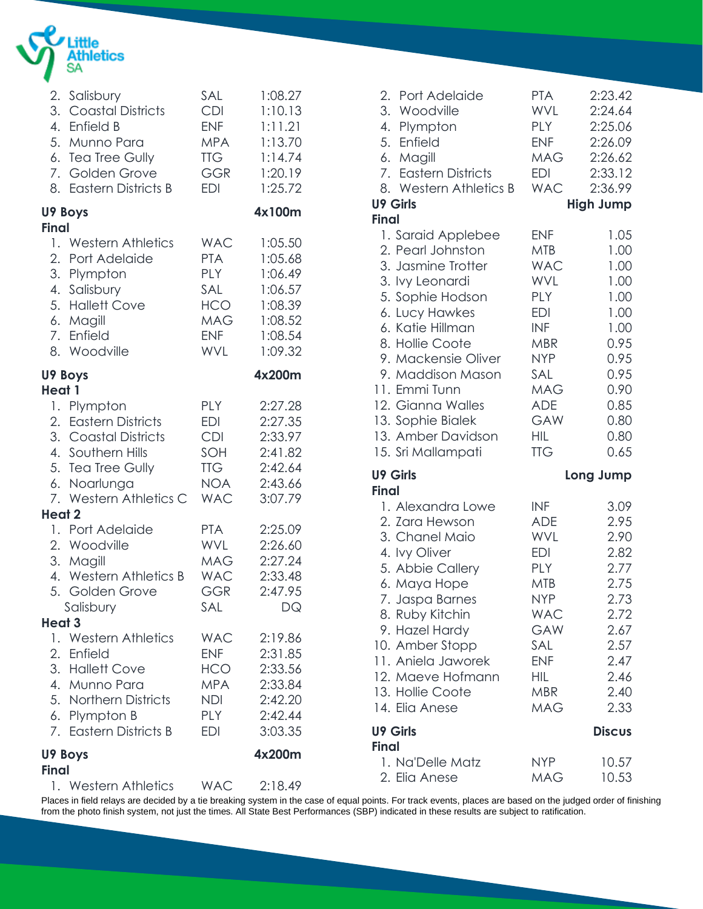

|                   | 2. Salisbury<br>3. Coastal Districts<br>4. Enfield B<br>5. Munno Para<br>6. Tea Tree Gully<br>7. Golden Grove<br>8. Eastern Districts B         | SAL<br><b>CDI</b><br><b>ENF</b><br><b>MPA</b><br><b>TTG</b><br><b>GGR</b><br><b>EDI</b>        | 1:08.27<br>1:10.13<br>1:11.21<br>1:13.70<br>1:14.74<br>1:20.19<br>1:25.72            |
|-------------------|-------------------------------------------------------------------------------------------------------------------------------------------------|------------------------------------------------------------------------------------------------|--------------------------------------------------------------------------------------|
| <b>Final</b>      | U9 Boys                                                                                                                                         |                                                                                                | 4x100m                                                                               |
|                   | 1. Western Athletics<br>2. Port Adelaide<br>3. Plympton<br>4. Salisbury<br>5. Hallett Cove<br>6. Magill<br>7. Enfield<br>8. Woodville           | <b>WAC</b><br><b>PTA</b><br><b>PLY</b><br>SAL<br><b>HCO</b><br>MAG<br><b>ENF</b><br><b>WVL</b> | 1:05.50<br>1:05.68<br>1:06.49<br>1:06.57<br>1:08.39<br>1:08.52<br>1:08.54<br>1:09.32 |
| Heat 1            | U9 Boys                                                                                                                                         |                                                                                                | 4x200m                                                                               |
|                   | 1. Plympton<br>2. Eastern Districts<br>3. Coastal Districts<br>4. Southern Hills<br>5. Tea Tree Gully<br>6. Noarlunga<br>7. Western Athletics C | <b>PLY</b><br><b>EDI</b><br><b>CDI</b><br>SOH<br><b>TTG</b><br><b>NOA</b><br><b>WAC</b>        | 2:27.28<br>2:27.35<br>2:33.97<br>2:41.82<br>2:42.64<br>2:43.66<br>3:07.79            |
| <b>Heat 2</b>     |                                                                                                                                                 |                                                                                                |                                                                                      |
| 5.                | 1. Port Adelaide<br>2. Woodville<br>3. Magill<br>4. Western Athletics B<br>Golden Grove<br>Salisbury                                            | <b>PTA</b><br>WVL<br>MAG<br><b>WAC</b><br>GGR<br>SAL                                           | 2:25.09<br>2:26.60<br>2:27.24<br>2:33.48<br>2:47.95<br>DQ                            |
| Heat <sub>3</sub> | 1. Western Athletics                                                                                                                            | <b>WAC</b>                                                                                     | 2:19.86                                                                              |
|                   | 2. Enfield<br>3. Hallett Cove<br>4. Munno Para<br>5. Northern Districts<br>6. Plympton B<br>7. Eastern Districts B                              | <b>ENF</b><br>HCO<br><b>MPA</b><br>NDI<br><b>PLY</b><br>EDI                                    | 2:31.85<br>2:33.56<br>2:33.84<br>2:42.20<br>2:42.44<br>3:03.35                       |
| <b>Final</b>      | U9 Boys                                                                                                                                         |                                                                                                | 4x200m                                                                               |
|                   | 1. Western Athletics                                                                                                                            | <b>WAC</b>                                                                                     | 2:18.49                                                                              |

| 2. Port Adelaide<br>3. Woodville<br>4. Plympton<br>5. Enfield<br>6. Magill<br>7. Eastern Districts<br>8. Western Athletics B<br><b>U9 Girls</b>                                                                                                                                                                                  | <b>PTA</b><br>WVL<br><b>PLY</b><br><b>ENF</b><br><b>MAG</b><br>EDI<br><b>WAC</b>                                                                                             | 2:23.42<br>2:24.64<br>2:25.06<br>2:26.09<br>2:26.62<br>2:33.12<br>2:36.99<br><b>High Jump</b>                        |
|----------------------------------------------------------------------------------------------------------------------------------------------------------------------------------------------------------------------------------------------------------------------------------------------------------------------------------|------------------------------------------------------------------------------------------------------------------------------------------------------------------------------|----------------------------------------------------------------------------------------------------------------------|
| <b>Final</b><br>1. Saraid Applebee<br>2. Pearl Johnston<br>3. Jasmine Trotter<br>3. Ivy Leonardi<br>5. Sophie Hodson<br>6. Lucy Hawkes<br>6. Katie Hillman<br>8. Hollie Coote<br>9. Mackensie Oliver<br>9. Maddison Mason<br>11. Emmi Tunn<br>12. Gianna Walles<br>13. Sophie Bialek<br>13. Amber Davidson<br>15. Sri Mallampati | <b>ENF</b><br><b>MTB</b><br><b>WAC</b><br>WVL<br><b>PLY</b><br><b>EDI</b><br><b>INF</b><br>MBR<br><b>NYP</b><br>SAL<br><b>MAG</b><br><b>ADE</b><br>GAW<br>HIL.<br><b>TTG</b> | 1.05<br>1.00<br>1.00<br>1.00<br>1.00<br>1.00<br>1.00<br>0.95<br>0.95<br>0.95<br>0.90<br>0.85<br>0.80<br>0.80<br>0.65 |
| <b>U9 Girls</b><br><b>Final</b>                                                                                                                                                                                                                                                                                                  |                                                                                                                                                                              | Long Jump                                                                                                            |
| 1. Alexandra Lowe<br>2. Zara Hewson<br>3. Chanel Maio                                                                                                                                                                                                                                                                            | <b>INF</b><br><b>ADE</b><br><b>WVL</b>                                                                                                                                       | 3.09<br>2.95<br>2.90                                                                                                 |
| 4. Ivy Oliver<br>5. Abbie Callery<br>6. Maya Hope<br>7. Jaspa Barnes<br>8. Ruby Kitchin<br>9. Hazel Hardy<br>10. Amber Stopp<br>11. Aniela Jaworek<br>12. Maeve Hofmann<br>13. Hollie Coote<br>14. Elia Anese                                                                                                                    | <b>EDI</b><br>PLY<br>MTB<br>NYP<br><b>WAC</b><br>GAW<br>SAL<br><b>ENF</b><br>HIL<br><b>MBR</b><br><b>MAG</b>                                                                 | 2.82<br>2.77<br>2.75<br>2.73<br>2.72<br>2.67<br>2.57<br>2.47<br>2.46<br>2.40<br>2.33                                 |
| <b>U9 Girls</b><br><b>Final</b>                                                                                                                                                                                                                                                                                                  |                                                                                                                                                                              | <b>Discus</b>                                                                                                        |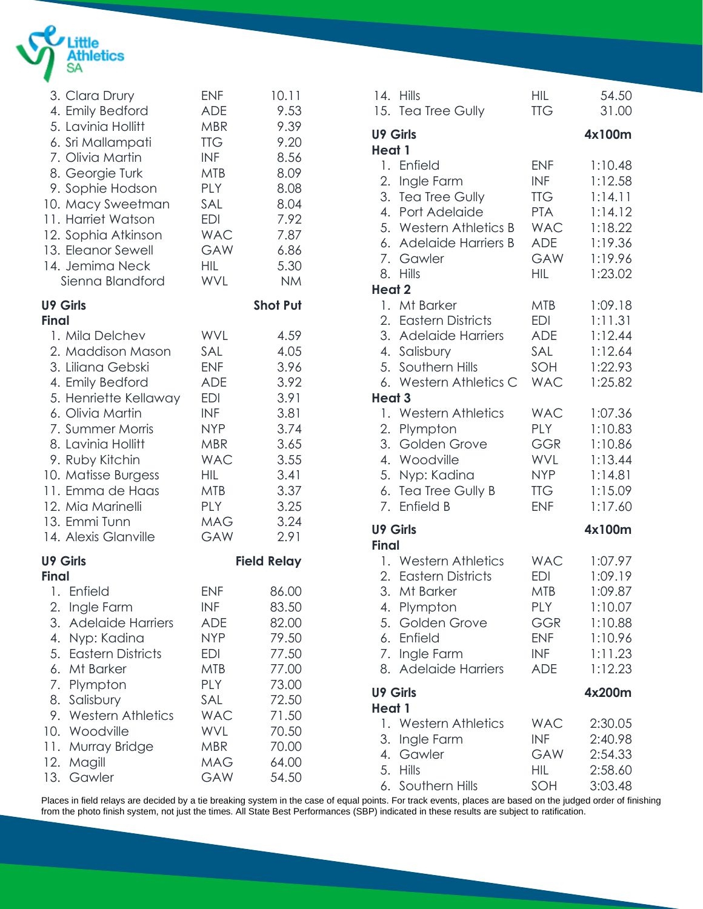

| 3. Clara Drury<br>4. Emily Bedford<br>5. Lavinia Hollitt<br>6. Sri Mallampati<br>7. Olivia Martin<br>8. Georgie Turk<br>9. Sophie Hodson<br>10. Macy Sweetman<br>11. Harriet Watson<br>12. Sophia Atkinson<br>13. Eleanor Sewell<br>14. Jemima Neck<br>Sienna Blandford                                          | <b>ENF</b><br><b>ADE</b><br><b>MBR</b><br><b>TTG</b><br><b>INF</b><br><b>MTB</b><br><b>PLY</b><br>SAL<br>EDI<br><b>WAC</b><br><b>GAW</b><br><b>HIL</b><br><b>WVL</b> | 10.11<br>9.53<br>9.39<br>9.20<br>8.56<br>8.09<br>8.08<br>8.04<br>7.92<br>7.87<br>6.86<br>5.30<br><b>NM</b>        |
|------------------------------------------------------------------------------------------------------------------------------------------------------------------------------------------------------------------------------------------------------------------------------------------------------------------|----------------------------------------------------------------------------------------------------------------------------------------------------------------------|-------------------------------------------------------------------------------------------------------------------|
| <b>U9 Girls</b>                                                                                                                                                                                                                                                                                                  |                                                                                                                                                                      | <b>Shot Put</b>                                                                                                   |
| <b>Final</b><br>1. Mila Delchev<br>2. Maddison Mason<br>3. Liliana Gebski<br>4. Emily Bedford<br>5. Henriette Kellaway<br>6. Olivia Martin<br>7. Summer Morris<br>8. Lavinia Hollitt<br>9. Ruby Kitchin<br>10. Matisse Burgess<br>11. Emma de Haas<br>12. Mia Marinelli<br>13. Emmi Tunn<br>14. Alexis Glanville | <b>WVL</b><br>SAL<br><b>ENF</b><br>ADE<br>EDI<br><b>INF</b><br><b>NYP</b><br><b>MBR</b><br><b>WAC</b><br><b>HIL</b><br>MTB<br><b>PLY</b><br><b>MAG</b><br><b>GAW</b> | 4.59<br>4.05<br>3.96<br>3.92<br>3.91<br>3.81<br>3.74<br>3.65<br>3.55<br>3.41<br>3.37<br>3.25<br>3.24<br>2.91      |
| <b>U9 Girls</b><br><b>Final</b>                                                                                                                                                                                                                                                                                  |                                                                                                                                                                      | <b>Field Relay</b>                                                                                                |
| 1. Enfield<br>Ingle Farm<br>2.<br>3.<br><b>Adelaide Harriers</b><br>4.<br>Nyp: Kadina<br>5.<br><b>Eastern Districts</b><br>6.<br>Mt Barker<br>7.<br>Plympton<br>8.<br>Salisbury<br><b>Western Athletics</b><br>9.<br>10. Woodville<br>11. Murray Bridge<br>12. Magill<br>Gawler<br>13.                           | <b>ENF</b><br><b>INF</b><br>ADE<br><b>NYP</b><br>EDI<br>MTB<br><b>PLY</b><br>SAL<br><b>WAC</b><br><b>WVL</b><br><b>MBR</b><br>MAG<br>GAW                             | 86.00<br>83.50<br>82.00<br>79.50<br>77.50<br>77.00<br>73.00<br>72.50<br>71.50<br>70.50<br>70.00<br>64.00<br>54.50 |

|                                 | 14. Hills<br>15. Tea Tree Gully                                                                                                                 | HIL<br><b>TTG</b>                                                                                            | 54.50<br>31.00                                                                       |
|---------------------------------|-------------------------------------------------------------------------------------------------------------------------------------------------|--------------------------------------------------------------------------------------------------------------|--------------------------------------------------------------------------------------|
| <b>U9 Girls</b>                 |                                                                                                                                                 |                                                                                                              | 4x100m                                                                               |
| Heat 1<br>2.<br><b>Heat 2</b>   | 1. Enfield<br>Ingle Farm<br>3. Tea Tree Gully<br>4. Port Adelaide<br>5. Western Athletics B<br>6. Adelaide Harriers B<br>7. Gawler<br>8. Hills  | <b>ENF</b><br><b>INF</b><br><b>TTG</b><br><b>PTA</b><br><b>WAC</b><br><b>ADE</b><br>GAW<br>HIL               | 1:10.48<br>1:12.58<br>1:14.11<br>1:14.12<br>1:18.22<br>1:19.36<br>1:19.96<br>1:23.02 |
| 1.<br>Heat 3                    | Mt Barker<br>2. Eastern Districts<br>3. Adelaide Harriers<br>4. Salisbury<br>5. Southern Hills<br>6. Western Athletics C                        | <b>MTB</b><br><b>EDI</b><br><b>ADE</b><br>SAL<br>SOH<br><b>WAC</b>                                           | 1:09.18<br>1:11.31<br>1:12.44<br>1:12.64<br>1:22.93<br>1:25.82                       |
|                                 | 1. Western Athletics<br>2. Plympton<br>3. Golden Grove<br>4. Woodville<br>5. Nyp: Kadina<br>6. Tea Tree Gully B<br>7. Enfield B                 | <b>WAC</b><br>PLY<br><b>GGR</b><br>WVL<br><b>NYP</b><br><b>TTG</b><br><b>ENF</b>                             | 1:07.36<br>1:10.83<br>1:10.86<br>1:13.44<br>1:14.81<br>1:15.09<br>1:17.60            |
| <b>U9 Girls</b><br><b>Final</b> |                                                                                                                                                 |                                                                                                              | 4x100m                                                                               |
| 3.<br>4.                        | 1. Western Athletics<br>2. Eastern Districts<br>Mt Barker<br>Plympton<br>5. Golden Grove<br>6. Enfield<br>7. Ingle Farm<br>8. Adelaide Harriers | <b>WAC</b><br><b>EDI</b><br><b>MTB</b><br><b>PLY</b><br><b>GGR</b><br><b>ENF</b><br><b>INF</b><br><b>ADE</b> | 1:07.97<br>1:09.19<br>1:09.87<br>1:10.07<br>1:10.88<br>1:10.96<br>1:11.23<br>1:12.23 |
| <b>U9 Girls</b><br>Heat 1       |                                                                                                                                                 |                                                                                                              | 4x200m                                                                               |
| 6.                              | 1. Western Athletics<br>3. Ingle Farm<br>4. Gawler<br>5. Hills<br>Southern Hills                                                                | <b>WAC</b><br><b>INF</b><br>GAW<br>HIL.<br>SOH                                                               | 2:30.05<br>2:40.98<br>2:54.33<br>2:58.60<br>3:03.48                                  |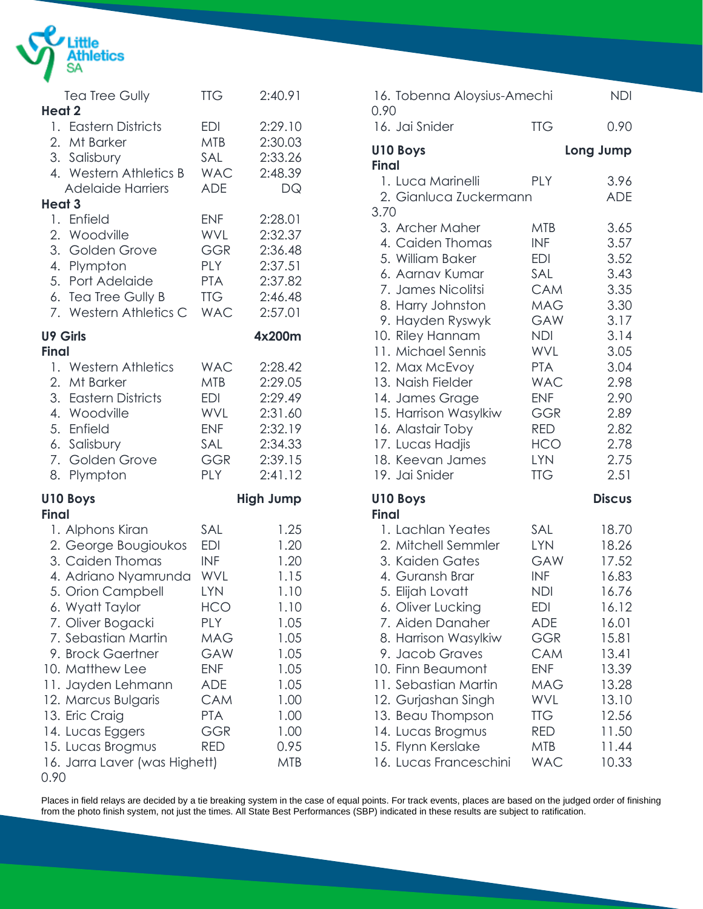

| <b>Tea Tree Gully</b>                                                                                                                                                                                                                                                                                                                                                             | <b>TTG</b>                                                                                                                                                           | 2:40.91                                                                                                                            |
|-----------------------------------------------------------------------------------------------------------------------------------------------------------------------------------------------------------------------------------------------------------------------------------------------------------------------------------------------------------------------------------|----------------------------------------------------------------------------------------------------------------------------------------------------------------------|------------------------------------------------------------------------------------------------------------------------------------|
| Heat 2                                                                                                                                                                                                                                                                                                                                                                            |                                                                                                                                                                      |                                                                                                                                    |
| 1. Eastern Districts<br>2. Mt Barker<br>3. Salisbury<br>4. Western Athletics B<br><b>Adelaide Harriers</b>                                                                                                                                                                                                                                                                        | EDI<br><b>MTB</b><br>SAL<br><b>WAC</b><br><b>ADE</b>                                                                                                                 | 2:29.10<br>2:30.03<br>2:33.26<br>2:48.39<br>DQ                                                                                     |
| <b>Heat 3</b>                                                                                                                                                                                                                                                                                                                                                                     |                                                                                                                                                                      |                                                                                                                                    |
| 1. Enfield<br>2. Woodville<br>3. Golden Grove<br>4. Plympton<br>5. Port Adelaide<br>6. Tea Tree Gully B<br>7. Western Athletics C                                                                                                                                                                                                                                                 | <b>ENF</b><br><b>WVL</b><br><b>GGR</b><br><b>PLY</b><br><b>PTA</b><br><b>TTG</b><br><b>WAC</b>                                                                       | 2:28.01<br>2:32.37<br>2:36.48<br>2:37.51<br>2:37.82<br>2:46.48<br>2:57.01                                                          |
| <b>U9 Girls</b>                                                                                                                                                                                                                                                                                                                                                                   |                                                                                                                                                                      | 4x200m                                                                                                                             |
| <b>Final</b><br>1. Western Athletics<br>2. Mt Barker<br>3. Eastern Districts<br>4. Woodville<br>5. Enfield<br>6. Salisbury<br>7. Golden Grove<br>8.<br>Plympton                                                                                                                                                                                                                   | <b>WAC</b><br><b>MTB</b><br>EDI<br><b>WVL</b><br><b>ENF</b><br>SAL<br><b>GGR</b><br>PLY                                                                              | 2:28.42<br>2:29.05<br>2:29.49<br>2:31.60<br>2:32.19<br>2:34.33<br>2:39.15<br>2:41.12                                               |
| <b>U10 Boys</b>                                                                                                                                                                                                                                                                                                                                                                   |                                                                                                                                                                      | <b>High Jump</b>                                                                                                                   |
| <b>Final</b><br>1. Alphons Kiran<br>2. George Bougioukos<br>3. Caiden Thomas<br>4. Adriano Nyamrunda<br>5. Orion Campbell<br>6. Wyatt Taylor<br>7. Oliver Bogacki<br>7. Sebastian Martin<br>9. Brock Gaertner<br>10. Matthew Lee<br>11. Jayden Lehmann<br>12. Marcus Bulgaris<br>13. Eric Craig<br>14. Lucas Eggers<br>15. Lucas Brogmus<br>16. Jarra Laver (was Highett)<br>0.90 | SAL<br><b>EDI</b><br><b>INF</b><br>WVL<br>LYN<br><b>HCO</b><br><b>PLY</b><br>MAG<br>GAW<br><b>ENF</b><br>ADE<br><b>CAM</b><br><b>PTA</b><br><b>GGR</b><br><b>RED</b> | 1.25<br>1.20<br>1.20<br>1.15<br>1.10<br>1.10<br>1.05<br>1.05<br>1.05<br>1.05<br>1.05<br>1.00<br>1.00<br>1.00<br>0.95<br><b>MTB</b> |

| 16. Tobenna Aloysius-Amechi<br>0.90                                                                                                                                                                                                                                                                                                                   |                                                                                                                                                                                                                | <b>NDI</b>                                                                                                                                   |
|-------------------------------------------------------------------------------------------------------------------------------------------------------------------------------------------------------------------------------------------------------------------------------------------------------------------------------------------------------|----------------------------------------------------------------------------------------------------------------------------------------------------------------------------------------------------------------|----------------------------------------------------------------------------------------------------------------------------------------------|
| 16. Jai Snider                                                                                                                                                                                                                                                                                                                                        | <b>TTG</b>                                                                                                                                                                                                     | 0.90                                                                                                                                         |
| U10 Boys                                                                                                                                                                                                                                                                                                                                              |                                                                                                                                                                                                                | Long Jump                                                                                                                                    |
| <b>Final</b><br>1. Luca Marinelli<br>2. Gianluca Zuckermann<br>3.70                                                                                                                                                                                                                                                                                   | PLY                                                                                                                                                                                                            | 3.96<br><b>ADE</b>                                                                                                                           |
| 3. Archer Maher<br>4. Caiden Thomas<br>5. William Baker<br>6. Aarnav Kumar<br>7. James Nicolitsi<br>8. Harry Johnston<br>9. Hayden Ryswyk<br>10. Riley Hannam<br>11. Michael Sennis<br>12. Max McEvoy<br>13. Naish Fielder<br>14. James Grage<br>15. Harrison Wasylkiw<br>16. Alastair Toby<br>17. Lucas Hadjis<br>18. Keevan James<br>19. Jai Snider | <b>MTB</b><br><b>INF</b><br><b>EDI</b><br>SAL<br><b>CAM</b><br><b>MAG</b><br>GAW<br><b>NDI</b><br>WVL<br><b>PTA</b><br><b>WAC</b><br><b>ENF</b><br>GGR<br><b>RED</b><br><b>HCO</b><br><b>LYN</b><br><b>TTG</b> | 3.65<br>3.57<br>3.52<br>3.43<br>3.35<br>3.30<br>3.17<br>3.14<br>3.05<br>3.04<br>2.98<br>2.90<br>2.89<br>2.82<br>2.78<br>2.75<br>2.51         |
| U10 Boys<br><b>Final</b>                                                                                                                                                                                                                                                                                                                              |                                                                                                                                                                                                                | <b>Discus</b>                                                                                                                                |
| 1. Lachlan Yeates<br>2. Mitchell Semmler<br>3. Kaiden Gates<br>4. Guransh Brar<br>5. Elijah Lovatt<br>6. Oliver Lucking<br>7. Aiden Danaher<br>8. Harrison Wasylkiw<br>9. Jacob Graves<br>10. Finn Beaumont<br>11. Sebastian Martin<br>12. Gurjashan Singh<br>13. Beau Thompson<br>14. Lucas Brogmus<br>15. Flynn Kerslake<br>16. Lucas Franceschini  | SAL<br><b>LYN</b><br><b>GAW</b><br><b>INF</b><br><b>NDI</b><br>EDI<br><b>ADE</b><br>GGR<br>CAM<br><b>ENF</b><br>MAG<br>WVL<br>TTG<br>RED<br><b>MTB</b><br>WAC                                                  | 18.70<br>18.26<br>17.52<br>16.83<br>16.76<br>16.12<br>16.01<br>15.81<br>13.41<br>13.39<br>13.28<br>13.10<br>12.56<br>11.50<br>11.44<br>10.33 |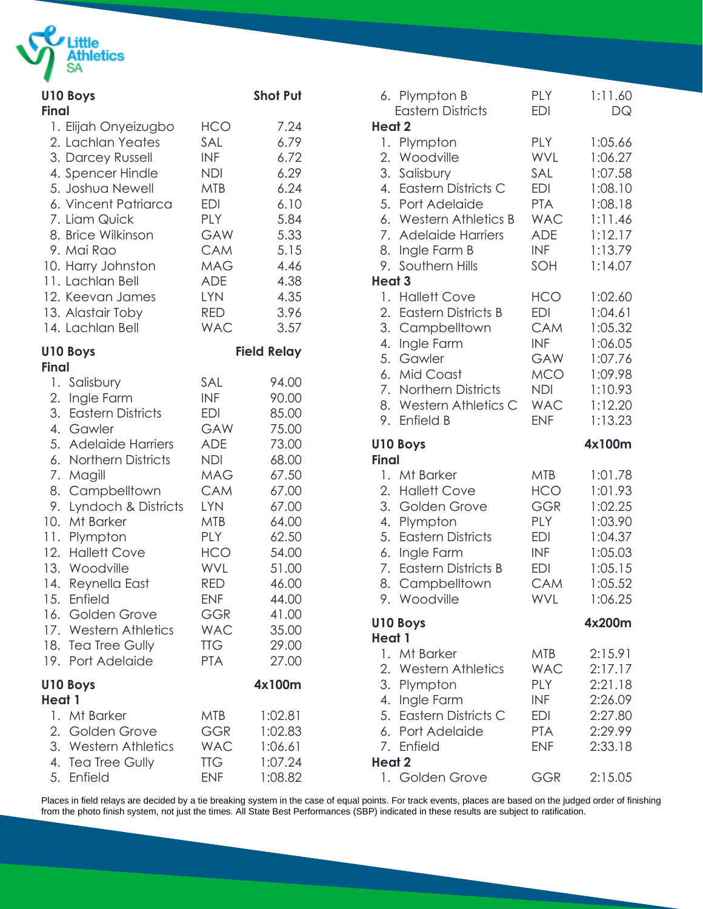

| <b>Final</b>  | <b>U10 Boys</b>        |            | <b>Shot Put</b>    |
|---------------|------------------------|------------|--------------------|
|               | 1. Elijah Onyeizugbo   | <b>HCO</b> | 7.24               |
|               | 2. Lachlan Yeates      | SAL        | 6.79               |
|               | 3. Darcey Russell      | INF        | 6.72               |
|               | 4. Spencer Hindle      | NDI        | 6.29               |
|               | 5. Joshua Newell       | MTB        | 6.24               |
|               | 6. Vincent Patriarca   | EDI        | 6.10               |
|               | 7. Liam Quick          | <b>PLY</b> | 5.84               |
|               | 8. Brice Wilkinson     | <b>GAW</b> | 5.33               |
|               | 9. Mai Rao             | <b>CAM</b> | 5.15               |
|               | 10. Harry Johnston     | MAG        | 4.46               |
|               | 11. Lachlan Bell       | <b>ADE</b> | 4.38               |
|               | 12. Keevan James       | <b>LYN</b> | 4.35               |
|               | 13. Alastair Toby      | RED        | 3.96               |
|               | 14. Lachlan Bell       | <b>WAC</b> | 3.57               |
|               | <b>U10 Boys</b>        |            | <b>Field Relay</b> |
| <b>Final</b>  | 1. Salisbury           | SAL        | 94.00              |
|               | 2. Ingle Farm          | INF        | 90.00              |
|               | 3. Eastern Districts   | <b>EDI</b> | 85.00              |
|               | 4. Gawler              | GAW        | 75.00              |
|               | 5. Adelaide Harriers   | ADE        | 73.00              |
|               | 6. Northern Districts  | <b>NDI</b> | 68.00              |
|               | 7. Magill              | MAG        | 67.50              |
|               | 8. Campbelltown        | <b>CAM</b> | 67.00              |
|               | 9. Lyndoch & Districts | <b>LYN</b> | 67.00              |
|               | 10. Mt Barker          | MTB        | 64.00              |
|               | 11. Plympton           | <b>PLY</b> | 62.50              |
|               | 12. Hallett Cove       | HCO        | 54.00              |
|               | 13. Woodville          | <b>WVL</b> | 51.00              |
|               | 14. Reynella East      | <b>RED</b> | 46.00              |
|               | 15. Enfield            | <b>ENF</b> | 44.00              |
|               | 16. Golden Grove       | GGR        | 41.00              |
|               | 17. Western Athletics  | <b>WAC</b> | 35.00              |
|               | 18. Tea Tree Gully     | <b>TTG</b> | 29.00              |
|               | 19. Port Adelaide      | <b>PTA</b> | 27.00              |
| <b>Heat 1</b> | <b>U10 Boys</b>        |            | 4x100m             |
|               | 1. Mt Barker           | <b>MTB</b> | 1:02.81            |
|               | 2. Golden Grove        | GGR        | 1:02.83            |
|               | 3. Western Athletics   | <b>WAC</b> | 1:06.61            |
|               | 4. Tea Tree Gully      | TTG        | 1:07.24            |
|               | 5. Enfield             | <b>ENF</b> | 1:08.82            |

| 6. Plympton B<br><b>Eastern Districts</b>                                                                                                                                                                                        | <b>PLY</b><br><b>EDI</b>                                                                                     | 1:11.60<br>DQ                                                                                   |
|----------------------------------------------------------------------------------------------------------------------------------------------------------------------------------------------------------------------------------|--------------------------------------------------------------------------------------------------------------|-------------------------------------------------------------------------------------------------|
| Heat 2<br>Plympton<br>1.<br>Woodville<br>2.<br>3.<br>Salisbury<br>4. Eastern Districts C<br>5. Port Adelaide<br>6. Western Athletics B<br>7.<br><b>Adelaide Harriers</b><br>8.<br>Ingle Farm B<br>Southern Hills<br>9.<br>Heat 3 | <b>PLY</b><br><b>WVL</b><br>SAL<br>EDI<br><b>PTA</b><br><b>WAC</b><br><b>ADE</b><br><b>INF</b><br>SOH        | 1:05.66<br>1:06.27<br>1:07.58<br>1:08.10<br>1:08.18<br>1:11.46<br>1:12.17<br>1:13.79<br>1:14.07 |
| <b>Hallett Cove</b><br>1.<br>2.<br><b>Eastern Districts B</b><br>3. Campbelltown<br>4.<br>Ingle Farm<br>5.<br>Gawler<br>6.<br>Mid Coast<br>7. Northern Districts<br>8. Western Athletics C<br>Enfield B<br>9.                    | <b>HCO</b><br>EDI<br><b>CAM</b><br><b>INF</b><br>GAW<br><b>MCO</b><br><b>NDI</b><br><b>WAC</b><br><b>ENF</b> | 1:02.60<br>1:04.61<br>1:05.32<br>1:06.05<br>1:07.76<br>1:09.98<br>1:10.93<br>1:12.20<br>1:13.23 |
|                                                                                                                                                                                                                                  |                                                                                                              |                                                                                                 |
| <b>U10 Boys</b>                                                                                                                                                                                                                  |                                                                                                              | 4x100m                                                                                          |
| <b>Final</b><br>1. Mt Barker<br>2. Hallett Cove<br>3. Golden Grove<br>4.<br>Plympton<br>5.<br><b>Eastern Districts</b><br>6.<br>Ingle Farm<br>7. Eastern Districts B<br>8. Campbelltown<br>9. Woodville                          | <b>MTB</b><br><b>HCO</b><br><b>GGR</b><br>PLY<br><b>EDI</b><br>INF<br><b>EDI</b><br>CAM<br>WVL               | 1:01.78<br>1:01.93<br>1:02.25<br>1:03.90<br>1:04.37<br>1:05.03<br>1:05.15<br>1:05.52<br>1:06.25 |
| <b>U10 Boys</b><br>Heat 1                                                                                                                                                                                                        |                                                                                                              | 4x200m                                                                                          |
| 1. Mt Barker<br>2. Western Athletics<br>3. Plympton<br>4. Ingle Farm<br>5. Eastern Districts C<br>6. Port Adelaide<br>7. Enfield<br>Heat 2                                                                                       | <b>MTB</b><br><b>WAC</b><br><b>PLY</b><br>INF<br>EDI<br><b>PTA</b><br><b>ENF</b>                             | 2:15.91<br>2:17.17<br>2:21.18<br>2:26.09<br>2:27.80<br>2:29.99<br>2:33.18                       |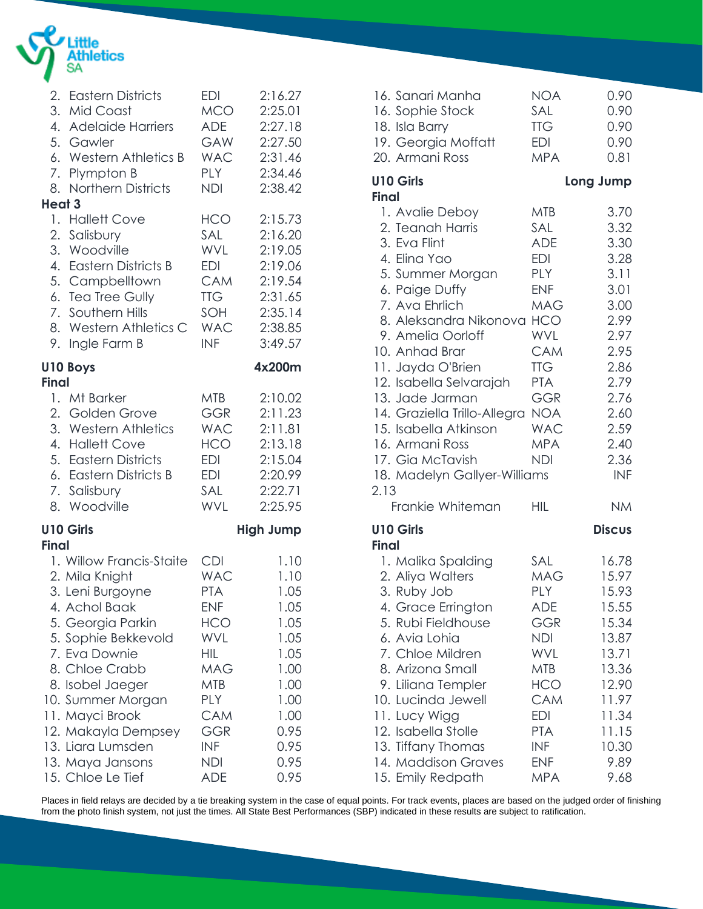

| 2.<br>8.                         | <b>Eastern Districts</b><br>3. Mid Coast<br>4. Adelaide Harriers<br>5. Gawler<br>6. Western Athletics B<br>7. Plympton B<br>Northern Districts                                                                                                                                                                  | <b>EDI</b><br><b>MCO</b><br><b>ADE</b><br><b>GAW</b><br><b>WAC</b><br><b>PLY</b><br><b>NDI</b>                                                                | 2:16.27<br>2:25.01<br>2:27.18<br>2:27.50<br>2:31.46<br>2:34.46<br>2:38.42                                            |
|----------------------------------|-----------------------------------------------------------------------------------------------------------------------------------------------------------------------------------------------------------------------------------------------------------------------------------------------------------------|---------------------------------------------------------------------------------------------------------------------------------------------------------------|----------------------------------------------------------------------------------------------------------------------|
| Heat 3<br>9.                     | 1. Hallett Cove<br>2. Salisbury<br>3. Woodville<br>4. Eastern Districts B<br>5. Campbelltown<br>6. Tea Tree Gully<br>7. Southern Hills<br>8. Western Athletics C<br>Ingle Farm B                                                                                                                                | <b>HCO</b><br><b>SAL</b><br><b>WVL</b><br>EDI<br><b>CAM</b><br><b>TTG</b><br>SOH<br><b>WAC</b><br><b>INF</b>                                                  | 2:15.73<br>2:16.20<br>2:19.05<br>2:19.06<br>2:19.54<br>2:31.65<br>2:35.14<br>2:38.85<br>3:49.57                      |
| <b>U10 Boys</b><br><b>Final</b>  |                                                                                                                                                                                                                                                                                                                 |                                                                                                                                                               | 4x200m                                                                                                               |
|                                  | 1. Mt Barker<br>2. Golden Grove<br>3. Western Athletics<br>4. Hallett Cove<br>5. Eastern Districts<br>6. Eastern Districts B<br>7. Salisbury<br>8. Woodville                                                                                                                                                    | <b>MTB</b><br><b>GGR</b><br><b>WAC</b><br>HCO<br>EDI<br>EDI<br>SAL<br><b>WVL</b>                                                                              | 2:10.02<br>2:11.23<br>2:11.81<br>2:13.18<br>2:15.04<br>2:20.99<br>2:22.71<br>2:25.95                                 |
| <b>U10 Girls</b><br><b>Final</b> |                                                                                                                                                                                                                                                                                                                 |                                                                                                                                                               | <b>High Jump</b>                                                                                                     |
|                                  | 1. Willow Francis-Staite<br>2. Mila Knight<br>3. Leni Burgoyne<br>4. Achol Baak<br>5. Georgia Parkin<br>5. Sophie Bekkevold<br>7. Eva Downie<br>8. Chloe Crabb<br>8. Isobel Jaeger<br>10. Summer Morgan<br>11. Mayci Brook<br>12. Makayla Dempsey<br>13. Liara Lumsden<br>13. Maya Jansons<br>15. Chloe Le Tief | <b>CDI</b><br><b>WAC</b><br><b>PTA</b><br><b>ENF</b><br><b>HCO</b><br>WVL<br>HIL<br><b>MAG</b><br><b>MTB</b><br><b>PLY</b><br>CAM<br>GGR<br>INF<br>NDI<br>ADE | 1.10<br>1.10<br>1.05<br>1.05<br>1.05<br>1.05<br>1.05<br>1.00<br>1.00<br>1.00<br>1.00<br>0.95<br>0.95<br>0.95<br>0.95 |

| 16. Sanari Manha<br>16. Sophie Stock<br>18. Isla Barry<br>19. Georgia Moffatt<br>20. Armani Ross                                                                                                                                                                                                                                                                                                                                | <b>NOA</b><br>SAL<br><b>TTG</b><br><b>EDI</b><br><b>MPA</b>                                                                                                                               | 0.90<br>0.90<br>0.90<br>0.90<br>0.81                                                                                                               |
|---------------------------------------------------------------------------------------------------------------------------------------------------------------------------------------------------------------------------------------------------------------------------------------------------------------------------------------------------------------------------------------------------------------------------------|-------------------------------------------------------------------------------------------------------------------------------------------------------------------------------------------|----------------------------------------------------------------------------------------------------------------------------------------------------|
| <b>U10 Girls</b>                                                                                                                                                                                                                                                                                                                                                                                                                |                                                                                                                                                                                           | Long Jump                                                                                                                                          |
| <b>Final</b><br>1. Avalie Deboy<br>2. Teanah Harris<br>3. Eva Flint<br>4. Elina Yao<br>5. Summer Morgan<br>6. Paige Duffy<br>7. Ava Ehrlich<br>8. Aleksandra Nikonova HCO<br>9. Amelia Oorloff<br>10. Anhad Brar<br>11. Jayda O'Brien<br>12. Isabella Selvarajah<br>13. Jade Jarman<br>14. Graziella Trillo-Allegra NOA<br>15. Isabella Atkinson<br>16. Armani Ross<br>17. Gia McTavish<br>18. Madelyn Gallyer-Williams<br>2.13 | <b>MTB</b><br>SAL<br><b>ADE</b><br>EDI<br><b>PLY</b><br><b>ENF</b><br><b>MAG</b><br><b>WVL</b><br><b>CAM</b><br><b>TTG</b><br><b>PTA</b><br>GGR<br><b>WAC</b><br><b>MPA</b><br><b>NDI</b> | 3.70<br>3.32<br>3.30<br>3.28<br>3.11<br>3.01<br>3.00<br>2.99<br>2.97<br>2.95<br>2.86<br>2.79<br>2.76<br>2.60<br>2.59<br>2.40<br>2.36<br><b>INF</b> |
| Frankie Whiteman                                                                                                                                                                                                                                                                                                                                                                                                                | HIL                                                                                                                                                                                       | <b>NM</b>                                                                                                                                          |
| <b>U10 Girls</b><br><b>Final</b>                                                                                                                                                                                                                                                                                                                                                                                                |                                                                                                                                                                                           | <b>Discus</b>                                                                                                                                      |
| 1. Malika Spalding<br>2. Aliya Walters<br>3. Ruby Job<br>4. Grace Errington<br>5. Rubi Fieldhouse<br>6. Avia Lohia<br>7. Chloe Mildren<br>8. Arizona Small<br>9. Liliana Templer<br>10. Lucinda Jewell<br>11. Lucy Wigg<br>12. Isabella Stolle<br>13. Tiffany Thomas<br>14. Maddison Graves<br>15. Emily Redpath                                                                                                                | <b>SAL</b><br>MAG<br>PLY<br>ADE<br>GGR<br>NDI<br>WVL<br><b>MTB</b><br><b>HCO</b><br><b>CAM</b><br><b>EDI</b><br><b>PTA</b><br><b>INF</b><br><b>ENF</b><br><b>MPA</b>                      | 16.78<br>15.97<br>15.93<br>15.55<br>15.34<br>13.87<br>13.71<br>13.36<br>12.90<br>11.97<br>11.34<br>11.15<br>10.30<br>9.89<br>9.68                  |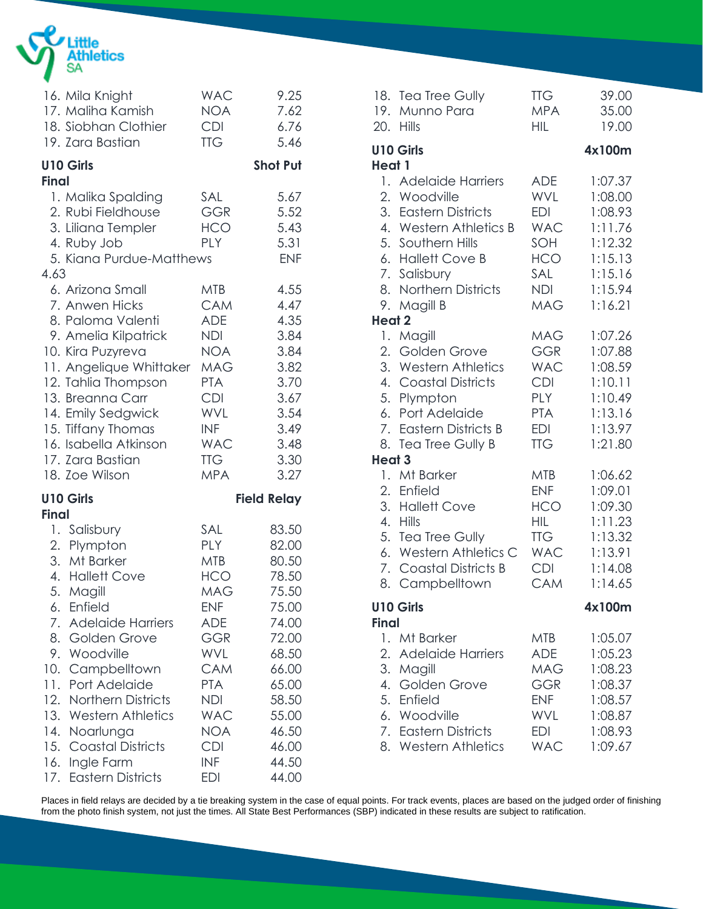

| 16. Mila Knight<br>17. Maliha Kamish<br>18. Siobhan Clothier<br>19. Zara Bastian                                                                                                                                                                                                                                                                                                                                | <b>WAC</b><br>NOA<br><b>CDI</b><br><b>TTG</b>                                                                                                                                                                         | 9.25<br>7.62<br>6.76<br>5.46                                                                                                                          |
|-----------------------------------------------------------------------------------------------------------------------------------------------------------------------------------------------------------------------------------------------------------------------------------------------------------------------------------------------------------------------------------------------------------------|-----------------------------------------------------------------------------------------------------------------------------------------------------------------------------------------------------------------------|-------------------------------------------------------------------------------------------------------------------------------------------------------|
| <b>U10 Girls</b>                                                                                                                                                                                                                                                                                                                                                                                                |                                                                                                                                                                                                                       | <b>Shot Put</b>                                                                                                                                       |
| <b>Final</b><br>1. Malika Spalding<br>2. Rubi Fieldhouse<br>3. Liliana Templer<br>4. Ruby Job<br>5. Kiana Purdue-Matthews<br>4.63                                                                                                                                                                                                                                                                               | SAL<br><b>GGR</b><br>HCO<br><b>PLY</b>                                                                                                                                                                                | 5.67<br>5.52<br>5.43<br>5.31<br><b>ENF</b>                                                                                                            |
| 6. Arizona Small<br>7. Anwen Hicks<br>8. Paloma Valenti<br>9. Amelia Kilpatrick<br>10. Kira Puzyreva<br>11. Angelique Whittaker<br>12. Tahlia Thompson<br>13. Breanna Carr<br>14. Emily Sedgwick<br>15. Tiffany Thomas<br>16. Isabella Atkinson<br>17. Zara Bastian<br>18. Zoe Wilson                                                                                                                           | MTB<br><b>CAM</b><br><b>ADE</b><br><b>NDI</b><br><b>NOA</b><br>MAG<br><b>PTA</b><br><b>CDI</b><br><b>WVL</b><br><b>INF</b><br><b>WAC</b><br><b>TTG</b><br><b>MPA</b>                                                  | 4.55<br>4.47<br>4.35<br>3.84<br>3.84<br>3.82<br>3.70<br>3.67<br>3.54<br>3.49<br>3.48<br>3.30<br>3.27                                                  |
| <b>U10 Girls</b><br><b>Final</b>                                                                                                                                                                                                                                                                                                                                                                                |                                                                                                                                                                                                                       | <b>Field Relay</b>                                                                                                                                    |
| 1. Salisbury<br>2. Plympton<br>3. Mt Barker<br>4. Hallett Cove<br>5.<br>Magill<br>Enfield<br>6.<br>7.<br><b>Adelaide Harriers</b><br>8.<br>Golden Grove<br>9.<br>Woodville<br>10.<br>Campbelltown<br>Port Adelaide<br>11.<br>12.<br><b>Northern Districts</b><br>13.<br><b>Western Athletics</b><br>14.<br>Noarlunga<br>15.<br><b>Coastal Districts</b><br>Ingle Farm<br>16.<br><b>Eastern Districts</b><br>17. | SAL<br><b>PLY</b><br><b>MTB</b><br><b>HCO</b><br><b>MAG</b><br><b>ENF</b><br><b>ADE</b><br>GGR<br><b>WVL</b><br><b>CAM</b><br><b>PTA</b><br><b>NDI</b><br><b>WAC</b><br>NOA<br><b>CDI</b><br><b>INF</b><br><b>EDI</b> | 83.50<br>82.00<br>80.50<br>78.50<br>75.50<br>75.00<br>74.00<br>72.00<br>68.50<br>66.00<br>65.00<br>58.50<br>55.00<br>46.50<br>46.00<br>44.50<br>44.00 |

| 19.<br>20.                | 18. Tea Tree Gully<br>Munno Para<br><b>Hills</b>                                                                                                                                                                                                          | <b>TTG</b><br><b>MPA</b><br><b>HIL</b>                                                                                                                                             | 39.00<br>35.00<br>19.00                                                                                                                     |
|---------------------------|-----------------------------------------------------------------------------------------------------------------------------------------------------------------------------------------------------------------------------------------------------------|------------------------------------------------------------------------------------------------------------------------------------------------------------------------------------|---------------------------------------------------------------------------------------------------------------------------------------------|
| Heat 1                    | <b>U10 Girls</b>                                                                                                                                                                                                                                          |                                                                                                                                                                                    | 4x100m                                                                                                                                      |
| 9.<br>Heat 2              | 1. Adelaide Harriers<br>2. Woodville<br>3. Eastern Districts<br>4. Western Athletics B<br>5. Southern Hills<br>6. Hallett Cove B<br>7. Salisbury<br>8. Northern Districts<br>Magill B                                                                     | <b>ADE</b><br><b>WVL</b><br><b>EDI</b><br><b>WAC</b><br>SOH<br><b>HCO</b><br>SAL<br><b>NDI</b><br><b>MAG</b>                                                                       | 1:07.37<br>1:08.00<br>1:08.93<br>1:11.76<br>1:12.32<br>1:15.13<br>1:15.16<br>1:15.94<br>1:16.21                                             |
|                           | 1. Magill                                                                                                                                                                                                                                                 | <b>MAG</b>                                                                                                                                                                         | 1:07.26                                                                                                                                     |
| 2.<br><b>Heat 3</b><br>2. | Golden Grove<br>3. Western Athletics<br>4. Coastal Districts<br>5. Plympton<br>6. Port Adelaide<br>7. Eastern Districts B<br>8. Tea Tree Gully B<br>1. Mt Barker<br>Enfield<br>3. Hallett Cove<br>4. Hills<br>5. Tea Tree Gully<br>6. Western Athletics C | <b>GGR</b><br><b>WAC</b><br><b>CDI</b><br><b>PLY</b><br><b>PTA</b><br><b>EDI</b><br><b>TTG</b><br><b>MTB</b><br><b>ENF</b><br><b>HCO</b><br><b>HIL</b><br><b>TTG</b><br><b>WAC</b> | 1:07.88<br>1:08.59<br>1:10.11<br>1:10.49<br>1:13.16<br>1:13.97<br>1:21.80<br>1:06.62<br>1:09.01<br>1:09.30<br>1:11.23<br>1:13.32<br>1:13.91 |
| 8.                        | 7. Coastal Districts B<br>Campbelltown                                                                                                                                                                                                                    | <b>CDI</b><br>CAM                                                                                                                                                                  | 1:14.08<br>1:14.65                                                                                                                          |
|                           | <b>U10 Girls</b>                                                                                                                                                                                                                                          |                                                                                                                                                                                    | 4x100m                                                                                                                                      |
| <b>Final</b>              | 1. Mt Barker                                                                                                                                                                                                                                              | MTB                                                                                                                                                                                | 1:05.07                                                                                                                                     |
| 2.<br>3.<br>4.            | <b>Adelaide Harriers</b><br>Magill<br>Golden Grove<br>5. Enfield<br>6. Woodville<br>7. Eastern Districts<br>8. Western Athletics                                                                                                                          | ADE<br><b>MAG</b><br><b>GGR</b><br><b>ENF</b><br>WVL<br><b>EDI</b><br><b>WAC</b>                                                                                                   | 1:05.23<br>1:08.23<br>1:08.37<br>1:08.57<br>1:08.87<br>1:08.93<br>1:09.67                                                                   |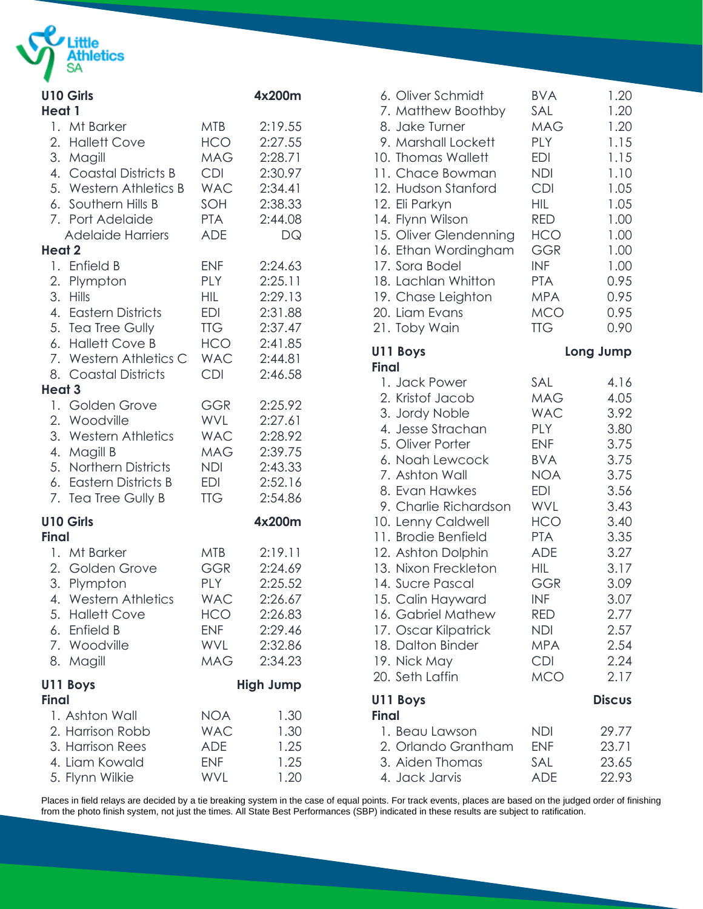

| <b>U10 Girls</b><br>Heat 1                                                                                                                                                             |                                                                                                       | 4x200m                                                                                         |
|----------------------------------------------------------------------------------------------------------------------------------------------------------------------------------------|-------------------------------------------------------------------------------------------------------|------------------------------------------------------------------------------------------------|
| 1. Mt Barker<br>2. Hallett Cove<br>3. Magill<br>4. Coastal Districts B<br>5. Western Athletics B<br>6. Southern Hills B<br>7. Port Adelaide<br><b>Adelaide Harriers</b>                | MTB<br><b>HCO</b><br>MAG<br><b>CDI</b><br><b>WAC</b><br>SOH<br><b>PTA</b><br><b>ADE</b>               | 2:19.55<br>2:27.55<br>2:28.71<br>2:30.97<br>2:34.41<br>2:38.33<br>2:44.08<br>DQ                |
| <b>Heat 2</b><br>1. Enfield B<br>2. Plympton<br>3. Hills<br>4. Eastern Districts<br>5. Tea Tree Gully<br>6. Hallett Cove B<br>7. Western Athletics C<br>8. Coastal Districts<br>Heat 3 | <b>ENF</b><br><b>PLY</b><br><b>HIL</b><br><b>EDI</b><br><b>TTG</b><br><b>HCO</b><br>WAC<br><b>CDI</b> | 2:24.63<br>2:25.11<br>2:29.13<br>2:31.88<br>2:37.47<br>2:41.85<br>2:44.81<br>2:46.58           |
| 1. Golden Grove<br>2. Woodville<br>3. Western Athletics<br>4. Magill B<br>5. Northern Districts<br>6. Eastern Districts B<br>7. Tea Tree Gully B                                       | <b>GGR</b><br>WVL<br>WAC<br>MAG<br><b>NDI</b><br>EDI<br><b>TTG</b>                                    | 2:25.92<br>2:27.61<br>2:28.92<br>2:39.75<br>2:43.33<br>2:52.16<br>2:54.86                      |
| <b>U10 Girls</b><br><b>Final</b><br>1. Mt Barker<br>2. Golden Grove<br>3. Plympton<br>4. Western Athletics<br>5. Hallett Cove<br>6. Enfield B<br>7. Woodville<br>8. Magill             | <b>MTB</b><br><b>GGR</b><br>PLY<br><b>WAC</b><br>HCO<br><b>ENF</b><br>WVL<br>MAG                      | 4x200m<br>2:19.11<br>2:24.69<br>2:25.52<br>2:26.67<br>2:26.83<br>2:29.46<br>2:32.86<br>2:34.23 |
| U11 Boys<br>Final<br>1. Ashton Wall<br>2. Harrison Robb<br>3. Harrison Rees<br>4. Liam Kowald<br>5. Flynn Wilkie                                                                       | <b>NOA</b><br><b>WAC</b><br><b>ADE</b><br><b>ENF</b><br><b>WVL</b>                                    | <b>High Jump</b><br>1.30<br>1.30<br>1.25<br>1.25<br>1.20                                       |

| 6. Oliver Schmidt        | <b>BVA</b> | 1.20          |
|--------------------------|------------|---------------|
| 7. Matthew Boothby       | SAL        | 1.20          |
| 8. Jake Turner           | <b>MAG</b> | 1.20          |
| 9. Marshall Lockett      | <b>PLY</b> | 1.15          |
| 10. Thomas Wallett       | <b>EDI</b> | 1.15          |
| 11. Chace Bowman         | <b>NDI</b> | 1.10          |
| 12. Hudson Stanford      | <b>CDI</b> | 1.05          |
| 12. Eli Parkyn           | HIL        | 1.05          |
| 14. Flynn Wilson         | <b>RED</b> | 1.00          |
| 15. Oliver Glendenning   | HCO        | 1.00          |
| 16. Ethan Wordingham     | GGR        | 1.00          |
| 17. Sora Bodel           | <b>INF</b> | 1.00          |
| 18. Lachlan Whitton      | <b>PTA</b> | 0.95          |
| 19. Chase Leighton       | <b>MPA</b> | 0.95          |
| 20. Liam Evans           | <b>MCO</b> | 0.95          |
| 21. Toby Wain            | <b>TTG</b> | 0.90          |
| U11 Boys<br><b>Final</b> |            | Long Jump     |
| 1. Jack Power            | SAL        | 4.16          |
| 2. Kristof Jacob         | <b>MAG</b> | 4.05          |
| 3. Jordy Noble           | <b>WAC</b> | 3.92          |
| 4. Jesse Strachan        | <b>PLY</b> | 3.80          |
| 5. Oliver Porter         | <b>ENF</b> | 3.75          |
| 6. Noah Lewcock          | <b>BVA</b> | 3.75          |
| 7. Ashton Wall           | <b>NOA</b> | 3.75          |
| 8. Evan Hawkes           | <b>EDI</b> | 3.56          |
| 9. Charlie Richardson    | <b>WVL</b> | 3.43          |
| 10. Lenny Caldwell       | <b>HCO</b> | 3.40          |
| 11. Brodie Benfield      | <b>PTA</b> | 3.35          |
| 12. Ashton Dolphin       | <b>ADE</b> | 3.27          |
| 13. Nixon Freckleton     | HIL        | 3.17          |
| 14. Sucre Pascal         | <b>GGR</b> | 3.09          |
| 15. Calin Hayward        | <b>INF</b> | 3.07          |
| 16. Gabriel Mathew       | RED        | 2.77          |
| 17. Oscar Kilpatrick     | <b>NDI</b> | 2.57          |
| 18. Dalton Binder        | <b>MPA</b> | 2.54          |
| 19. Nick May             | <b>CDI</b> | 2.24          |
| 20. Seth Laffin          | <b>MCO</b> | 2.17          |
| U11 Boys<br><b>Final</b> |            | <b>Discus</b> |
| 1. Beau Lawson           | NDI        | 29.77         |
| 2. Orlando Grantham      | <b>ENF</b> | 23.71         |
| 3. Aiden Thomas          | SAL        | 23.65         |
| 4. Jack Jarvis           | <b>ADE</b> | 22.93         |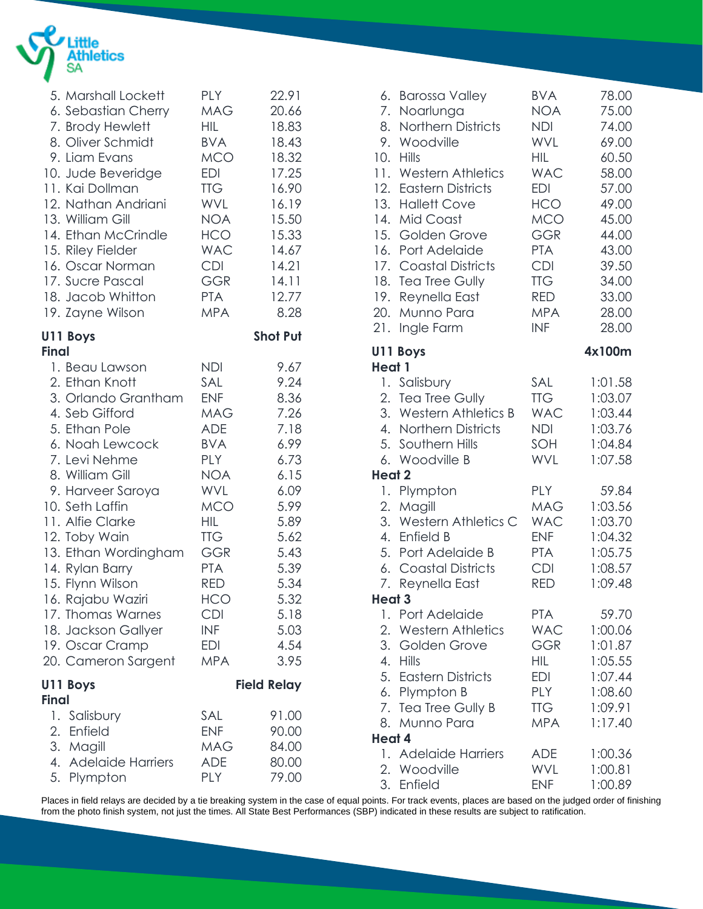

|              | 5. Marshall Lockett  | <b>PLY</b> | 22.91              |
|--------------|----------------------|------------|--------------------|
|              | 6. Sebastian Cherry  | MAG        | 20.66              |
|              | 7. Brody Hewlett     | <b>HIL</b> | 18.83              |
|              | 8. Oliver Schmidt    | <b>BVA</b> | 18.43              |
|              | 9. Liam Evans        | <b>MCO</b> | 18.32              |
|              | 10. Jude Beveridge   | <b>EDI</b> | 17.25              |
|              | 11. Kai Dollman      | <b>TTG</b> | 16.90              |
|              | 12. Nathan Andriani  | WVL        | 16.19              |
|              | 13. William Gill     | <b>NOA</b> | 15.50              |
|              | 14. Ethan McCrindle  | <b>HCO</b> | 15.33              |
|              | 15. Riley Fielder    | <b>WAC</b> | 14.67              |
|              | 16. Oscar Norman     | <b>CDI</b> | 14.21              |
|              | 17. Sucre Pascal     | GGR        | 14.11              |
|              | 18. Jacob Whitton    | <b>PTA</b> | 12.77              |
|              | 19. Zayne Wilson     | <b>MPA</b> | 8.28               |
| <b>Final</b> | U11 Boys             |            | <b>Shot Put</b>    |
|              | 1. Beau Lawson       | <b>NDI</b> | 9.67               |
|              | 2. Ethan Knott       | SAL        | 9.24               |
|              | 3. Orlando Grantham  | <b>ENF</b> | 8.36               |
|              | 4. Seb Gifford       | MAG        | 7.26               |
|              | 5. Ethan Pole        | ADE        | 7.18               |
|              | 6. Noah Lewcock      | <b>BVA</b> | 6.99               |
|              | 7. Levi Nehme        | <b>PLY</b> | 6.73               |
|              | 8. William Gill      | <b>NOA</b> | 6.15               |
|              | 9. Harveer Saroya    | <b>WVL</b> | 6.09               |
|              | 10. Seth Laffin      | <b>MCO</b> | 5.99               |
|              | 11. Alfie Clarke     | <b>HIL</b> | 5.89               |
|              | 12. Toby Wain        | <b>TTG</b> | 5.62               |
|              | 13. Ethan Wordingham | <b>GGR</b> | 5.43               |
|              | 14. Rylan Barry      | <b>PTA</b> | 5.39               |
|              | 15. Flynn Wilson     | <b>RED</b> | 5.34               |
|              | 16. Rajabu Waziri    | HCO        | 5.32               |
|              | 17. Thomas Warnes    | <b>CDI</b> | 5.18               |
|              | 18. Jackson Gallyer  | INF        | 5.03               |
|              | 19. Oscar Cramp      | <b>EDI</b> | 4.54               |
|              | 20. Cameron Sargent  | <b>MPA</b> | 3.95               |
| Final        | U11 Boys             |            | <b>Field Relay</b> |
|              | 1. Salisbury         | SAL        | 91.00              |
|              | 2. Enfield           | <b>ENF</b> | 90.00              |
|              | 3. Magill            | MAG        | 84.00              |
|              | 4. Adelaide Harriers | ADE        | 80.00              |
|              | 5. Plympton          | <b>PLY</b> | 79.00              |

| 7.<br>8.<br>9.<br>10.<br>11.<br>12.<br>13.<br>14.<br>15.<br>16.<br>17.<br>18.<br>19.<br>20.<br>21. | 6. Barossa Valley<br>Noarlunga<br>Northern Districts<br>Woodville<br><b>Hills</b><br><b>Western Athletics</b><br><b>Eastern Districts</b><br><b>Hallett Cove</b><br>Mid Coast<br>Golden Grove<br>Port Adelaide<br><b>Coastal Districts</b><br>Tea Tree Gully<br>Reynella East<br>Munno Para<br>Ingle Farm | <b>BVA</b><br><b>NOA</b><br><b>NDI</b><br>WVL<br><b>HIL</b><br><b>WAC</b><br><b>EDI</b><br><b>HCO</b><br><b>MCO</b><br><b>GGR</b><br><b>PTA</b><br>CDI<br><b>TTG</b><br><b>RED</b><br><b>MPA</b><br><b>INF</b> | 78.00<br>75.00<br>74.00<br>69.00<br>60.50<br>58.00<br>57.00<br>49.00<br>45.00<br>44.00<br>43.00<br>39.50<br>34.00<br>33.00<br>28.00<br>28.00 |
|----------------------------------------------------------------------------------------------------|-----------------------------------------------------------------------------------------------------------------------------------------------------------------------------------------------------------------------------------------------------------------------------------------------------------|----------------------------------------------------------------------------------------------------------------------------------------------------------------------------------------------------------------|----------------------------------------------------------------------------------------------------------------------------------------------|
|                                                                                                    | U11 Boys                                                                                                                                                                                                                                                                                                  |                                                                                                                                                                                                                | 4x100m                                                                                                                                       |
| Heat 1<br>5.<br><b>Heat 2</b><br>1.<br>2.<br>3.                                                    | 1. Salisbury<br>2. Tea Tree Gully<br>3. Western Athletics B<br>4. Northern Districts<br>Southern Hills<br>6. Woodville B<br>Plympton<br>Magill<br><b>Western Athletics C</b><br>4. Enfield B<br>5. Port Adelaide B<br>6. Coastal Districts                                                                | SAL<br><b>TTG</b><br><b>WAC</b><br><b>NDI</b><br>SOH<br>WVL<br><b>PLY</b><br><b>MAG</b><br><b>WAC</b><br><b>ENF</b><br><b>PTA</b><br><b>CDI</b>                                                                | 1:01.58<br>1:03.07<br>1:03.44<br>1:03.76<br>1:04.84<br>1:07.58<br>59.84<br>1:03.56<br>1:03.70<br>1:04.32<br>1:05.75<br>1:08.57               |
| Heat 3                                                                                             | 7. Reynella East                                                                                                                                                                                                                                                                                          | <b>RED</b>                                                                                                                                                                                                     | 1:09.48                                                                                                                                      |
| Ι.<br>4.<br>8.<br>Heat 4                                                                           | Port Adelaide<br>2. Western Athletics<br>3. Golden Grove<br><b>Hills</b><br>5. Eastern Districts<br>6. Plympton B<br>7. Tea Tree Gully B<br>Munno Para                                                                                                                                                    | <b>PTA</b><br><b>WAC</b><br><b>GGR</b><br><b>HIL</b><br><b>EDI</b><br>PLY<br><b>TTG</b><br><b>MPA</b>                                                                                                          | 59.70<br>1:00.06<br>1:01.87<br>1:05.55<br>1:07.44<br>1:08.60<br>1:09.91<br>1:17.40                                                           |
|                                                                                                    | 1. Adelaide Harriers                                                                                                                                                                                                                                                                                      | ADE                                                                                                                                                                                                            | 1:00.36                                                                                                                                      |
| 3.                                                                                                 | 2. Woodville<br>Enfield                                                                                                                                                                                                                                                                                   | WVL<br><b>ENF</b>                                                                                                                                                                                              | 1:00.81<br>1:00.89                                                                                                                           |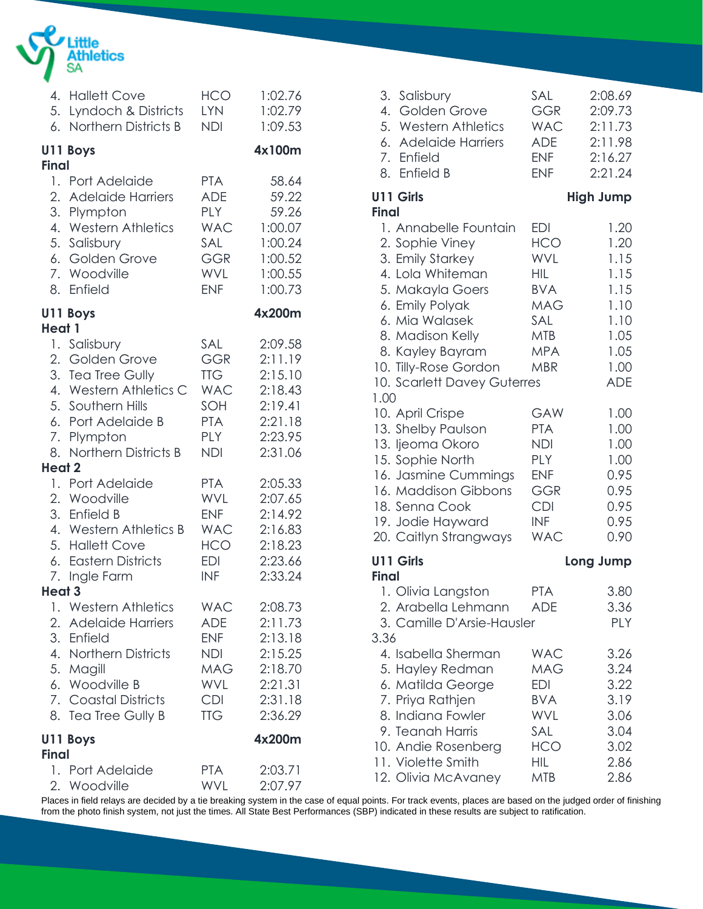

|                         | 4. Hallett Cove          | <b>HCO</b> | 1:02.76 |
|-------------------------|--------------------------|------------|---------|
|                         | 5. Lyndoch & Districts   | <b>LYN</b> | 1:02.79 |
|                         | 6. Northern Districts B  | <b>NDI</b> | 1:09.53 |
|                         | U11 Boys                 |            | 4x100m  |
| <b>Final</b>            | 1. Port Adelaide         | <b>PTA</b> | 58.64   |
|                         | 2. Adelaide Harriers     | <b>ADE</b> | 59.22   |
|                         | 3. Plympton              | <b>PLY</b> | 59.26   |
|                         | 4. Western Athletics     | <b>WAC</b> | 1:00.07 |
|                         | 5. Salisbury             | SAL        | 1:00.24 |
|                         | 6. Golden Grove          | GGR        | 1:00.52 |
|                         | 7. Woodville             | WVL        | 1:00.55 |
|                         | 8. Enfield               | <b>ENF</b> | 1:00.73 |
| Heat 1                  | U11 Boys                 |            | 4x200m  |
|                         | 1. Salisbury             | SAL        | 2:09.58 |
|                         | 2. Golden Grove          | <b>GGR</b> | 2:11.19 |
|                         | 3. Tea Tree Gully        | <b>TTG</b> | 2:15.10 |
|                         | 4. Western Athletics C   | <b>WAC</b> | 2:18.43 |
|                         | 5. Southern Hills        | SOH        | 2:19.41 |
|                         | 6. Port Adelaide B       | <b>PTA</b> | 2:21.18 |
|                         | 7. Plympton              | <b>PLY</b> | 2:23.95 |
|                         | 8. Northern Districts B  | <b>NDI</b> | 2:31.06 |
| Heat 2                  | 1. Port Adelaide         | <b>PTA</b> | 2:05.33 |
|                         | 2. Woodville             | <b>WVL</b> | 2:07.65 |
|                         | 3. Enfield B             | <b>ENF</b> | 2:14.92 |
|                         | 4. Western Athletics B   | <b>WAC</b> | 2:16.83 |
|                         | 5. Hallett Cove          | HCO        | 2:18.23 |
|                         | 6. Eastern Districts     | EDI        | 2:23.66 |
|                         | 7. Ingle Farm            | <b>INF</b> | 2:33.24 |
| Heat <sub>3</sub><br>1. | <b>Western Athletics</b> | <b>WAC</b> | 2:08.73 |
|                         | 2. Adelaide Harriers     | <b>ADE</b> | 2:11.73 |
|                         | 3. Enfield               | <b>ENF</b> | 2:13.18 |
|                         | 4. Northern Districts    | NDI        | 2:15.25 |
|                         | 5. Magill                | <b>MAG</b> | 2:18.70 |
|                         | 6. Woodville B           | <b>WVL</b> | 2:21.31 |
|                         | 7. Coastal Districts     | <b>CDI</b> | 2:31.18 |
|                         | 8. Tea Tree Gully B      | <b>TTG</b> | 2:36.29 |
| <b>Final</b>            | U11 Boys                 |            | 4x200m  |
|                         | 1. Port Adelaide         | <b>PTA</b> | 2:03.71 |
|                         | 2. Woodville             | <b>WVL</b> | 2:07.97 |

| 3.<br>Salisbury<br><b>Golden Grove</b><br>4.<br>5. Western Athletics<br>6. Adelaide Harriers<br>7.<br>Enfield<br>Enfield B<br>8.                                                                                                                  | SAL<br><b>GGR</b><br><b>WAC</b><br><b>ADE</b><br><b>ENF</b><br><b>ENF</b>                                                         | 2:08.69<br>2:09.73<br>2:11.73<br>2:11.98<br>2:16.27<br>2:21.24                             |
|---------------------------------------------------------------------------------------------------------------------------------------------------------------------------------------------------------------------------------------------------|-----------------------------------------------------------------------------------------------------------------------------------|--------------------------------------------------------------------------------------------|
| U11 Girls<br><b>Final</b>                                                                                                                                                                                                                         |                                                                                                                                   | <b>High Jump</b>                                                                           |
| 1. Annabelle Fountain<br>2. Sophie Viney<br>3. Emily Starkey<br>4. Lola Whiteman<br>5. Makayla Goers<br>6. Emily Polyak<br>6. Mia Walasek<br>8. Madison Kelly<br>8. Kayley Bayram<br>10. Tilly-Rose Gordon<br>10. Scarlett Davey Guterres<br>1.00 | <b>EDI</b><br><b>HCO</b><br><b>WVL</b><br><b>HIL</b><br><b>BVA</b><br><b>MAG</b><br>SAL<br><b>MTB</b><br><b>MPA</b><br><b>MBR</b> | 1.20<br>1.20<br>1.15<br>1.15<br>1.15<br>1.10<br>1.10<br>1.05<br>1.05<br>1.00<br><b>ADE</b> |
| 10. April Crispe<br>13. Shelby Paulson<br>13. ljeoma Okoro<br>15. Sophie North<br>16. Jasmine Cummings<br>16. Maddison Gibbons<br>18. Senna Cook<br>19. Jodie Hayward<br>20. Caitlyn Strangways                                                   | GAW<br><b>PTA</b><br><b>NDI</b><br><b>PLY</b><br><b>ENF</b><br>GGR<br><b>CDI</b><br><b>INF</b><br><b>WAC</b>                      | 1.00<br>1.00<br>1.00<br>1.00<br>0.95<br>0.95<br>0.95<br>0.95<br>0.90                       |
| U11 Girls<br><b>Final</b>                                                                                                                                                                                                                         |                                                                                                                                   | Long Jump                                                                                  |
| 1. Olivia Langston<br>2. Arabella Lehmann<br>3. Camille D'Arsie-Hausler<br>3.36                                                                                                                                                                   | <b>PTA</b><br><b>ADE</b>                                                                                                          | 3.80<br>3.36<br>PLY                                                                        |
| 4. Isabella Sherman<br>5. Hayley Redman<br>6. Matilda George<br>7. Priya Rathjen<br>8. Indiana Fowler<br>9. Teanah Harris<br>10. Andie Rosenberg<br>11. Violette Smith<br>12. Olivia McAvaney                                                     | <b>WAC</b><br><b>MAG</b><br><b>EDI</b><br><b>BVA</b><br><b>WVL</b><br>SAL<br><b>HCO</b><br>HIL<br><b>MTB</b>                      | 3.26<br>3.24<br>3.22<br>3.19<br>3.06<br>3.04<br>3.02<br>2.86<br>2.86                       |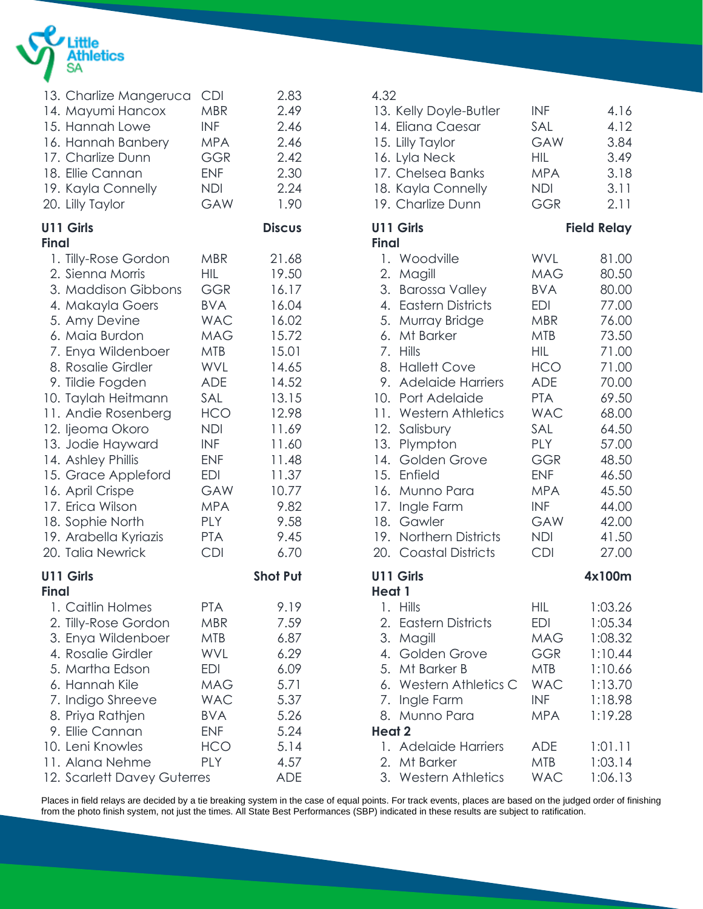

| <b>CDI</b><br><b>MBR</b><br><b>INF</b><br><b>MPA</b><br><b>GGR</b><br><b>ENF</b><br><b>NDI</b><br>GAW                                                                                                                                                    | 2.83<br>2.49<br>2.46<br>2.46<br>2.42<br>2.30<br>2.24<br>1.90                                                                                                                 |            |
|----------------------------------------------------------------------------------------------------------------------------------------------------------------------------------------------------------------------------------------------------------|------------------------------------------------------------------------------------------------------------------------------------------------------------------------------|------------|
|                                                                                                                                                                                                                                                          | <b>Discus</b>                                                                                                                                                                |            |
| <b>MBR</b><br>HIL<br><b>GGR</b><br>BVA<br><b>WAC</b><br><b>MAG</b><br><b>MTB</b><br><b>WVL</b><br><b>ADE</b><br>SAL<br><b>HCO</b><br><b>NDI</b><br><b>INF</b><br><b>ENF</b><br>EDI<br><b>GAW</b><br><b>MPA</b><br><b>PLY</b><br><b>PTA</b><br><b>CDI</b> | 21.68<br>19.50<br>16.17<br>16.04<br>16.02<br>15.72<br>15.01<br>14.65<br>14.52<br>13.15<br>12.98<br>11.69<br>11.60<br>11.48<br>11.37<br>10.77<br>9.82<br>9.58<br>9.45<br>6.70 |            |
|                                                                                                                                                                                                                                                          | <b>Shot Put</b>                                                                                                                                                              |            |
| <b>PTA</b><br><b>MBR</b><br><b>MTB</b><br><b>WVL</b><br><b>EDI</b><br><b>MAG</b><br><b>WAC</b><br><b>BVA</b><br><b>ENF</b><br><b>HCO</b><br><b>PLY</b>                                                                                                   | 9.19<br>7.59<br>6.87<br>6.29<br>6.09<br>5.71<br>5.37<br>5.26<br>5.24<br>5.14<br>4.57                                                                                         |            |
|                                                                                                                                                                                                                                                          | 12. Scarlett Davey Guterres                                                                                                                                                  | <b>ADE</b> |

### 4.32 13. Kelly Doyle-Butler INF 4.16 14. Eliana Caesar SAL 4.12 15. Lilly Taylor GAW 3.84 16. Lyla Neck HIL 3.49 17. Chelsea Banks MPA 3.18 18. Kayla Connelly MDI 3.11 19. Charlize Dunn GGR 2.11 **U11 Girls Field Relay Final** 1. Woodville WVL 81.00 2. Magill MAG 80.50 3. Barossa Valley BVA 80.00 4. Eastern Districts EDI 77.00 5. Murray Bridge MBR 76.00 6. Mt Barker MTB 73.50 7. Hills HIL 71.00 8. Hallett Cove HCO 71.00 9. Adelaide Harriers ADE 70.00 10. Port Adelaide PTA 69.50 11. Western Athletics WAC 68.00 12. Salisbury SAL 64.50 13. Plympton PLY 57.00 14. Golden Grove GGR 48.50 15. Enfield ENF 46.50 16. Munno Para MPA 45.50 17. Ingle Farm INF 44.00 18. Gawler GAW 42.00 19. Northern Districts NDI 41.50 20. Coastal Districts CDI 27.00 **U11 Girls 4x100m Heat 1** 1. Hills HIL 1:03.26 2. Eastern Districts EDI 1:05.34 3. Magill MAG 1:08.32 4. Golden Grove GGR 1:10.44 5. Mt Barker B MTB 1:10.66 6. Western Athletics C WAC 1:13.70 7. Ingle Farm INF 1:18.98 8. Munno Para MPA 1:19.28 **Heat 2** 1. Adelaide Harriers ADE 1:01.11 2. Mt Barker MTB 1:03.14 3. Western Athletics WAC 1:06.13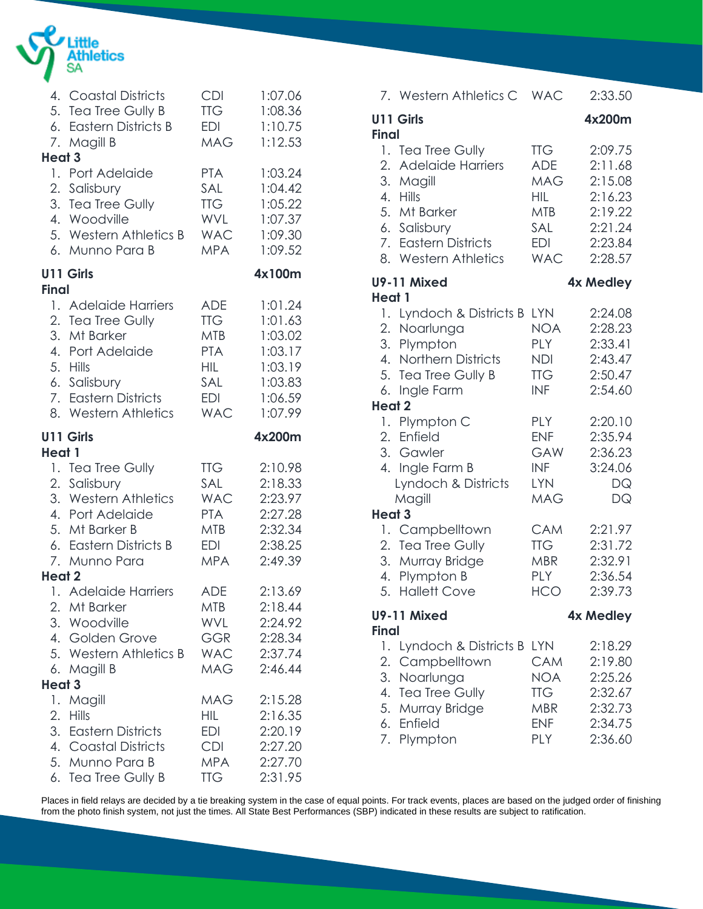

|                   | 4. Coastal Districts                                                                  | <b>CDI</b>                                    | 1:07.06                                             |
|-------------------|---------------------------------------------------------------------------------------|-----------------------------------------------|-----------------------------------------------------|
|                   | 5. Tea Tree Gully B                                                                   | <b>TTG</b>                                    | 1:08.36                                             |
|                   | 6. Eastern Districts B                                                                | EDI                                           | 1:10.75                                             |
|                   | 7. Magill B                                                                           | <b>MAG</b>                                    | 1:12.53                                             |
| Heat <sub>3</sub> | 1. Port Adelaide                                                                      | <b>PTA</b>                                    | 1:03.24                                             |
|                   | 2. Salisbury                                                                          | SAL                                           | 1:04.42                                             |
|                   | 3. Tea Tree Gully                                                                     | <b>TTG</b>                                    | 1:05.22                                             |
|                   | 4. Woodville                                                                          | WVL                                           | 1:07.37                                             |
|                   | 5. Western Athletics B                                                                | <b>WAC</b>                                    | 1:09.30                                             |
|                   | 6. Munno Para B                                                                       | <b>MPA</b>                                    | 1:09.52                                             |
| Final             | <b>U11 Girls</b>                                                                      |                                               | 4x100m                                              |
|                   | 1. Adelaide Harriers                                                                  | <b>ADE</b>                                    | 1:01.24                                             |
|                   | 2. Tea Tree Gully                                                                     | <b>TTG</b>                                    | 1:01.63                                             |
|                   | 3. Mt Barker                                                                          | <b>MTB</b>                                    | 1:03.02                                             |
|                   | 4. Port Adelaide                                                                      | <b>PTA</b>                                    | 1:03.17                                             |
|                   | 5. Hills                                                                              | <b>HIL</b>                                    | 1:03.19                                             |
|                   | 6. Salisbury                                                                          | SAL                                           | 1:03.83                                             |
|                   | 7. Eastern Districts                                                                  | EDI                                           | 1:06.59                                             |
|                   | 8. Western Athletics                                                                  | <b>WAC</b>                                    | 1:07.99                                             |
|                   | <b>U11 Girls</b>                                                                      |                                               | 4x200m                                              |
| Heat 1            | 1. Tea Tree Gully                                                                     | <b>TTG</b>                                    | 2:10.98                                             |
|                   | 2. Salisbury                                                                          | SAL                                           | 2:18.33                                             |
|                   | 3. Western Athletics                                                                  | <b>WAC</b>                                    | 2:23.97                                             |
|                   | 4. Port Adelaide                                                                      | <b>PTA</b>                                    | 2:27.28                                             |
|                   | 5. Mt Barker B                                                                        | <b>MTB</b>                                    | 2:32.34                                             |
|                   | 6. Eastern Districts B                                                                | <b>EDI</b>                                    | 2:38.25                                             |
|                   | 7. Munno Para                                                                         | <b>MPA</b>                                    | 2:49.39                                             |
| Heat 2            | 1. Adelaide Harriers                                                                  | <b>ADE</b>                                    | 2:13.69                                             |
| 6.<br>Heat 3      | 2. Mt Barker<br>3. Woodville<br>4. Golden Grove<br>5. Western Athletics B<br>Magill B | MTB<br>WVL<br>GGR<br><b>WAC</b><br><b>MAG</b> | 2:18.44<br>2:24.92<br>2:28.34<br>2:37.74<br>2:46.44 |
| 1.                | Magill                                                                                | MAG                                           | 2:15.28                                             |
| 2.                | <b>Hills</b>                                                                          | <b>HIL</b>                                    | 2:16.35                                             |
|                   | 3. Eastern Districts                                                                  | EDI                                           | 2:20.19                                             |
|                   | 4. Coastal Districts                                                                  | <b>CDI</b>                                    | 2:27.20                                             |
|                   | 5. Munno Para B                                                                       | <b>MPA</b>                                    | 2:27.70                                             |
|                   | 6. Tea Tree Gully B                                                                   | <b>TTG</b>                                    | 2:31.95                                             |

|                      | 7. Western Athletics C                                                                                                                                  | <b>WAC</b>                                                                                     | 2:33.50                                                                              |
|----------------------|---------------------------------------------------------------------------------------------------------------------------------------------------------|------------------------------------------------------------------------------------------------|--------------------------------------------------------------------------------------|
| <b>Final</b>         | U11 Girls                                                                                                                                               |                                                                                                | 4x200m                                                                               |
| 2.<br>4.<br>5.       | 1. Tea Tree Gully<br><b>Adelaide Harriers</b><br>3. Magill<br><b>Hills</b><br>Mt Barker<br>6. Salisbury<br>7. Eastern Districts<br>8. Western Athletics | <b>TTG</b><br><b>ADE</b><br>MAG<br><b>HIL</b><br><b>MTB</b><br><b>SAL</b><br>EDI<br><b>WAC</b> | 2:09.75<br>2:11.68<br>2:15.08<br>2:16.23<br>2:19.22<br>2:21.24<br>2:23.84<br>2:28.57 |
| <b>Heat 1</b>        | U9-11 Mixed                                                                                                                                             |                                                                                                | 4x Medley                                                                            |
| 6.<br><b>Heat 2</b>  | 1. Lyndoch & Districts B<br>2. Noarlunga<br>3. Plympton<br>4. Northern Districts<br>5. Tea Tree Gully B<br>Ingle Farm                                   | <b>LYN</b><br><b>NOA</b><br><b>PLY</b><br><b>NDI</b><br><b>TTG</b><br><b>INF</b>               | 2:24.08<br>2:28.23<br>2:33.41<br>2:43.47<br>2:50.47<br>2:54.60                       |
|                      | 1. Plympton C                                                                                                                                           | <b>PLY</b>                                                                                     | 2:20.10                                                                              |
|                      | 2. Enfield<br>3. Gawler<br>4. Ingle Farm B<br>Lyndoch & Districts<br>Magill                                                                             | <b>ENF</b><br><b>GAW</b><br>INF<br><b>LYN</b><br><b>MAG</b>                                    | 2:35.94<br>2:36.23<br>3:24.06<br>DQ<br>DQ                                            |
| <b>Heat 3</b>        | 1. Campbelltown                                                                                                                                         | <b>CAM</b>                                                                                     | 2:21.97                                                                              |
| 5.                   | 2. Tea Tree Gully<br>3. Murray Bridge<br>4. Plympton B<br><b>Hallett Cove</b>                                                                           | <b>TTG</b><br>MBR<br><b>PLY</b><br><b>HCO</b>                                                  | 2:31.72<br>2:32.91<br>2:36.54<br>2:39.73                                             |
| <b>Final</b>         | U9-11 Mixed                                                                                                                                             |                                                                                                | 4x Medley                                                                            |
| 1.<br>2.<br>3.<br>4. | Lyndoch & Districts B<br>Campbelltown<br>Noarlunga<br>Tea Tree Gully<br>5. Murray Bridge<br>6. Enfield<br>7. Plympton                                   | <b>LYN</b><br><b>CAM</b><br>NOA<br><b>TTG</b><br><b>MBR</b><br><b>ENF</b><br>PLY               | 2:18.29<br>2:19.80<br>2:25.26<br>2:32.67<br>2:32.73<br>2:34.75<br>2:36.60            |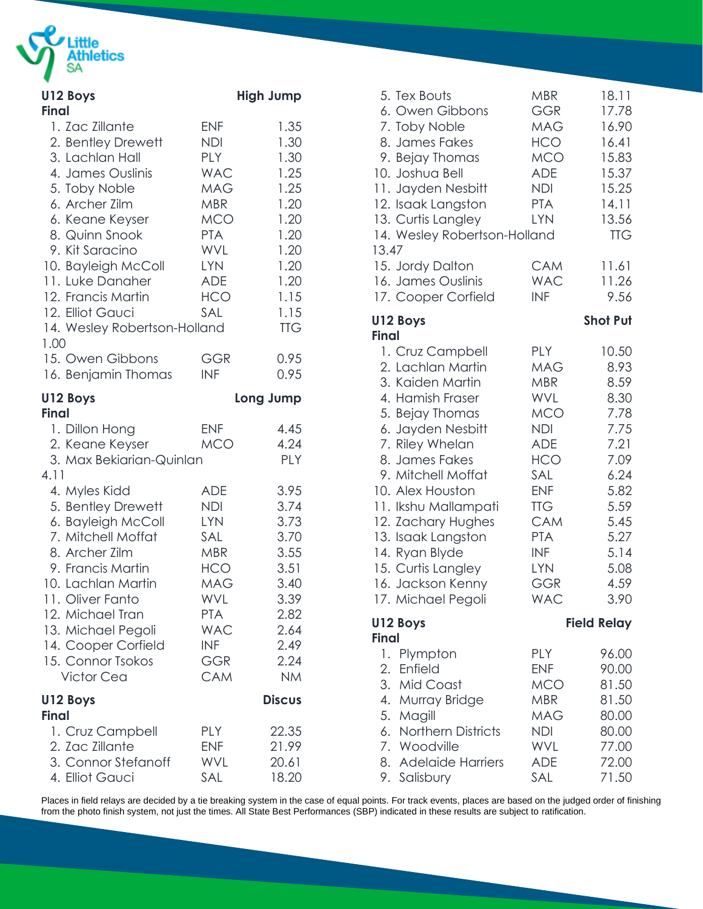

| U12 Boys<br><b>Final</b>                                                                                                                                                                                                                                                                              |                                                                                                                                                               | <b>High Jump</b>                                                                                                   |
|-------------------------------------------------------------------------------------------------------------------------------------------------------------------------------------------------------------------------------------------------------------------------------------------------------|---------------------------------------------------------------------------------------------------------------------------------------------------------------|--------------------------------------------------------------------------------------------------------------------|
| 1. Zac Zillante<br>2. Bentley Drewett<br>3. Lachlan Hall<br>4. James Ouslinis<br>5. Toby Noble<br>6. Archer Zilm<br>6. Keane Keyser<br>8. Quinn Snook<br>9. Kit Saracino<br>10. Bayleigh McColl<br>11. Luke Danaher<br>12. Francis Martin<br>12. Elliot Gauci<br>14. Wesley Robertson-Holland<br>1.00 | <b>ENF</b><br>NDI<br><b>PLY</b><br><b>WAC</b><br><b>MAG</b><br><b>MBR</b><br>MCO<br><b>PTA</b><br><b>WVL</b><br><b>LYN</b><br><b>ADE</b><br><b>HCO</b><br>SAL | 1.35<br>1.30<br>1.30<br>1.25<br>1.25<br>1.20<br>1.20<br>1.20<br>1.20<br>1.20<br>1.20<br>1.15<br>1.15<br><b>TTG</b> |
| 15. Owen Gibbons<br>16. Benjamin Thomas                                                                                                                                                                                                                                                               | <b>GGR</b><br><b>INF</b>                                                                                                                                      | 0.95<br>0.95                                                                                                       |
| U12 Boys<br><b>Final</b>                                                                                                                                                                                                                                                                              |                                                                                                                                                               | Long Jump                                                                                                          |
| 1. Dillon Hong<br>2. Keane Keyser<br>3. Max Bekiarian-Quinlan                                                                                                                                                                                                                                         | <b>ENF</b><br><b>MCO</b>                                                                                                                                      | 4.45<br>4.24<br><b>PLY</b>                                                                                         |
| 4.11<br>4. Myles Kidd<br>5. Bentley Drewett<br>6. Bayleigh McColl<br>7. Mitchell Moffat<br>8. Archer Zilm<br>9. Francis Martin<br>10. Lachlan Martin<br>11. Oliver Fanto<br>12. Michael Tran<br>13. Michael Pegoli<br>14. Cooper Corfield<br>15. Connor Tsokos<br><b>Victor Cea</b>                   | <b>ADE</b><br><b>NDI</b><br><b>LYN</b><br>SAL<br>MBR<br>HCO<br><b>MAG</b><br>WVL<br><b>PTA</b><br><b>WAC</b><br><b>INF</b><br>GGR<br>CAM                      | 3.95<br>3.74<br>3.73<br>3.70<br>3.55<br>3.51<br>3.40<br>3.39<br>2.82<br>2.64<br>2.49<br>2.24<br><b>NM</b>          |
| U12 Boys                                                                                                                                                                                                                                                                                              |                                                                                                                                                               | <b>Discus</b>                                                                                                      |
| <b>Final</b><br>1. Cruz Campbell<br>2. Zac Zillante<br>3. Connor Stefanoff<br>4. Elliot Gauci                                                                                                                                                                                                         | <b>PLY</b><br><b>ENF</b><br>WVL<br>SAL                                                                                                                        | 22.35<br>21.99<br>20.61<br>18.20                                                                                   |

| 5. Tex Bouts<br>6. Owen Gibbons<br>7. Toby Noble<br>8. James Fakes<br>9. Bejay Thomas<br>10. Joshua Bell<br>11. Jayden Nesbitt<br>12. Isaak Langston<br>13. Curtis Langley<br>14. Wesley Robertson-Holland<br>13.47                                                                                                                                                         | MBR<br><b>GGR</b><br><b>MAG</b><br><b>HCO</b><br><b>MCO</b><br><b>ADE</b><br><b>NDI</b><br><b>PTA</b><br><b>LYN</b>                                                                                                          | 18.11<br>17.78<br>16.90<br>16.41<br>15.83<br>15.37<br>15.25<br>14.11<br>13.56<br><b>TTG</b>                                           |
|-----------------------------------------------------------------------------------------------------------------------------------------------------------------------------------------------------------------------------------------------------------------------------------------------------------------------------------------------------------------------------|------------------------------------------------------------------------------------------------------------------------------------------------------------------------------------------------------------------------------|---------------------------------------------------------------------------------------------------------------------------------------|
| 15. Jordy Dalton<br>16. James Ouslinis                                                                                                                                                                                                                                                                                                                                      | <b>CAM</b><br><b>WAC</b>                                                                                                                                                                                                     | 11.61<br>11.26                                                                                                                        |
| 17. Cooper Corfield                                                                                                                                                                                                                                                                                                                                                         | <b>INF</b>                                                                                                                                                                                                                   | 9.56                                                                                                                                  |
| U12 Boys                                                                                                                                                                                                                                                                                                                                                                    |                                                                                                                                                                                                                              | <b>Shot Put</b>                                                                                                                       |
| <b>Final</b><br>1. Cruz Campbell<br>2. Lachlan Martin<br>3. Kaiden Martin<br>4. Hamish Fraser<br>5. Bejay Thomas<br>6. Jayden Nesbitt<br>7. Riley Whelan<br>8. James Fakes<br>9. Mitchell Moffat<br>10. Alex Houston<br>11. Ikshu Mallampati<br>12. Zachary Hughes<br>13. Isaak Langston<br>14. Ryan Blyde<br>15. Curtis Langley<br>16. Jackson Kenny<br>17. Michael Pegoli | <b>PLY</b><br><b>MAG</b><br><b>MBR</b><br><b>WVL</b><br><b>MCO</b><br><b>NDI</b><br><b>ADE</b><br><b>HCO</b><br>SAL<br><b>ENF</b><br><b>TTG</b><br><b>CAM</b><br><b>PTA</b><br>INF<br><b>LYN</b><br><b>GGR</b><br><b>WAC</b> | 10.50<br>8.93<br>8.59<br>8.30<br>7.78<br>7.75<br>7.21<br>7.09<br>6.24<br>5.82<br>5.59<br>5.45<br>5.27<br>5.14<br>5.08<br>4.59<br>3.90 |
| U12 Boys<br><b>Final</b>                                                                                                                                                                                                                                                                                                                                                    |                                                                                                                                                                                                                              | <b>Field Relay</b>                                                                                                                    |
| 1. Plympton<br>2. Enfield<br>3. Mid Coast<br>4. Murray Bridge<br>5. Magill<br>6. Northern Districts<br>7. Woodville<br>8. Adelaide Harriers<br>9. Salisbury                                                                                                                                                                                                                 | <b>PLY</b><br><b>ENF</b><br><b>MCO</b><br><b>MBR</b><br><b>MAG</b><br>NDI<br><b>WVL</b><br><b>ADE</b><br>SAL                                                                                                                 | 96.00<br>90.00<br>81.50<br>81.50<br>80.00<br>80.00<br>77.00<br>72.00<br>71.50                                                         |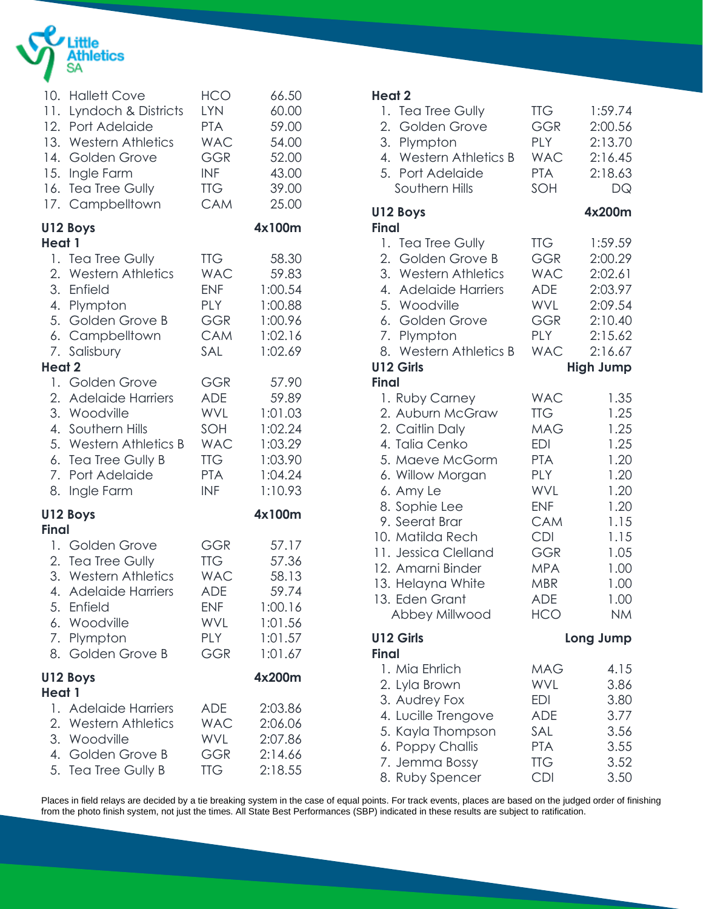

|              | 10. Hallett Cove        | <b>HCO</b> | 66.50   |
|--------------|-------------------------|------------|---------|
|              | 11. Lyndoch & Districts | <b>LYN</b> | 60.00   |
|              | 12. Port Adelaide       | <b>PTA</b> | 59.00   |
|              | 13. Western Athletics   | <b>WAC</b> | 54.00   |
|              | 14. Golden Grove        | <b>GGR</b> | 52.00   |
|              | 15. Ingle Farm          | <b>INF</b> | 43.00   |
|              | 16. Tea Tree Gully      | <b>TTG</b> | 39.00   |
|              | 17. Campbelltown        | <b>CAM</b> | 25.00   |
|              | U12 Boys                |            | 4x100m  |
| Heat 1       | 1. Tea Tree Gully       | <b>TTG</b> | 58.30   |
|              | 2. Western Athletics    | <b>WAC</b> | 59.83   |
|              | 3. Enfield              | <b>ENF</b> | 1:00.54 |
|              | 4. Plympton             | <b>PLY</b> | 1:00.88 |
|              | 5. Golden Grove B       | <b>GGR</b> | 1:00.96 |
|              | 6. Campbelltown         | <b>CAM</b> | 1:02.16 |
|              | 7. Salisbury            | SAL        | 1:02.69 |
| Heat 2       | 1. Golden Grove         | <b>GGR</b> | 57.90   |
| 4.           | 2. Adelaide Harriers    | <b>ADE</b> | 59.89   |
|              | 3. Woodville            | <b>WVL</b> | 1:01.03 |
|              | Southern Hills          | SOH        | 1:02.24 |
|              | 5. Western Athletics B  | <b>WAC</b> | 1:03.29 |
|              | 6. Tea Tree Gully B     | <b>TTG</b> | 1:03.90 |
|              | 7. Port Adelaide        | <b>PTA</b> | 1:04.24 |
|              | 8. Ingle Farm           | <b>INF</b> | 1:10.93 |
| <b>Final</b> | U12 Boys                |            | 4x100m  |
| 8.           | 1. Golden Grove         | <b>GGR</b> | 57.17   |
|              | 2. Tea Tree Gully       | <b>TTG</b> | 57.36   |
|              | 3. Western Athletics    | <b>WAC</b> | 58.13   |
|              | 4. Adelaide Harriers    | <b>ADE</b> | 59.74   |
|              | 5. Enfield              | <b>ENF</b> | 1:00.16 |
|              | 6. Woodville            | WVL        | 1:01.56 |
|              | 7. Plympton             | <b>PLY</b> | 1:01.57 |
|              | Golden Grove B          | GGR        | 1:01.67 |
|              | U12 Boys                |            | 4x200m  |
| Heat 1       | 1. Adelaide Harriers    | <b>ADE</b> | 2:03.86 |
|              | 2. Western Athletics    | <b>WAC</b> | 2:06.06 |
|              | 3. Woodville            | <b>WVL</b> | 2:07.86 |
|              | 4. Golden Grove B       | <b>GGR</b> | 2:14.66 |
|              | 5. Tea Tree Gully B     | <b>TTG</b> | 2:18.55 |

#### **Heat 2**

| Heat 2                                                                                                                                                                                                                                                                                   |                                                                                                                                                                                                         |                                                                                                                           |
|------------------------------------------------------------------------------------------------------------------------------------------------------------------------------------------------------------------------------------------------------------------------------------------|---------------------------------------------------------------------------------------------------------------------------------------------------------------------------------------------------------|---------------------------------------------------------------------------------------------------------------------------|
| 1. Tea Tree Gully<br>Golden Grove<br>2.<br>3. Plympton<br>4. Western Athletics B<br>5. Port Adelaide<br>Southern Hills                                                                                                                                                                   | <b>TTG</b><br><b>GGR</b><br><b>PLY</b><br><b>WAC</b><br><b>PTA</b><br>SOH                                                                                                                               | 1:59.74<br>2:00.56<br>2:13.70<br>2:16.45<br>2:18.63<br>DQ                                                                 |
| U12 Boys                                                                                                                                                                                                                                                                                 |                                                                                                                                                                                                         | 4x200m                                                                                                                    |
| <b>Final</b><br>1. Tea Tree Gully<br>2. Golden Grove B<br>3. Western Athletics<br>4. Adelaide Harriers<br>5. Woodville<br>6. Golden Grove<br>7. Plympton<br>8. Western Athletics B<br>U12 Girls<br><b>Final</b>                                                                          | <b>TTG</b><br><b>GGR</b><br><b>WAC</b><br>ADE<br><b>WVL</b><br><b>GGR</b><br><b>PLY</b><br><b>WAC</b>                                                                                                   | 1:59.59<br>2:00.29<br>2:02.61<br>2:03.97<br>2:09.54<br>2:10.40<br>2:15.62<br>2:16.67<br><b>High Jump</b>                  |
| 1. Ruby Carney<br>2. Auburn McGraw<br>2. Caitlin Daly<br>4. Talia Cenko<br>5. Maeve McGorm<br>6. Willow Morgan<br>6. Amy Le<br>8. Sophie Lee<br>9. Seerat Brar<br>10. Matilda Rech<br>11. Jessica Clelland<br>12. Amarni Binder<br>13. Helayna White<br>13. Eden Grant<br>Abbey Millwood | <b>WAC</b><br><b>TTG</b><br><b>MAG</b><br><b>EDI</b><br><b>PTA</b><br><b>PLY</b><br>WVL<br><b>ENF</b><br><b>CAM</b><br><b>CDI</b><br><b>GGR</b><br><b>MPA</b><br><b>MBR</b><br><b>ADE</b><br><b>HCO</b> | 1.35<br>1.25<br>1.25<br>1.25<br>1.20<br>1.20<br>1.20<br>1.20<br>1.15<br>1.15<br>1.05<br>1.00<br>1.00<br>1.00<br><b>NM</b> |
| U12 Girls<br><b>Final</b>                                                                                                                                                                                                                                                                |                                                                                                                                                                                                         | Long Jump                                                                                                                 |
| 1. Mia Ehrlich<br>2. Lyla Brown<br>3. Audrey Fox<br>4. Lucille Trengove<br>5. Kayla Thompson<br>6. Poppy Challis<br>7. Jemma Bossy<br>8. Ruby Spencer                                                                                                                                    | <b>MAG</b><br>WVL<br><b>EDI</b><br><b>ADE</b><br>SAL<br><b>PTA</b><br><b>TTG</b><br><b>CDI</b>                                                                                                          | 4.15<br>3.86<br>3.80<br>3.77<br>3.56<br>3.55<br>3.52<br>3.50                                                              |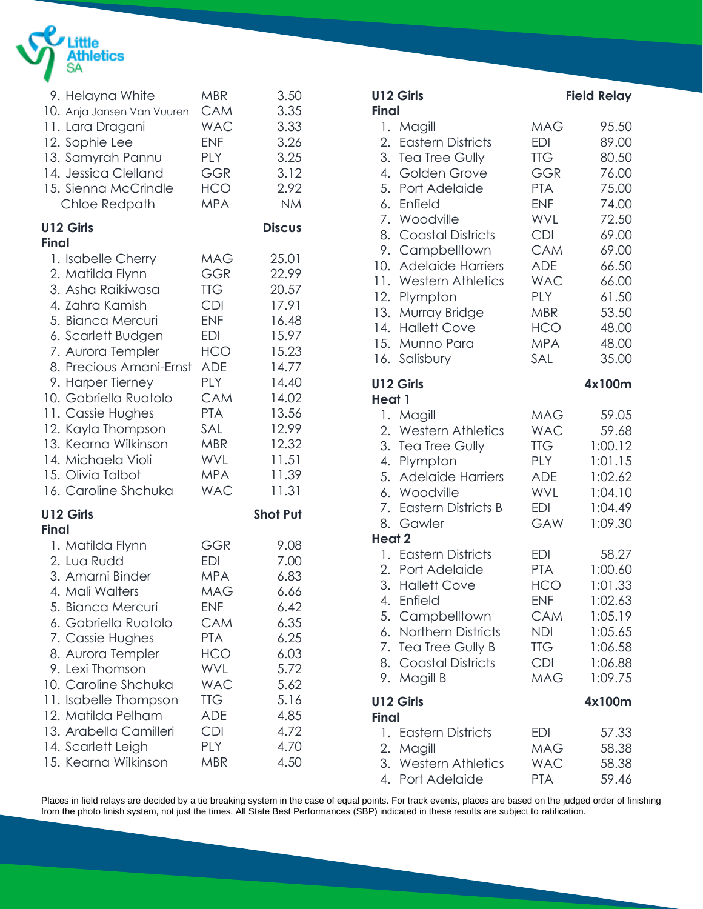

| 9. Helayna White                 | <b>MBR</b> | 3.50            |
|----------------------------------|------------|-----------------|
| 10. Anja Jansen Van Vuuren       | <b>CAM</b> | 3.35            |
| 11. Lara Dragani                 | <b>WAC</b> | 3.33            |
| 12. Sophie Lee                   | <b>ENF</b> | 3.26            |
| 13. Samyrah Pannu                | <b>PLY</b> | 3.25            |
| 14. Jessica Clelland             | <b>GGR</b> | 3.12            |
| 15. Sienna McCrindle             | HCO        | 2.92            |
| Chloe Redpath                    | <b>MPA</b> | <b>NM</b>       |
| U12 Girls<br><b>Final</b>        |            | <b>Discus</b>   |
| 1. Isabelle Cherry               | <b>MAG</b> | 25.01           |
| 2. Matilda Flynn                 | <b>GGR</b> | 22.99           |
| 3. Asha Raikiwasa                | <b>TTG</b> | 20.57           |
| 4. Zahra Kamish                  | <b>CDI</b> | 17.91           |
| 5. Bianca Mercuri                | <b>ENF</b> | 16.48           |
| 6. Scarlett Budgen               | <b>EDI</b> | 15.97           |
| 7. Aurora Templer                | HCO        | 15.23           |
| 8. Precious Amani-Ernst          | ADE        | 14.77           |
| 9. Harper Tierney                | <b>PLY</b> | 14.40           |
| 10. Gabriella Ruotolo            | <b>CAM</b> | 14.02           |
| 11. Cassie Hughes                | <b>PTA</b> | 13.56           |
| 12. Kayla Thompson               | SAL        | 12.99           |
| 13. Kearna Wilkinson             | <b>MBR</b> | 12.32           |
| 14. Michaela Violi               | <b>WVL</b> | 11.51           |
| 15. Olivia Talbot                | <b>MPA</b> | 11.39           |
| 16. Caroline Shchuka             | <b>WAC</b> | 11.31           |
| <b>U12 Girls</b><br><b>Final</b> |            | <b>Shot Put</b> |
| 1. Matilda Flynn                 | GGR        | 9.08            |
| 2. Lua Rudd                      | <b>EDI</b> | 7.00            |
| 3. Amarni Binder                 | <b>MPA</b> | 6.83            |
| 4. Mali Walters                  | <b>MAG</b> | 6.66            |
| 5. Bianca Mercuri                | <b>ENF</b> | 6.42            |
| 6. Gabriella Ruotolo             | CAM        | 6.35            |
| 7. Cassie Hughes                 | <b>PTA</b> | 6.25            |
| 8. Aurora Templer                | HCO        | 6.03            |
| 9. Lexi Thomson                  | WVL        | 5.72            |
| 10. Caroline Shchuka             | <b>WAC</b> | 5.62            |
| 11. Isabelle Thompson            | <b>TTG</b> | 5.16            |
| 12. Matilda Pelham               | ADE        | 4.85            |
| 13. Arabella Camilleri           | <b>CDI</b> | 4.72            |
| 14. Scarlett Leigh               | <b>PLY</b> | 4.70            |
| 15. Kearna Wilkinson             | MBR        | 4.50            |

|                            | U12 Girls                                                                                                                                                                                                                                                                                                           |                                                                                                                                                                                                  | <b>Field Relay</b>                                                                                                                           |
|----------------------------|---------------------------------------------------------------------------------------------------------------------------------------------------------------------------------------------------------------------------------------------------------------------------------------------------------------------|--------------------------------------------------------------------------------------------------------------------------------------------------------------------------------------------------|----------------------------------------------------------------------------------------------------------------------------------------------|
| <b>Final</b><br>11.<br>16. | 1. Magill<br>2. Eastern Districts<br>3. Tea Tree Gully<br>4. Golden Grove<br>5. Port Adelaide<br>6. Enfield<br>7. Woodville<br>8. Coastal Districts<br>9. Campbelltown<br>10. Adelaide Harriers<br><b>Western Athletics</b><br>12. Plympton<br>13. Murray Bridge<br>14. Hallett Cove<br>15. Munno Para<br>Salisbury | <b>MAG</b><br>EDI<br><b>TTG</b><br><b>GGR</b><br><b>PTA</b><br><b>ENF</b><br>WVL<br><b>CDI</b><br><b>CAM</b><br>ADE<br><b>WAC</b><br><b>PLY</b><br><b>MBR</b><br><b>HCO</b><br><b>MPA</b><br>SAL | 95.50<br>89.00<br>80.50<br>76.00<br>75.00<br>74.00<br>72.50<br>69.00<br>69.00<br>66.50<br>66.00<br>61.50<br>53.50<br>48.00<br>48.00<br>35.00 |
|                            | U12 Girls                                                                                                                                                                                                                                                                                                           |                                                                                                                                                                                                  | 4x100m                                                                                                                                       |
| Heat 1<br>8.               | 1. Magill<br>2. Western Athletics<br>3. Tea Tree Gully<br>4. Plympton<br>5. Adelaide Harriers<br>6. Woodville<br>7. Eastern Districts B<br>Gawler                                                                                                                                                                   | MAG<br><b>WAC</b><br><b>TTG</b><br><b>PLY</b><br><b>ADE</b><br><b>WVL</b><br>EDI<br>GAW                                                                                                          | 59.05<br>59.68<br>1:00.12<br>1:01.15<br>1:02.62<br>1:04.10<br>1:04.49<br>1:09.30                                                             |
| Heat 2                     | 1. Eastern Districts<br>2. Port Adelaide<br>3. Hallett Cove<br>4. Enfield<br>5. Campbelltown<br>6. Northern Districts<br>7. Tea Tree Gully B<br>8. Coastal Districts<br>9. Magill B                                                                                                                                 | <b>EDI</b><br><b>PTA</b><br><b>HCO</b><br><b>ENF</b><br>CAM<br><b>NDI</b><br>TTG<br><b>CDI</b><br><b>MAG</b>                                                                                     | 58.27<br>1:00.60<br>1:01.33<br>1:02.63<br>1:05.19<br>1:05.65<br>1:06.58<br>1:06.88<br>1:09.75                                                |
| <b>Final</b>               | U12 Girls                                                                                                                                                                                                                                                                                                           |                                                                                                                                                                                                  | 4x100m                                                                                                                                       |
|                            | 1. Eastern Districts<br>2. Magill<br>3. Western Athletics<br>4. Port Adelaide                                                                                                                                                                                                                                       | EDI<br>MAG<br><b>WAC</b><br><b>PTA</b>                                                                                                                                                           | 57.33<br>58.38<br>58.38<br>59.46                                                                                                             |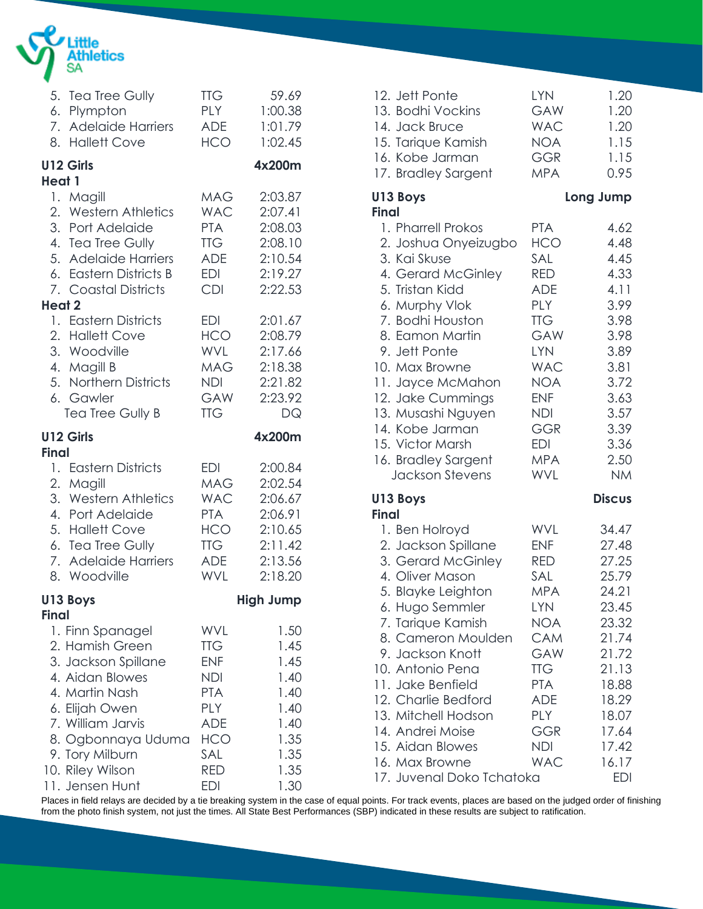

|              | 5. Tea Tree Gully      | <b>TTG</b> | 59.69            |
|--------------|------------------------|------------|------------------|
|              | 6. Plympton            | <b>PLY</b> | 1:00.38          |
|              | 7. Adelaide Harriers   | ADE        | 1:01.79          |
|              | 8. Hallett Cove        | <b>HCO</b> | 1:02.45          |
| Heat 1       | U12 Girls              |            | 4x200m           |
| Heat 2       | 1. Magill              | <b>MAG</b> | 2:03.87          |
|              | 2. Western Athletics   | <b>WAC</b> | 2:07.41          |
|              | 3. Port Adelaide       | <b>PTA</b> | 2:08.03          |
|              | 4. Tea Tree Gully      | <b>TTG</b> | 2:08.10          |
|              | 5. Adelaide Harriers   | ADE        | 2:10.54          |
|              | 6. Eastern Districts B | EDI        | 2:19.27          |
|              | 7. Coastal Districts   | <b>CDI</b> | 2:22.53          |
|              | 1. Eastern Districts   | <b>EDI</b> | 2:01.67          |
|              | 2. Hallett Cove        | <b>HCO</b> | 2:08.79          |
|              | 3. Woodville           | <b>WVL</b> | 2:17.66          |
|              | 4. Magill B            | <b>MAG</b> | 2:18.38          |
|              | 5. Northern Districts  | NDI.       | 2:21.82          |
|              | 6. Gawler              | <b>GAW</b> | 2:23.92          |
|              | Tea Tree Gully B       | <b>TTG</b> | DQ               |
| <b>Final</b> | U12 Girls              |            | 4x200m           |
|              | 1. Eastern Districts   | <b>EDI</b> | 2:00.84          |
|              | 2. Magill              | <b>MAG</b> | 2:02.54          |
|              | 3. Western Athletics   | <b>WAC</b> | 2:06.67          |
|              | 4. Port Adelaide       | <b>PTA</b> | 2:06.91          |
|              | 5. Hallett Cove        | <b>HCO</b> | 2:10.65          |
|              | 6. Tea Tree Gully      | <b>TTG</b> | 2:11.42          |
|              | 7. Adelaide Harriers   | ADE        | 2:13.56          |
|              | 8. Woodville           | <b>WVL</b> | 2:18.20          |
| <b>Final</b> | U13 Boys               |            | <b>High Jump</b> |
|              | 1. Finn Spanagel       | WVL        | 1.50             |
|              | 2. Hamish Green        | ПG         | 1.45             |
|              | 3. Jackson Spillane    | <b>ENF</b> | 1.45             |
|              | 4. Aidan Blowes        | <b>NDI</b> | 1.40             |
|              | 4. Martin Nash         | <b>PTA</b> | 1.40             |
|              | 6. Elijah Owen         | <b>PLY</b> | 1.40             |
|              | 7. William Jarvis      | <b>ADE</b> | 1.40             |
|              | 8. Ogbonnaya Uduma     | <b>HCO</b> | 1.35             |
|              | 9. Tory Milburn        | SAL        | 1.35             |
|              | 10. Riley Wilson       | <b>RED</b> | 1.35             |
|              | 11. Jensen Hunt        | EDI        | 1.30             |

| 12. Jett Ponte<br>13. Bodhi Vockins<br>14. Jack Bruce<br>15. Tarique Kamish<br>16. Kobe Jarman<br>17. Bradley Sargent                                                                                                                                                                                                                                                   | <b>LYN</b><br>GAW<br><b>WAC</b><br><b>NOA</b><br><b>GGR</b><br><b>MPA</b>                                                                                                                                             | 1.20<br>1.20<br>1.20<br>1.15<br>1.15<br>0.95                                                                                                               |
|-------------------------------------------------------------------------------------------------------------------------------------------------------------------------------------------------------------------------------------------------------------------------------------------------------------------------------------------------------------------------|-----------------------------------------------------------------------------------------------------------------------------------------------------------------------------------------------------------------------|------------------------------------------------------------------------------------------------------------------------------------------------------------|
| U13 Boys                                                                                                                                                                                                                                                                                                                                                                |                                                                                                                                                                                                                       | Long Jump                                                                                                                                                  |
| <b>Final</b><br>1. Pharrell Prokos<br>2. Joshua Onyeizugbo<br>3. Kai Skuse<br>4. Gerard McGinley<br>5. Tristan Kidd<br>6. Murphy Vlok<br>7. Bodhi Houston<br>8. Eamon Martin<br>9. Jett Ponte<br>10. Max Browne<br>11. Jayce McMahon<br>12. Jake Cummings<br>13. Musashi Nguyen<br>14. Kobe Jarman<br>15. Victor Marsh<br>16. Bradley Sargent<br><b>Jackson Stevens</b> | <b>PTA</b><br><b>HCO</b><br>SAL<br><b>RED</b><br><b>ADE</b><br><b>PLY</b><br><b>TTG</b><br>GAW<br>LYN<br><b>WAC</b><br><b>NOA</b><br><b>ENF</b><br><b>NDI</b><br><b>GGR</b><br><b>EDI</b><br><b>MPA</b><br><b>WVL</b> | 4.62<br>4.48<br>4.45<br>4.33<br>4.11<br>3.99<br>3.98<br>3.98<br>3.89<br>3.81<br>3.72<br>3.63<br>3.57<br>3.39<br>3.36<br>2.50<br><b>NM</b>                  |
| U13 Boys<br><b>Final</b>                                                                                                                                                                                                                                                                                                                                                |                                                                                                                                                                                                                       | <b>Discus</b>                                                                                                                                              |
| 1. Ben Holroyd<br>2. Jackson Spillane<br>3. Gerard McGinley<br>4. Oliver Mason<br>5. Blayke Leighton<br>6. Hugo Semmler<br>7. Tarique Kamish<br>8. Cameron Moulden<br>9. Jackson Knott<br>10. Antonio Pena<br>11. Jake Benfield<br>12. Charlie Bedford<br>13. Mitchell Hodson<br>14. Andrei Moise<br>15. Aidan Blowes<br>16. Max Browne<br>17. Juvenal Doko Tchatoka    | WVL<br><b>ENF</b><br><b>RED</b><br>SAL<br><b>MPA</b><br><b>LYN</b><br><b>NOA</b><br>CAM<br>GAW<br><b>TTG</b><br><b>PTA</b><br><b>ADE</b><br><b>PLY</b><br>GGR<br><b>NDI</b><br><b>WAC</b>                             | 34.47<br>27.48<br>27.25<br>25.79<br>24.21<br>23.45<br>23.32<br>21.74<br>21.72<br>21.13<br>18.88<br>18.29<br>18.07<br>17.64<br>17.42<br>16.17<br><b>EDI</b> |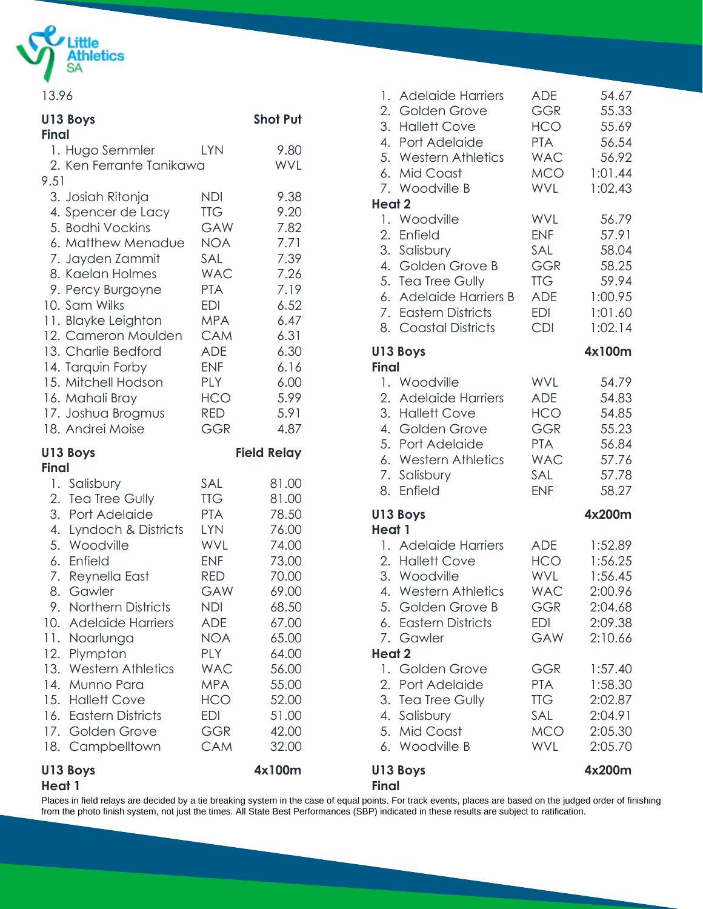

13.96

| U13 Boys                               |            | <b>Shot Put</b>    | 2. Golden Grove<br>3. Hallett Cove | GGR<br><b>HCO</b> | 55.33<br>55.69 |
|----------------------------------------|------------|--------------------|------------------------------------|-------------------|----------------|
| <b>Final</b>                           |            |                    | 4. Port Adelaide                   | <b>PTA</b>        | 56.54          |
| 1. Hugo Semmler                        | <b>LYN</b> | 9.80               | 5. Western Athletics               | <b>WAC</b>        | 56.92          |
| 2. Ken Ferrante Tanikawa               |            | <b>WVL</b>         | 6. Mid Coast                       | <b>MCO</b>        | 1:01.44        |
| 9.51                                   |            |                    | 7. Woodville B                     | <b>WVL</b>        | 1:02.43        |
| 3. Josiah Ritonja                      | <b>NDI</b> | 9.38               | <b>Heat 2</b>                      |                   |                |
| 4. Spencer de Lacy                     | <b>TTG</b> | 9.20               | 1. Woodville                       | <b>WVL</b>        | 56.79          |
| 5. Bodhi Vockins                       | <b>GAW</b> | 7.82               | 2.<br>Enfield                      | <b>ENF</b>        | 57.91          |
| 6. Matthew Menadue                     | <b>NOA</b> | 7.71               | 3. Salisbury                       | SAL               | 58.04          |
| 7. Jayden Zammit                       | SAL        | 7.39               | 4. Golden Grove B                  | <b>GGR</b>        | 58.25          |
| 8. Kaelan Holmes                       | <b>WAC</b> | 7.26               | 5. Tea Tree Gully                  | <b>TTG</b>        | 59.94          |
| 9. Percy Burgoyne                      | <b>PTA</b> | 7.19               | 6. Adelaide Harriers B             | <b>ADE</b>        | 1:00.95        |
| 10. Sam Wilks                          | <b>EDI</b> | 6.52               | 7. Eastern Districts               | <b>EDI</b>        | 1:01.60        |
| 11. Blayke Leighton                    | <b>MPA</b> | 6.47               | 8. Coastal Districts               | <b>CDI</b>        | 1:02.14        |
| 12. Cameron Moulden                    | <b>CAM</b> | 6.31               |                                    |                   |                |
| 13. Charlie Bedford                    | <b>ADE</b> | 6.30               | U13 Boys                           |                   | 4x100m         |
| 14. Tarquin Forby                      | <b>ENF</b> | 6.16               | <b>Final</b>                       |                   |                |
| 15. Mitchell Hodson                    | <b>PLY</b> | 6.00               | 1. Woodville                       | <b>WVL</b>        | 54.79          |
| 16. Mahali Bray                        | <b>HCO</b> | 5.99               | 2. Adelaide Harriers               | <b>ADE</b>        | 54.83          |
| 17. Joshua Brogmus                     | <b>RED</b> | 5.91               | 3. Hallett Cove                    | <b>HCO</b>        | 54.85          |
| 18. Andrei Moise                       | <b>GGR</b> | 4.87               | 4. Golden Grove                    | <b>GGR</b>        | 55.23          |
| U13 Boys                               |            | <b>Field Relay</b> | 5. Port Adelaide                   | <b>PTA</b>        | 56.84          |
| <b>Final</b>                           |            |                    | 6. Western Athletics               | <b>WAC</b>        | 57.76          |
| 1. Salisbury                           | SAL        | 81.00              | 7. Salisbury                       | SAL               | 57.78          |
| 2. Tea Tree Gully                      | <b>TTG</b> | 81.00              | 8. Enfield                         | <b>ENF</b>        | 58.27          |
| 3. Port Adelaide                       | <b>PTA</b> | 78.50              | U13 Boys                           |                   | 4x200m         |
|                                        | <b>LYN</b> | 76.00              | Heat 1                             |                   |                |
| 4. Lyndoch & Districts<br>5. Woodville | WVL        | 74.00              | 1. Adelaide Harriers               | <b>ADE</b>        | 1:52.89        |
| 6. Enfield                             | <b>ENF</b> | 73.00              | 2. Hallett Cove                    | <b>HCO</b>        | 1:56.25        |
| 7. Reynella East                       | <b>RED</b> | 70.00              | 3. Woodville                       | <b>WVL</b>        | 1:56.45        |
| 8. Gawler                              | GAW        | 69.00              | 4. Western Athletics               | <b>WAC</b>        | 2:00.96        |
| 9. Northern Districts                  | <b>NDI</b> | 68.50              |                                    | <b>GGR</b>        | 2:04.68        |
|                                        |            |                    | 5. Golden Grove B                  | <b>EDI</b>        |                |
| 10. Adelaide Harriers                  | <b>ADE</b> | 67.00              | 6. Eastern Districts               |                   | 2:09.38        |
| 11. Noarlunga                          | <b>NOA</b> | 65.00              | 7. Gawler                          | GAW               | 2:10.66        |
| 12. Plympton                           | <b>PLY</b> | 64.00              | <b>Heat 2</b>                      |                   |                |
| 13. Western Athletics                  | <b>WAC</b> | 56.00              | 1. Golden Grove                    | <b>GGR</b>        | 1:57.40        |
| 14. Munno Para                         | <b>MPA</b> | 55.00              | 2. Port Adelaide                   | <b>PTA</b>        | 1:58.30        |
| 15. Hallett Cove                       | <b>HCO</b> | 52.00              | 3. Tea Tree Gully                  | <b>TTG</b>        | 2:02.87        |
| 16. Eastern Districts                  | <b>EDI</b> | 51.00              | 4. Salisbury                       | SAL               | 2:04.91        |
| 17. Golden Grove                       | <b>GGR</b> | 42.00              | 5. Mid Coast                       | <b>MCO</b>        | 2:05.30        |
| 18. Campbelltown                       | <b>CAM</b> | 32.00              | 6. Woodville B                     | <b>WVL</b>        | 2:05.70        |
| U13 Boys<br>Heat 1                     |            | 4x100m             | U13 Boys<br><b>Final</b>           |                   | 4x200m         |

Places in field relays are decided by a tie breaking system in the case of equal points. For track events, places are based on the judged order of finishing from the photo finish system, not just the times. All State Best Performances (SBP) indicated in these results are subject to ratification.

1. Adelaide Harriers ADE 54.67

GGR 55.33 HCO 55.69 PTA 56.54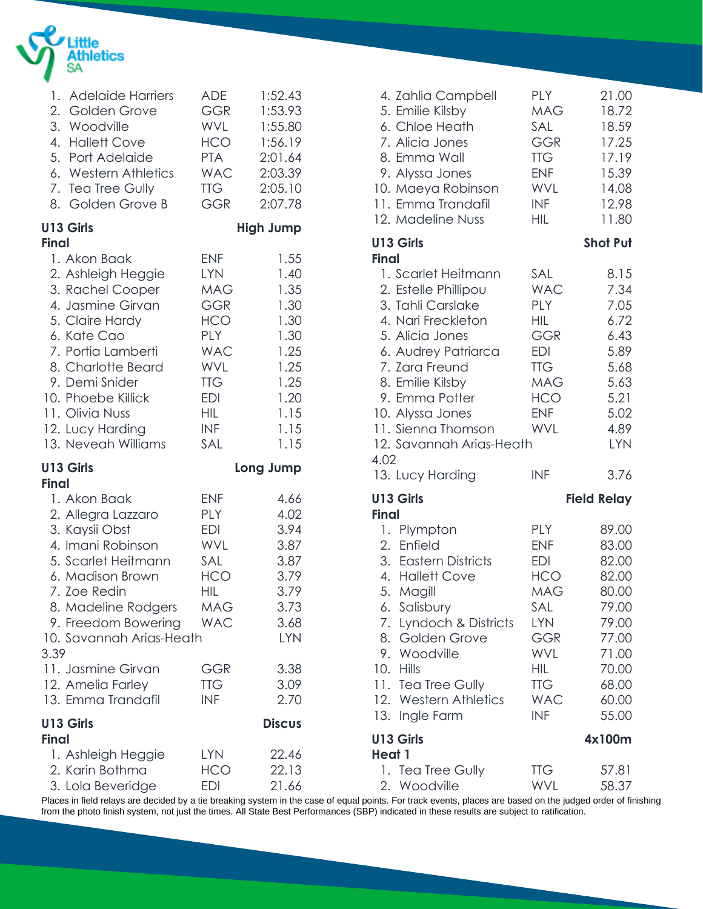

| 1. Adelaide Harriers                                                                                                                                                                                                   | ADE                                                                                                   | 1:52.43                                                                            |  |
|------------------------------------------------------------------------------------------------------------------------------------------------------------------------------------------------------------------------|-------------------------------------------------------------------------------------------------------|------------------------------------------------------------------------------------|--|
| 2. Golden Grove                                                                                                                                                                                                        | <b>GGR</b>                                                                                            | 1:53.93                                                                            |  |
| 3. Woodville                                                                                                                                                                                                           | WVL                                                                                                   | 1:55.80                                                                            |  |
| 4. Hallett Cove                                                                                                                                                                                                        | HCO                                                                                                   | 1:56.19                                                                            |  |
| 5. Port Adelaide                                                                                                                                                                                                       | <b>PTA</b>                                                                                            | 2:01.64                                                                            |  |
| 6. Western Athletics                                                                                                                                                                                                   | <b>WAC</b>                                                                                            | 2:03.39                                                                            |  |
| 7. Tea Tree Gully                                                                                                                                                                                                      | <b>TTG</b>                                                                                            | 2:05.10                                                                            |  |
| 8. Golden Grove B                                                                                                                                                                                                      | <b>GGR</b>                                                                                            | 2:07.78                                                                            |  |
| U13 Girls<br><b>Final</b>                                                                                                                                                                                              |                                                                                                       | <b>High Jump</b>                                                                   |  |
| 1. Akon Baak                                                                                                                                                                                                           | <b>ENF</b>                                                                                            | 1.55                                                                               |  |
| 2. Ashleigh Heggie                                                                                                                                                                                                     | <b>LYN</b>                                                                                            | 1.40                                                                               |  |
| 3. Rachel Cooper                                                                                                                                                                                                       | MAG                                                                                                   | 1.35                                                                               |  |
| 4. Jasmine Girvan                                                                                                                                                                                                      | <b>GGR</b>                                                                                            | 1.30                                                                               |  |
| 5. Claire Hardy                                                                                                                                                                                                        | HCO                                                                                                   | 1.30                                                                               |  |
| 6. Kate Cao                                                                                                                                                                                                            | <b>PLY</b>                                                                                            | 1.30                                                                               |  |
| 7. Portia Lamberti                                                                                                                                                                                                     | <b>WAC</b>                                                                                            | 1.25                                                                               |  |
| 8. Charlotte Beard                                                                                                                                                                                                     | WVL                                                                                                   | 1.25                                                                               |  |
| 9. Demi Snider                                                                                                                                                                                                         | <b>TTG</b>                                                                                            | 1.25                                                                               |  |
| 10. Phoebe Killick                                                                                                                                                                                                     | <b>EDI</b>                                                                                            | 1.20                                                                               |  |
| 11. Olivia Nuss                                                                                                                                                                                                        | HIL                                                                                                   | 1.15                                                                               |  |
| 12. Lucy Harding                                                                                                                                                                                                       | <b>INF</b>                                                                                            | 1.15                                                                               |  |
| 13. Neveah Williams                                                                                                                                                                                                    | SAL                                                                                                   | 1.15                                                                               |  |
| U13 Girls<br><b>Final</b>                                                                                                                                                                                              |                                                                                                       | Long Jump                                                                          |  |
| 1. Akon Baak<br>2. Allegra Lazzaro<br>3. Kaysii Obst<br>4. Imani Robinson<br>5. Scarlet Heitmann<br>6. Madison Brown<br>7. Zoe Redin<br>8. Madeline Rodgers<br>9. Freedom Bowering<br>10. Savannah Arias-Heath<br>3.39 | <b>ENF</b><br><b>PLY</b><br><b>EDI</b><br><b>WVL</b><br>SAL<br><b>HCO</b><br>HIL<br>MAG<br><b>WAC</b> | 4.66<br>4.02<br>3.94<br>3.87<br>3.87<br>3.79<br>3.79<br>3.73<br>3.68<br><b>LYN</b> |  |
| 11. Jasmine Girvan                                                                                                                                                                                                     | GGR                                                                                                   | 3.38                                                                               |  |
| 12. Amelia Farley                                                                                                                                                                                                      | <b>TTG</b>                                                                                            | 3.09                                                                               |  |
| 13. Emma Trandafil                                                                                                                                                                                                     | <b>INF</b>                                                                                            | 2.70                                                                               |  |
| U13 Girls<br><b>Final</b>                                                                                                                                                                                              |                                                                                                       | <b>Discus</b>                                                                      |  |
| 1. Ashleigh Heggie                                                                                                                                                                                                     | <b>LYN</b>                                                                                            | 22.46                                                                              |  |
| 2. Karin Bothma                                                                                                                                                                                                        | HCO                                                                                                   | 22.13                                                                              |  |
| 3. Lola Beveridge                                                                                                                                                                                                      | EDI                                                                                                   | 21.66                                                                              |  |

| 4. Zahlia Campbell<br>5. Emilie Kilsby<br>6. Chloe Heath<br>7. Alicia Jones<br>8. Emma Wall<br>9. Alyssa Jones<br>10. Maeya Robinson<br>11. Emma Trandafil<br>12. Madeline Nuss                                                                                        | <b>PLY</b><br><b>MAG</b><br>SAL<br><b>GGR</b><br><b>TTG</b><br><b>ENF</b><br><b>WVL</b><br><b>INF</b><br><b>HIL</b>                                           | 21.00<br>18.72<br>18.59<br>17.25<br>17.19<br>15.39<br>14.08<br>12.98<br>11.80                                     |
|------------------------------------------------------------------------------------------------------------------------------------------------------------------------------------------------------------------------------------------------------------------------|---------------------------------------------------------------------------------------------------------------------------------------------------------------|-------------------------------------------------------------------------------------------------------------------|
| U13 Girls<br><b>Final</b>                                                                                                                                                                                                                                              |                                                                                                                                                               | <b>Shot Put</b>                                                                                                   |
| 1. Scarlet Heitmann<br>2. Estelle Phillipou<br>3. Tahli Carslake<br>4. Nari Freckleton<br>5. Alicia Jones<br>6. Audrey Patriarca<br>7. Zara Freund<br>8. Emilie Kilsby<br>9. Emma Potter<br>10. Alyssa Jones<br>11. Sienna Thomson<br>12. Savannah Arias-Heath<br>4.02 | SAL<br><b>WAC</b><br>PLY<br>HIL<br><b>GGR</b><br><b>EDI</b><br><b>TTG</b><br><b>MAG</b><br><b>HCO</b><br><b>ENF</b><br>WVL                                    | 8.15<br>7.34<br>7.05<br>6.72<br>6.43<br>5.89<br>5.68<br>5.63<br>5.21<br>5.02<br>4.89<br><b>LYN</b>                |
| 13. Lucy Harding                                                                                                                                                                                                                                                       | <b>INF</b>                                                                                                                                                    | 3.76                                                                                                              |
| U13 Girls<br><b>Final</b>                                                                                                                                                                                                                                              |                                                                                                                                                               | <b>Field Relay</b>                                                                                                |
| 1. Plympton<br>2. Enfield<br>3. Eastern Districts<br>4. Hallett Cove<br>5.<br>Magill<br>6. Salisbury<br>7. Lyndoch & Districts<br>8. Golden Grove<br>9. Woodville<br>10. Hills<br>11.<br><b>Tea Tree Gully</b><br>12. Western Athletics<br>13. Ingle Farm              | <b>PLY</b><br><b>ENF</b><br><b>EDI</b><br><b>HCO</b><br><b>MAG</b><br>SAL<br><b>LYN</b><br>GGR<br><b>WVL</b><br>HIL<br><b>TTG</b><br><b>WAC</b><br><b>INF</b> | 89.00<br>83.00<br>82.00<br>82.00<br>80.00<br>79.00<br>79.00<br>77.00<br>71.00<br>70.00<br>68.00<br>60.00<br>55.00 |
| U13 Girls<br>Heat 1                                                                                                                                                                                                                                                    |                                                                                                                                                               | 4x100m                                                                                                            |
| 1. Tea Tree Gully<br>2. Woodville                                                                                                                                                                                                                                      | <b>TTG</b><br>WVL                                                                                                                                             | 57.81<br>58.37                                                                                                    |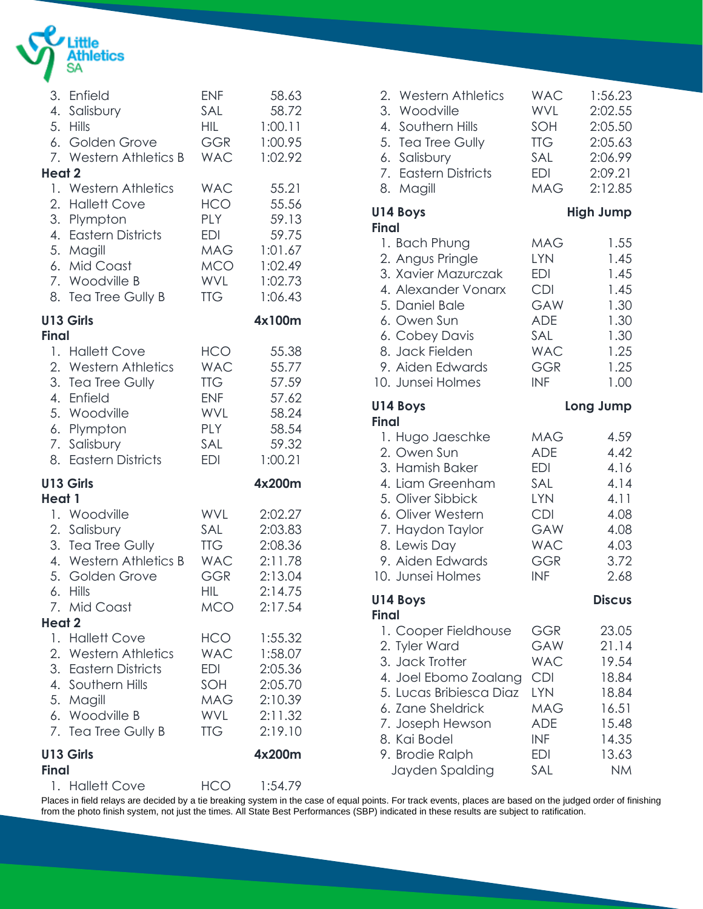

|                  | 3. Enfield<br>4. Salisbury<br>5. Hills<br>6. Golden Grove<br>7. Western Athletics B                                                                  | <b>ENF</b><br>SAL<br><b>HIL</b><br><b>GGR</b><br><b>WAC</b>                             | 58.63<br>58.72<br>1:00.11<br>1:00.95<br>1:02.92                              |
|------------------|------------------------------------------------------------------------------------------------------------------------------------------------------|-----------------------------------------------------------------------------------------|------------------------------------------------------------------------------|
| Heat 2           | 1. Western Athletics<br>2. Hallett Cove<br>3. Plympton<br>4. Eastern Districts<br>5. Magill<br>6. Mid Coast<br>7. Woodville B<br>8. Tea Tree Gully B | <b>WAC</b><br>HCO<br>PLY<br>EDI<br>MAG<br>MCO<br>WVL<br><b>TTG</b>                      | 55.21<br>55.56<br>59.13<br>59.75<br>1:01.67<br>1:02.49<br>1:02.73<br>1:06.43 |
| <b>Final</b>     | U13 Girls                                                                                                                                            |                                                                                         | 4x100m                                                                       |
|                  | 1. Hallett Cove<br>2. Western Athletics<br>3. Tea Tree Gully<br>4. Enfield<br>5. Woodville<br>6. Plympton<br>7. Salisbury<br>8. Eastern Districts    | HCO<br><b>WAC</b><br><b>TTG</b><br><b>ENF</b><br><b>WVL</b><br>PLY<br>SAL<br><b>EDI</b> | 55.38<br>55.77<br>57.59<br>57.62<br>58.24<br>58.54<br>59.32<br>1:00.21       |
|                  | U13 Girls                                                                                                                                            |                                                                                         | 4x200m                                                                       |
| Heat 1<br>Heat 2 | 1. Woodville<br>2. Salisbury<br>3. Tea Tree Gully<br>4. Western Athletics B<br>5. Golden Grove<br>6. Hills<br>7. Mid Coast                           | <b>WVL</b><br>SAL<br><b>TTG</b><br><b>WAC</b><br><b>GGR</b><br>HIL<br><b>MCO</b>        | 2:02.27<br>2:03.83<br>2:08.36<br>2:11.78<br>2:13.04<br>2:14.75<br>2:17.54    |
|                  | 1. Hallett Cove<br>2. Western Athletics<br>3. Eastern Districts<br>4. Southern Hills<br>5. Magill<br>6. Woodville B<br>7. Tea Tree Gully B           | HCO<br><b>WAC</b><br>EDI<br>SOH<br>MAG<br>WVL<br><b>TTG</b>                             | 1:55.32<br>1:58.07<br>2:05.36<br>2:05.70<br>2:10.39<br>2:11.32<br>2:19.10    |
| <b>Final</b>     | U13 Girls                                                                                                                                            |                                                                                         | 4x200m                                                                       |
|                  | 1. Hallett Cove                                                                                                                                      | HCO                                                                                     | 1:54.79                                                                      |

| 2. Western Athletics<br>3. Woodville<br>4. Southern Hills<br>5. Tea Tree Gully<br>6. Salisbury<br>7. Eastern Districts<br>8. Magill                                                                            | <b>WAC</b><br>WVL<br>SOH<br>TTG<br>SAL<br>EDI<br><b>MAG</b>                                                                | 1:56.23<br>2:02.55<br>2:05.50<br>2:05.63<br>2:06.99<br>2:09.21<br>2:12.85                  |
|----------------------------------------------------------------------------------------------------------------------------------------------------------------------------------------------------------------|----------------------------------------------------------------------------------------------------------------------------|--------------------------------------------------------------------------------------------|
| U14 Boys                                                                                                                                                                                                       |                                                                                                                            | <b>High Jump</b>                                                                           |
| <b>Final</b><br>1. Bach Phung<br>2. Angus Pringle<br>3. Xavier Mazurczak<br>4. Alexander Vonarx<br>5. Daniel Bale<br>6. Owen Sun<br>6. Cobey Davis<br>8. Jack Fielden<br>9. Aiden Edwards<br>10. Junsei Holmes | MAG<br><b>LYN</b><br>EDI<br><b>CDI</b><br>GAW<br><b>ADE</b><br>SAL<br><b>WAC</b><br><b>GGR</b><br><b>INF</b>               | 1.55<br>1.45<br>1.45<br>1.45<br>1.30<br>1.30<br>1.30<br>1.25<br>1.25<br>1.00               |
| U14 Boys                                                                                                                                                                                                       |                                                                                                                            | Long Jump                                                                                  |
| <b>Final</b><br>1. Hugo Jaeschke<br>2. Owen Sun<br>3. Hamish Baker<br>4. Liam Greenham<br>5. Oliver Sibbick<br>6. Oliver Western<br>7. Haydon Taylor<br>8. Lewis Day<br>9. Aiden Edwards<br>10. Junsei Holmes  | <b>MAG</b><br><b>ADE</b><br><b>EDI</b><br>SAL<br>LYN<br><b>CDI</b><br><b>GAW</b><br><b>WAC</b><br><b>GGR</b><br><b>INF</b> | 4.59<br>4.42<br>4.16<br>4.14<br>4.11<br>4.08<br>4.08<br>4.03<br>3.72<br>2.68               |
| U14 Boys<br>Final                                                                                                                                                                                              |                                                                                                                            | <b>Discus</b>                                                                              |
| 1. Cooper Fieldhouse<br>2. Tyler Ward<br>3. Jack Trotter<br>4. Joel Ebomo Zoalang<br>5. Lucas Bribiesca Diaz<br>6. Zane Sheldrick<br>7. Joseph Hewson<br>8. Kai Bodel<br>9. Brodie Ralph<br>Jayden Spalding    | GGR<br>GAW<br><b>WAC</b><br><b>CDI</b><br><b>LYN</b><br><b>MAG</b><br><b>ADE</b><br><b>INF</b><br>EDI<br>SAL               | 23.05<br>21.14<br>19.54<br>18.84<br>18.84<br>16.51<br>15.48<br>14.35<br>13.63<br><b>NM</b> |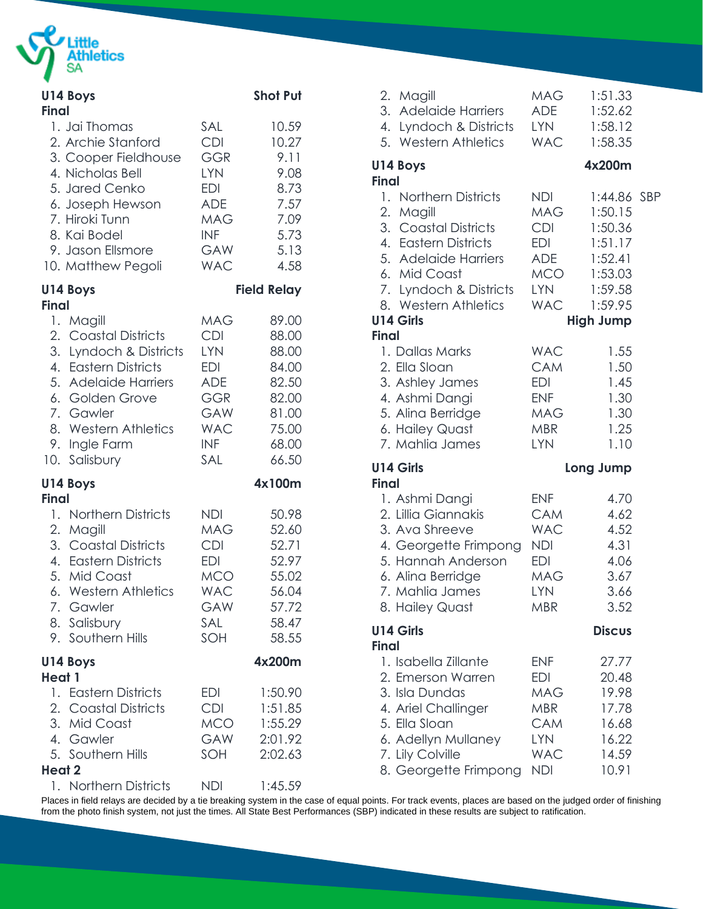

| Final        | U14 Boys                                                                                                                                                                                           |                                                                                                                                   | <b>Shot Put</b>                                                                        |
|--------------|----------------------------------------------------------------------------------------------------------------------------------------------------------------------------------------------------|-----------------------------------------------------------------------------------------------------------------------------------|----------------------------------------------------------------------------------------|
|              | 1. Jai Thomas<br>2. Archie Stanford<br>3. Cooper Fieldhouse<br>4. Nicholas Bell<br>5. Jared Cenko<br>6. Joseph Hewson<br>7. Hiroki Tunn<br>8. Kai Bodel<br>9. Jason Ellsmore<br>10. Matthew Pegoli | SAL<br><b>CDI</b><br><b>GGR</b><br><b>LYN</b><br><b>EDI</b><br><b>ADE</b><br><b>MAG</b><br><b>INF</b><br><b>GAW</b><br><b>WAC</b> | 10.59<br>10.27<br>9.11<br>9.08<br>8.73<br>7.57<br>7.09<br>5.73<br>5.13<br>4.58         |
| <b>Final</b> | U14 Boys                                                                                                                                                                                           |                                                                                                                                   | <b>Field Relay</b>                                                                     |
| 1.           | Magill<br>2. Coastal Districts<br>3. Lyndoch & Districts<br>4. Eastern Districts<br>5. Adelaide Harriers<br>6. Golden Grove<br>7. Gawler<br>8. Western Athletics<br>9. Ingle Farm<br>10. Salisbury | <b>MAG</b><br><b>CDI</b><br><b>LYN</b><br><b>EDI</b><br><b>ADE</b><br><b>GGR</b><br><b>GAW</b><br><b>WAC</b><br><b>INF</b><br>SAL | 89.00<br>88.00<br>88.00<br>84.00<br>82.50<br>82.00<br>81.00<br>75.00<br>68.00<br>66.50 |
| <b>Final</b> | U14 Boys                                                                                                                                                                                           |                                                                                                                                   | 4x100m                                                                                 |
| 1.           | <b>Northern Districts</b><br>2. Magill<br>3. Coastal Districts<br>4. Eastern Districts<br>5. Mid Coast<br>6. Western Athletics<br>7. Gawler<br>8. Salisbury<br>9. Southern Hills                   | NDI<br><b>MAG</b><br><b>CDI</b><br><b>EDI</b><br><b>MCO</b><br><b>WAC</b><br>GAW<br>SAL<br>SOH                                    | 50.98<br>52.60<br>52.71<br>52.97<br>55.02<br>56.04<br>57.72<br>58.47<br>58.55          |
| Heat 1       | U14 Boys                                                                                                                                                                                           |                                                                                                                                   | 4x200m                                                                                 |
| Heat 2       | 1. Eastern Districts<br>2. Coastal Districts<br>3. Mid Coast<br>4. Gawler<br>5. Southern Hills                                                                                                     | EDI<br><b>CDI</b><br><b>MCO</b><br>GAW<br>SOH                                                                                     | 1:50.90<br>1:51.85<br>1:55.29<br>2:01.92<br>2:02.63                                    |
|              | 1. Northern Districts                                                                                                                                                                              | <b>NDI</b>                                                                                                                        | 1:45.59                                                                                |

|              | 2. Magill<br>3. Adelaide Harriers<br>4. Lyndoch & Districts<br>5. Western Athletics                                                                                                              | <b>MAG</b><br>ADE<br>LYN<br><b>WAC</b>                                                                       | 1:51.33<br>1:52.62<br>1:58.12<br>1:58.35                                                                     |  |
|--------------|--------------------------------------------------------------------------------------------------------------------------------------------------------------------------------------------------|--------------------------------------------------------------------------------------------------------------|--------------------------------------------------------------------------------------------------------------|--|
| <b>Final</b> | <b>U14 Boys</b>                                                                                                                                                                                  |                                                                                                              | 4x200m                                                                                                       |  |
| <b>Final</b> | 1. Northern Districts<br>2. Magill<br>3. Coastal Districts<br>4. Eastern Districts<br>5. Adelaide Harriers<br>6. Mid Coast<br>7. Lyndoch & Districts<br>8. Western Athletics<br><b>U14 Girls</b> | <b>NDI</b><br><b>MAG</b><br><b>CDI</b><br><b>EDI</b><br>ADE<br><b>MCO</b><br><b>LYN</b><br><b>WAC</b>        | 1:44.86 SBP<br>1:50.15<br>1:50.36<br>1:51.17<br>1:52.41<br>1:53.03<br>1:59.58<br>1:59.95<br><b>High Jump</b> |  |
|              | 1. Dallas Marks<br>2. Ella Sloan<br>3. Ashley James<br>4. Ashmi Dangi<br>5. Alina Berridge<br>6. Hailey Quast<br>7. Mahlia James                                                                 | <b>WAC</b><br><b>CAM</b><br><b>EDI</b><br><b>ENF</b><br><b>MAG</b><br><b>MBR</b><br><b>LYN</b>               | 1.55<br>1.50<br>1.45<br>1.30<br>1.30<br>1.25<br>1.10                                                         |  |
| <b>Final</b> | <b>U14 Girls</b>                                                                                                                                                                                 |                                                                                                              | Long Jump                                                                                                    |  |
|              | 1. Ashmi Dangi<br>2. Lillia Giannakis<br>3. Ava Shreeve<br>4. Georgette Frimpong<br>5. Hannah Anderson<br>6. Alina Berridge<br>7. Mahlia James<br>8. Hailey Quast                                | <b>ENF</b><br><b>CAM</b><br><b>WAC</b><br><b>NDI</b><br><b>EDI</b><br><b>MAG</b><br><b>LYN</b><br><b>MBR</b> | 4.70<br>4.62<br>4.52<br>4.31<br>4.06<br>3.67<br>3.66<br>3.52                                                 |  |
| Final        | <b>U14 Girls</b>                                                                                                                                                                                 |                                                                                                              | <b>Discus</b>                                                                                                |  |
|              | 1. Isabella Zillante<br>2. Emerson Warren<br>3. Isla Dundas<br>4. Ariel Challinger<br>5. Ella Sloan<br>6. Adellyn Mullaney<br>7. Lily Colville<br>8. Georgette Frimpong                          | <b>ENF</b><br>EDI<br><b>MAG</b><br><b>MBR</b><br><b>CAM</b><br><b>LYN</b><br><b>WAC</b><br><b>NDI</b>        | 27.77<br>20.48<br>19.98<br>17.78<br>16.68<br>16.22<br>14.59<br>10.91                                         |  |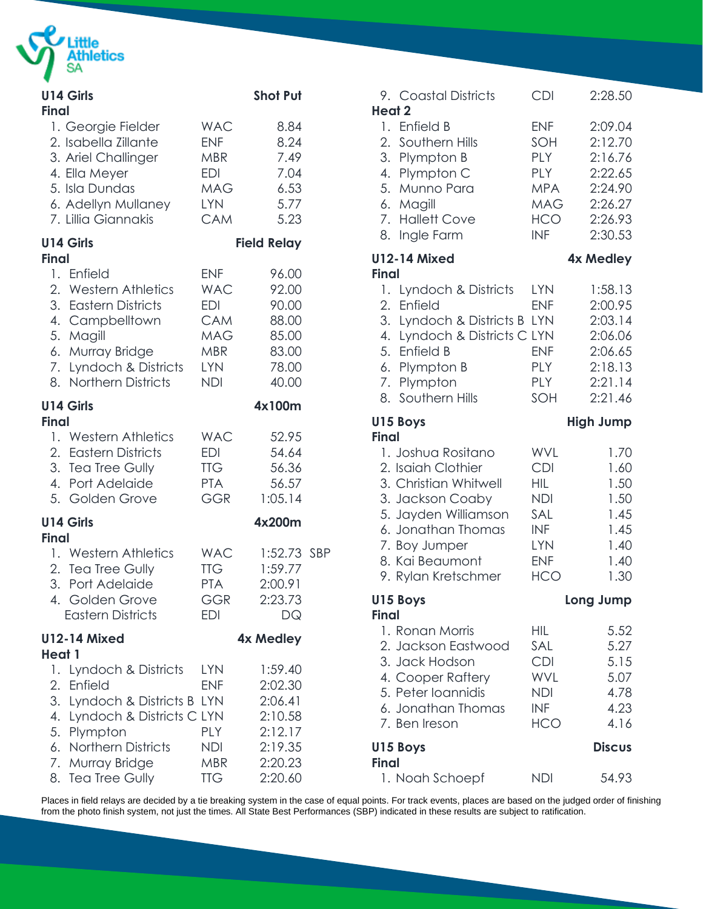

| <b>Final</b> | <b>U14 Girls</b>                                                                                                                                                                |                                                                                         | <b>Shot Put</b>                                                                      |  |
|--------------|---------------------------------------------------------------------------------------------------------------------------------------------------------------------------------|-----------------------------------------------------------------------------------------|--------------------------------------------------------------------------------------|--|
|              | 1. Georgie Fielder<br>2. Isabella Zillante<br>3. Ariel Challinger<br>4. Ella Meyer<br>5. Isla Dundas<br>6. Adellyn Mullaney<br>7. Lillia Giannakis                              | <b>WAC</b><br><b>ENF</b><br>MBR<br>EDI<br>MAG<br><b>LYN</b><br><b>CAM</b>               | 8.84<br>8.24<br>7.49<br>7.04<br>6.53<br>5.77<br>5.23                                 |  |
| <b>Final</b> | <b>U14 Girls</b>                                                                                                                                                                |                                                                                         | <b>Field Relay</b>                                                                   |  |
|              | 1. Enfield<br>2. Western Athletics<br>3. Eastern Districts<br>4. Campbelltown<br>5. Magill<br>6. Murray Bridge<br>7. Lyndoch & Districts<br>8. Northern Districts               | <b>ENF</b><br><b>WAC</b><br><b>EDI</b><br><b>CAM</b><br>MAG<br>MBR<br>LYN<br><b>NDI</b> | 96.00<br>92.00<br>90.00<br>88.00<br>85.00<br>83.00<br>78.00<br>40.00                 |  |
| <b>Final</b> | U14 Girls                                                                                                                                                                       |                                                                                         | 4x100m                                                                               |  |
|              | 1. Western Athletics<br>2. Eastern Districts<br>3. Tea Tree Gully<br>4. Port Adelaide<br>5. Golden Grove                                                                        | <b>WAC</b><br><b>EDI</b><br><b>TTG</b><br><b>PTA</b><br><b>GGR</b>                      | 52.95<br>54.64<br>56.36<br>56.57<br>1:05.14                                          |  |
| <b>Final</b> | U14 Girls                                                                                                                                                                       |                                                                                         | 4x200m                                                                               |  |
|              | 1. Western Athletics<br>2. Tea Tree Gully<br>3. Port Adelaide<br>4. Golden Grove<br><b>Eastern Districts</b>                                                                    | <b>WAC</b><br>TTG<br><b>PTA</b><br>GGR<br><b>EDI</b>                                    | 1:52.73 SBP<br>1:59.77<br>2:00.91<br>2:23.73<br>DQ                                   |  |
| Heat 1       | <b>U12-14 Mixed</b>                                                                                                                                                             |                                                                                         | 4x Medley                                                                            |  |
| 1.<br>8.     | Lyndoch & Districts<br>2. Enfield<br>3. Lyndoch & Districts B LYN<br>4. Lyndoch & Districts C LYN<br>5. Plympton<br>6. Northern Districts<br>7. Murray Bridge<br>Tea Tree Gully | <b>LYN</b><br><b>ENF</b><br>PLY<br>NDI<br>MBR<br><b>TTG</b>                             | 1:59.40<br>2:02.30<br>2:06.41<br>2:10.58<br>2:12.17<br>2:19.35<br>2:20.23<br>2:20.60 |  |

| 9. Coastal Districts                                                                                                                                                                                           | <b>CDI</b>                                                                                                          | 2:28.50                                                                              |
|----------------------------------------------------------------------------------------------------------------------------------------------------------------------------------------------------------------|---------------------------------------------------------------------------------------------------------------------|--------------------------------------------------------------------------------------|
| <b>Heat 2</b><br>1. Enfield B<br>2. Southern Hills<br>3. Plympton B<br>4. Plympton C<br>5. Munno Para<br>6. Magill<br>7. Hallett Cove<br>Ingle Farm<br>8.                                                      | <b>ENF</b><br>SOH<br><b>PLY</b><br><b>PLY</b><br><b>MPA</b><br><b>MAG</b><br><b>HCO</b><br><b>INF</b>               | 2:09.04<br>2:12.70<br>2:16.76<br>2:22.65<br>2:24.90<br>2:26.27<br>2:26.93<br>2:30.53 |
| <b>U12-14 Mixed</b><br>Final                                                                                                                                                                                   |                                                                                                                     | 4x Medley                                                                            |
| 1. Lyndoch & Districts<br>2. Enfield<br>3. Lyndoch & Districts B LYN<br>4. Lyndoch & Districts C LYN<br>5. Enfield B<br>6. Plympton B<br>7. Plympton<br>8. Southern Hills                                      | <b>LYN</b><br><b>ENF</b><br><b>ENF</b><br><b>PLY</b><br>PLY<br>SOH                                                  | 1:58.13<br>2:00.95<br>2:03.14<br>2:06.06<br>2:06.65<br>2:18.13<br>2:21.14<br>2:21.46 |
| U15 Boys                                                                                                                                                                                                       |                                                                                                                     | <b>High Jump</b>                                                                     |
|                                                                                                                                                                                                                |                                                                                                                     |                                                                                      |
| <b>Final</b><br>1. Joshua Rositano<br>2. Isaiah Clothier<br>3. Christian Whitwell<br>3. Jackson Coaby<br>5. Jayden Williamson<br>6. Jonathan Thomas<br>7. Boy Jumper<br>8. Kai Beaumont<br>9. Rylan Kretschmer | <b>WVL</b><br><b>CDI</b><br><b>HIL</b><br><b>NDI</b><br>SAL<br><b>INF</b><br><b>LYN</b><br><b>ENF</b><br><b>HCO</b> | 1.70<br>1.60<br>1.50<br>1.50<br>1.45<br>1.45<br>1.40<br>1.40<br>1.30                 |
| U15 Boys                                                                                                                                                                                                       |                                                                                                                     | Long Jump                                                                            |
| Final<br>1. Ronan Morris<br>2. Jackson Eastwood<br>3. Jack Hodson<br>4. Cooper Raftery<br>5. Peter loannidis<br>6. Jonathan Thomas<br>7. Ben Ireson                                                            | <b>HIL</b><br>SAL<br><b>CDI</b><br>WVL<br><b>NDI</b><br><b>INF</b><br><b>HCO</b>                                    | 5.52<br>5.27<br>5.15<br>5.07<br>4.78<br>4.23<br>4.16                                 |
| U15 Boys<br><b>Final</b>                                                                                                                                                                                       |                                                                                                                     | <b>Discus</b>                                                                        |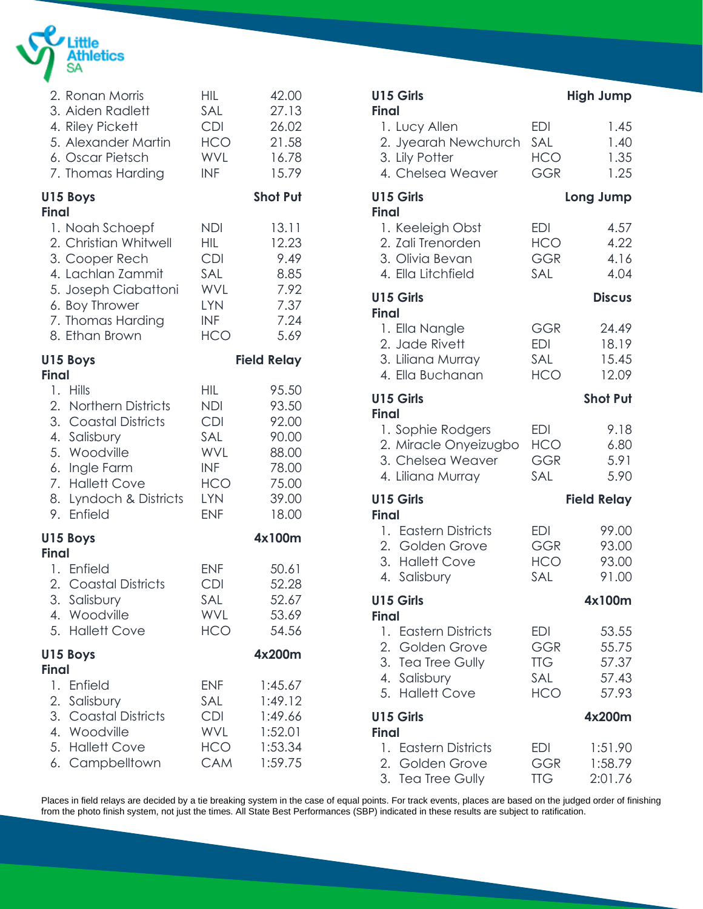

|              | 2. Ronan Morris<br>3. Aiden Radlett<br>4. Riley Pickett<br>5. Alexander Martin<br>6. Oscar Pietsch<br>7. Thomas Harding                                          | <b>HIL</b><br>SAL<br>CDI<br><b>HCO</b><br><b>WVL</b><br><b>INF</b>                                    | 42.00<br>27.13<br>26.02<br>21.58<br>16.78<br>15.79                            |
|--------------|------------------------------------------------------------------------------------------------------------------------------------------------------------------|-------------------------------------------------------------------------------------------------------|-------------------------------------------------------------------------------|
|              | U15 Boys                                                                                                                                                         |                                                                                                       | <b>Shot Put</b>                                                               |
| <b>Final</b> | 1. Noah Schoepf<br>2. Christian Whitwell<br>3. Cooper Rech<br>4. Lachlan Zammit<br>5. Joseph Ciabattoni<br>6. Boy Thrower<br>7. Thomas Harding<br>8. Ethan Brown | <b>NDI</b><br><b>HIL</b><br><b>CDI</b><br>SAL<br><b>WVL</b><br><b>LYN</b><br><b>INF</b><br><b>HCO</b> | 13.11<br>12.23<br>9.49<br>8.85<br>7.92<br>7.37<br>7.24<br>5.69                |
| <b>Final</b> | U15 Boys                                                                                                                                                         |                                                                                                       | <b>Field Relay</b>                                                            |
| 8.<br>9.     | 1. Hills<br>2. Northern Districts<br>3. Coastal Districts<br>4. Salisbury<br>5. Woodville<br>6. Ingle Farm<br>7. Hallett Cove<br>Lyndoch & Districts<br>Enfield  | HIL<br><b>NDI</b><br><b>CDI</b><br>SAL<br><b>WVL</b><br>INF<br><b>HCO</b><br><b>LYN</b><br><b>ENF</b> | 95.50<br>93.50<br>92.00<br>90.00<br>88.00<br>78.00<br>75.00<br>39.00<br>18.00 |
| <b>Final</b> | U15 Boys                                                                                                                                                         |                                                                                                       | 4x100m                                                                        |
|              | 1. Enfield<br>2. Coastal Districts<br>3. Salisbury<br>4. Woodville<br>5. Hallett Cove                                                                            | <b>ENF</b><br><b>CDI</b><br>SAL<br><b>WVL</b><br><b>HCO</b>                                           | 50.61<br>52.28<br>52.67<br>53.69<br>54.56                                     |
| <b>Final</b> | U15 Boys                                                                                                                                                         |                                                                                                       | 4x200m                                                                        |
| 1.           | Enfield<br>2. Salisbury<br>3. Coastal Districts<br>4. Woodville<br>5. Hallett Cove<br>6. Campbelltown                                                            | ENF<br>SAL<br><b>CDI</b><br><b>WVL</b><br>HCO<br><b>CAM</b>                                           | 1:45.67<br>1:49.12<br>1:49.66<br>1:52.01<br>1:53.34<br>1:59.75                |

| U15 Girls<br><b>Final</b>                                                                       |                                               | <b>High Jump</b>                          |
|-------------------------------------------------------------------------------------------------|-----------------------------------------------|-------------------------------------------|
| 1. Lucy Allen<br>2. Jyearah Newchurch<br>3. Lily Potter<br>4. Chelsea Weaver                    | <b>EDI</b><br>SAL<br><b>HCO</b><br><b>GGR</b> | 1.45<br>1.40<br>1.35<br>1.25              |
| U15 Girls<br><b>Final</b>                                                                       |                                               | Long Jump                                 |
| 1. Keeleigh Obst<br>2. Zali Trenorden<br>3. Olivia Bevan<br>4. Ella Litchfield                  | EDI<br>HCO<br><b>GGR</b><br>SAL               | 4.57<br>4.22<br>4.16<br>4.04              |
| U15 Girls<br><b>Final</b>                                                                       |                                               | <b>Discus</b>                             |
| 1. Ella Nangle<br>2. Jade Rivett<br>3. Liliana Murray<br>4. Ella Buchanan                       | GGR<br><b>EDI</b><br>SAL<br><b>HCO</b>        | 24.49<br>18.19<br>15.45<br>12.09          |
| U15 Girls<br><b>Final</b>                                                                       |                                               | <b>Shot Put</b>                           |
| 1. Sophie Rodgers<br>2. Miracle Onyeizugbo<br>3. Chelsea Weaver<br>4. Liliana Murray            | EDI<br>HCO<br><b>GGR</b><br>SAL               | 9.18<br>6.80<br>5.91<br>5.90              |
| U15 Girls                                                                                       |                                               | <b>Field Relay</b>                        |
| <b>Final</b><br>1. Eastern Districts<br>2. Golden Grove<br>3. Hallett Cove<br>4. Salisbury      | <b>EDI</b><br><b>GGR</b><br><b>HCO</b><br>SAL | 99.00<br>93.00<br>93.00<br>91.00          |
| U15 Girls<br>Final                                                                              |                                               | 4x100m                                    |
| 1. Eastern Districts<br>2. Golden Grove<br>3. Tea Tree Gully<br>4. Salisbury<br>5. Hallett Cove | EDI<br>GGR<br><b>TTG</b><br>SAL<br>HCO I      | 53.55<br>55.75<br>57.37<br>57.43<br>57.93 |
| U15 Girls<br>Final                                                                              |                                               | 4x200m                                    |
| 1. Eastern Districts<br>2. Golden Grove<br>3. Tea Tree Gully                                    | EDI<br><b>GGR</b><br><b>TTG</b>               | 1:51.90<br>1:58.79<br>2:01.76             |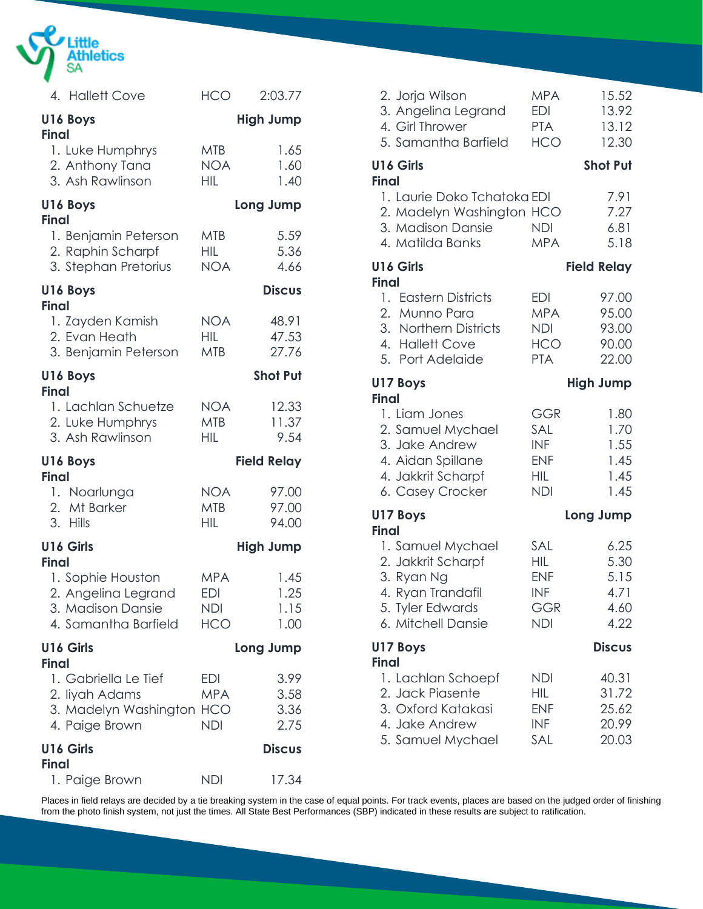

| 4. Hallett Cove                                                                                       | <b>HCO</b>                                    | 2:03.77                      |
|-------------------------------------------------------------------------------------------------------|-----------------------------------------------|------------------------------|
| U16 Boys<br><b>Final</b>                                                                              |                                               | <b>High Jump</b>             |
| 1. Luke Humphrys<br>2. Anthony Tana<br>3. Ash Rawlinson                                               | <b>MTB</b><br><b>NOA</b><br><b>HIL</b>        | 1.65<br>1.60<br>1.40         |
| U16 Boys<br><b>Final</b>                                                                              |                                               | Long Jump                    |
| 1. Benjamin Peterson<br>2. Raphin Scharpf<br>3. Stephan Pretorius                                     | <b>MTB</b><br>HIL<br><b>NOA</b>               | 5.59<br>5.36<br>4.66         |
| U16 Boys<br><b>Final</b>                                                                              |                                               | <b>Discus</b>                |
| 1. Zayden Kamish<br>2. Evan Heath<br>3. Benjamin Peterson                                             | <b>NOA</b><br><b>HIL</b><br><b>MTB</b>        | 48.91<br>47.53<br>27.76      |
| U16 Boys<br><b>Final</b>                                                                              |                                               | <b>Shot Put</b>              |
| 1. Lachlan Schuetze<br>2. Luke Humphrys<br>3. Ash Rawlinson                                           | <b>NOA</b><br><b>MTB</b><br><b>HIL</b>        | 12.33<br>11.37<br>9.54       |
| U16 Boys<br><b>Final</b>                                                                              |                                               | <b>Field Relay</b>           |
| 1. Noarlunga<br>2. Mt Barker<br>3. Hills                                                              | <b>NOA</b><br><b>MTB</b><br><b>HIL</b>        | 97.00<br>97.00<br>94.00      |
| U16 Girls                                                                                             |                                               | <b>High Jump</b>             |
| <b>Final</b><br>1. Sophie Houston<br>2. Angelina Legrand<br>3. Madison Dansie<br>4. Samantha Barfield | <b>MPA</b><br><b>EDI</b><br>NDI<br><b>HCO</b> | 1.45<br>1.25<br>1.15<br>1.00 |
| U16 Girls<br><b>Final</b>                                                                             |                                               | Long Jump                    |
| 1. Gabriella Le Tief<br>2. liyah Adams<br>3. Madelyn Washington HCO<br>4. Paige Brown                 | EDI<br><b>MPA</b><br><b>NDI</b>               | 3.99<br>3.58<br>3.36<br>2.75 |
| U16 Girls<br><b>Final</b>                                                                             |                                               | <b>Discus</b>                |
| 1. Paige Brown                                                                                        | <b>NDI</b>                                    | 17.34                        |

| 2. Jorja Wilson<br>3. Angelina Legrand<br>4. Girl Thrower<br>5. Samantha Barfield                                    | <b>MPA</b><br>EDI<br><b>PTA</b><br><b>HCO</b>                             | 15.52<br>13.92<br>13.12<br>12.30             |
|----------------------------------------------------------------------------------------------------------------------|---------------------------------------------------------------------------|----------------------------------------------|
| U16 Girls                                                                                                            |                                                                           | <b>Shot Put</b>                              |
| <b>Final</b><br>1. Laurie Doko Tchatoka EDI<br>2. Madelyn Washington HCO<br>3. Madison Dansie<br>4. Matilda Banks    | <b>NDI</b><br><b>MPA</b>                                                  | 7.91<br>7.27<br>6.81<br>5.18                 |
| U16 Girls<br><b>Final</b>                                                                                            |                                                                           | <b>Field Relay</b>                           |
| 1. Eastern Districts<br>2. Munno Para<br>3. Northern Districts<br>4. Hallett Cove<br>5. Port Adelaide                | <b>EDI</b><br><b>MPA</b><br><b>NDI</b><br><b>HCO</b><br><b>PTA</b>        | 97.00<br>95.00<br>93.00<br>90.00<br>22.00    |
| U17 Boys<br><b>Final</b>                                                                                             |                                                                           | <b>High Jump</b>                             |
| 1. Liam Jones<br>2. Samuel Mychael<br>3. Jake Andrew<br>4. Aidan Spillane<br>4. Jakkrit Scharpf<br>6. Casey Crocker  | <b>GGR</b><br>SAL<br><b>INF</b><br><b>ENF</b><br><b>HIL</b><br><b>NDI</b> | 1.80<br>1.70<br>1.55<br>1.45<br>1.45<br>1.45 |
| U17 Boys<br><b>Final</b>                                                                                             |                                                                           | Long Jump                                    |
| 1. Samuel Mychael<br>2. Jakkrit Scharpf<br>3. Ryan Ng<br>4. Ryan Trandafil<br>5. Tyler Edwards<br>6. Mitchell Dansie | SAL<br><b>HIL</b><br><b>ENF</b><br><b>INF</b><br>GGR<br><b>NDI</b>        | 6.25<br>5.30<br>5.15<br>4.71<br>4.60<br>4.22 |
| U17 Boys<br><b>Final</b>                                                                                             |                                                                           | <b>Discus</b>                                |
| 1. Lachlan Schoepf<br>2. Jack Piasente<br>3. Oxford Katakasi<br>4. Jake Andrew<br>5. Samuel Mychael                  | <b>NDI</b><br>HIL<br><b>ENF</b><br><b>INF</b><br>SAL                      | 40.31<br>31.72<br>25.62<br>20.99<br>20.03    |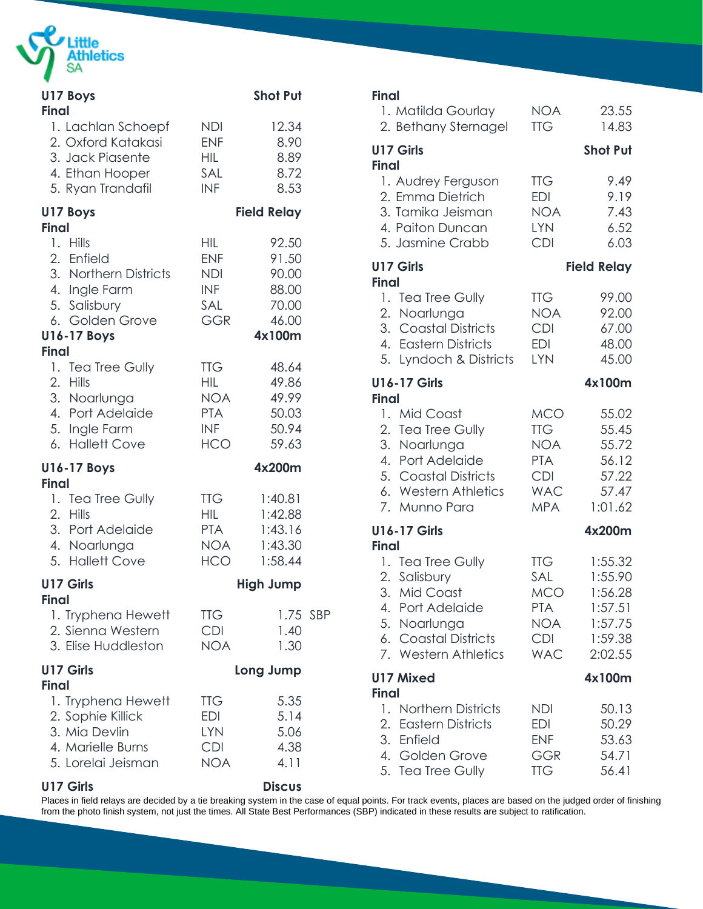

| U17 Boys<br><b>Final</b>                                                                                                                  |                                                                                  | <b>Shot Put</b>                                              |  |
|-------------------------------------------------------------------------------------------------------------------------------------------|----------------------------------------------------------------------------------|--------------------------------------------------------------|--|
| 1. Lachlan Schoepf<br>2. Oxford Katakasi<br>3. Jack Piasente<br>4. Ethan Hooper<br>5. Ryan Trandafil                                      | NDI<br><b>ENF</b><br><b>HIL</b><br>SAL<br>INF                                    | 12.34<br>8.90<br>8.89<br>8.72<br>8.53                        |  |
| U17 Boys<br><b>Final</b>                                                                                                                  |                                                                                  | <b>Field Relay</b>                                           |  |
| 1. Hills<br>2. Enfield<br>3. Northern Districts<br>4. Ingle Farm<br>5. Salisbury<br>6. Golden Grove<br><b>U16-17 Boys</b><br><b>Final</b> | HIL<br><b>ENF</b><br><b>NDI</b><br><b>INF</b><br>SAL<br><b>GGR</b>               | 92.50<br>91.50<br>90.00<br>88.00<br>70.00<br>46.00<br>4x100m |  |
| 1. Tea Tree Gully<br>2. Hills<br>3. Noarlunga<br>4. Port Adelaide<br>5. Ingle Farm<br>6. Hallett Cove                                     | <b>TTG</b><br><b>HIL</b><br><b>NOA</b><br><b>PTA</b><br><b>INF</b><br><b>HCO</b> | 48.64<br>49.86<br>49.99<br>50.03<br>50.94<br>59.63           |  |
| <b>U16-17 Boys</b><br><b>Final</b>                                                                                                        |                                                                                  | 4x200m                                                       |  |
| 1. Tea Tree Gully<br>2. Hills<br>3. Port Adelaide<br>4. Noarlunga<br>5. Hallett Cove                                                      | <b>TTG</b><br>HIL.<br><b>PTA</b><br><b>NOA</b><br><b>HCO</b>                     | 1:40.81<br>1:42.88<br>1:43.16<br>1:43.30<br>1:58.44          |  |
| U17 Girls<br>Final                                                                                                                        |                                                                                  | <b>High Jump</b>                                             |  |
| 1. Tryphena Hewett<br>2. Sienna Western<br>3. Elise Huddleston                                                                            | <b>TTG</b><br><b>CDI</b><br><b>NOA</b>                                           | 1.75 SBP<br>1.40<br>1.30                                     |  |
| <b>U17 Girls</b><br><b>Final</b>                                                                                                          |                                                                                  | Long Jump                                                    |  |
| 1. Tryphena Hewett<br>2. Sophie Killick<br>3. Mia Devlin<br>4. Marielle Burns<br>5. Lorelai Jeisman                                       | <b>TTG</b><br>EDI<br><b>LYN</b><br><b>CDI</b><br><b>NOA</b>                      | 5.35<br>5.14<br>5.06<br>4.38<br>4.11                         |  |

# **Final** 1. Matilda Gourlay NOA 23.55 2. Bethany Sternagel TTG 14.83 **U17 Girls Shot Put Final** 1. Audrey Ferguson TTG 9.49 2. Emma Dietrich EDI 9.19 3. Tamika Jeisman NOA 7.43 4. Paiton Duncan LYN 6.52 5. Jasmine Crabb CDI 6.03 **U17 Girls Field Relay Final** 1. Tea Tree Gully TTG 99.00 2. Noarlunga NOA 92.00 3. Coastal Districts CDI 67.00 4. Eastern Districts EDI 48.00 5. Lyndoch & Districts LYN 45.00 **U16-17 Girls 4x100m Final** 1. Mid Coast MCO 55.02 2. Tea Tree Gully TTG 55.45 3. Noarlunga NOA 55.72 4. Port Adelaide PTA 56.12 5. Coastal Districts CDI 57.22 6. Western Athletics WAC 57.47 7. Munno Para MPA 1:01.62 **U16-17 Girls 4x200m Final** 1. Tea Tree Gully TTG 1:55.32 2. Salisbury SAL 1:55.90 3. Mid Coast MCO 1:56.28 4. Port Adelaide PTA 1:57.51 5. Noarlunga NOA 1:57.75 6. Coastal Districts CDI 1:59.38 7. Western Athletics WAC 2:02.55 **U17 Mixed 4x100m Final** 1. Northern Districts NDI 50.13 2. Eastern Districts EDI 50.29 3. Enfield ENF 53.63 4. Golden Grove GGR 54.71

5. Tea Tree Gully TTG 56.41

#### **U17 Girls Discus**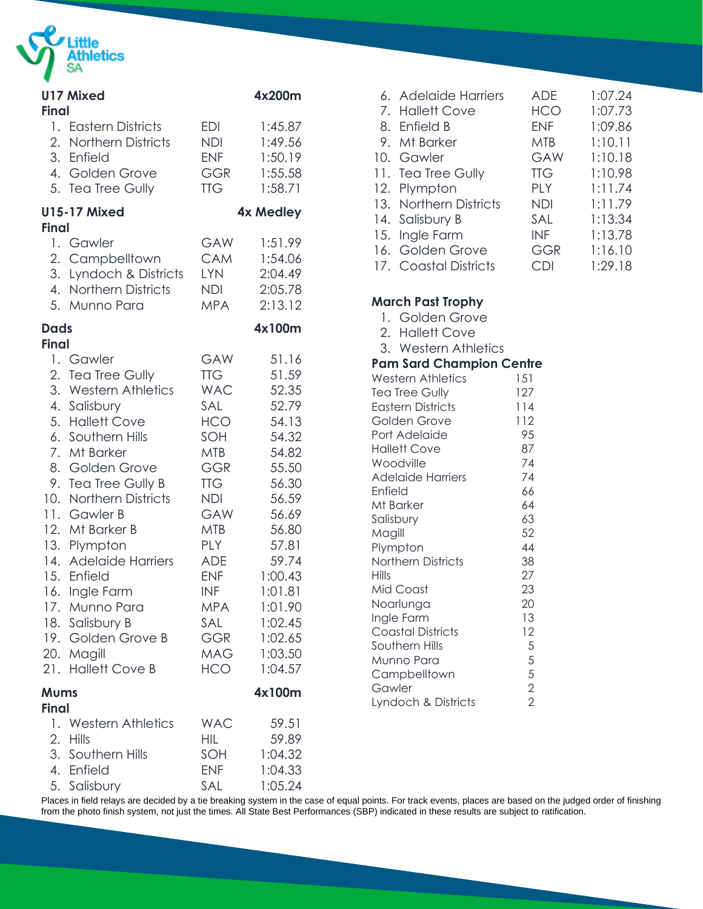

| <b>Final</b>                | <b>U17 Mixed</b>       |            | 4x200m           |
|-----------------------------|------------------------|------------|------------------|
|                             | 1. Eastern Districts   | <b>EDI</b> | 1:45.87          |
|                             | 2. Northern Districts  | NDI        | 1:49.56          |
|                             | 3. Enfield             | <b>ENF</b> | 1:50.19          |
|                             | 4. Golden Grove        | <b>GGR</b> | 1:55.58          |
|                             | 5. Tea Tree Gully      | <b>TTG</b> | 1:58.71          |
| <b>Final</b>                | <b>U15-17 Mixed</b>    |            | <b>4x Medley</b> |
|                             | 1. Gawler              | GAW        | 1:51.99          |
|                             | 2. Campbelltown        | <b>CAM</b> | 1:54.06          |
|                             | 3. Lyndoch & Districts | <b>LYN</b> | 2:04.49          |
|                             | 4. Northern Districts  | <b>NDI</b> | 2:05.78          |
|                             | 5. Munno Para          | <b>MPA</b> | 2:13.12          |
| <b>Dads</b><br><b>Final</b> |                        |            | 4x100m           |
|                             | 1. Gawler              | GAW        | 51.16            |
|                             | 2. Tea Tree Gully      | <b>TTG</b> | 51.59            |
|                             | 3. Western Athletics   | <b>WAC</b> | 52.35            |
|                             | 4. Salisbury           | SAL        | 52.79            |
|                             | 5. Hallett Cove        | HCO        | 54.13            |
|                             | 6. Southern Hills      | SOH        | 54.32            |
|                             | 7. Mt Barker           | <b>MTB</b> | 54.82            |
|                             | 8. Golden Grove        | <b>GGR</b> | 55.50            |
|                             | 9. Tea Tree Gully B    | <b>TTG</b> | 56.30            |
|                             | 10. Northern Districts | NDI        | 56.59            |
|                             | 11. Gawler B           | GAW        | 56.69            |
|                             | 12. Mt Barker B        | MTB        | 56.80            |
|                             | 13. Plympton           | PLY        | 57.81            |
|                             | 14. Adelaide Harriers  | <b>ADE</b> | 59.74            |
|                             | 15. Enfield            | <b>ENF</b> | 1:00.43          |
|                             | 16. Ingle Farm         | INF        | 1:01.81          |
|                             | 17. Munno Para         | <b>MPA</b> | 1:01.90          |
|                             | 18. Salisbury B        | SAL        | 1:02.45          |
|                             | 19. Golden Grove B     | <b>GGR</b> | 1:02.65          |
|                             | 20. Magill             | MAG        | 1:03.50          |
|                             | 21. Hallett Cove B     | HCO        | 1:04.57          |
| <b>Mums</b><br>Final        |                        |            | 4x100m           |
|                             | 1. Western Athletics   | <b>WAC</b> | 59.51            |
|                             | 2. Hills               | HIL        | 59.89            |
|                             | 3. Southern Hills      | SOH        | 1:04.32          |
|                             | 4. Enfield             | <b>ENF</b> | 1:04.33          |
|                             | 5. Salisbury           | SAL        | 1:05.24          |

| 6. Adelaide Harriers   | ADF        | 1:07.24 |
|------------------------|------------|---------|
| 7. Hallett Cove        | <b>HCO</b> | 1:07.73 |
| 8. Enfield B           | <b>FNF</b> | 1:09.86 |
| 9. Mt Barker           | MTB        | 1:10.11 |
| 10. Gawler             | GAW        | 1:10.18 |
| 11. Tea Tree Gully     | <b>TTG</b> | 1:10.98 |
| 12. Plympton           | PI Y       | 1:11.74 |
| 13. Northern Districts | NDI        | 1:11.79 |
| 14. Salisbury B        | SAI.       | 1:13.34 |
| 15. Ingle Farm         | <b>INF</b> | 1:13.78 |
| 16. Golden Grove       | GGR        | 1:16.10 |
| 17. Coastal Districts  | CDI        | 1:29.18 |
|                        |            |         |

| <b>March Past Trophy</b>        |       |
|---------------------------------|-------|
| 1. Golden Grove                 |       |
| 2. Hallett Cove                 |       |
| 3. Western Athletics            |       |
| <b>Pam Sard Champion Centre</b> |       |
| <b>Western Athletics</b>        | 151   |
| Tea Tree Gully                  | 127   |
| <b>Eastern Districts</b>        | 114   |
| Golden Grove                    | 112   |
| Port Adelaide                   | 95    |
| <b>Hallett Cove</b>             | 87    |
| Woodville                       | 74    |
| <b>Adelaide Harriers</b>        | 74    |
| Enfield                         | 66    |
| Mt Barker                       | 64    |
| Salisbury                       | 63    |
| Magill                          | 52    |
| Plympton                        | 44    |
| Northern Districts              | 38    |
| Hills                           | 27    |
| Mid Coast                       | 23    |
| Noarlunga                       | 20    |
| Ingle Farm                      | 13    |
| <b>Coastal Districts</b>        | 12    |
| Southern Hills                  |       |
| Munno Para                      |       |
| Campbelltown                    | 55522 |
| Gawler                          |       |
| Lyndoch & Districts             |       |